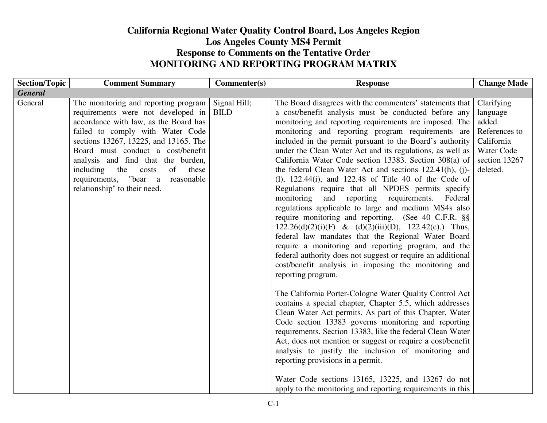## **California Regional Water Quality Control Board, Los Angeles RegionLos Angeles County MS4 Permit Response to Comments on the Tentative Order MONITORING AND REPORTING PROGRAM MATRIX**

| <b>Section/Topic</b><br><b>Comment Summary</b>                                                                                                                                                                                                                                                                                                                                                      | Commenter(s)                | <b>Response</b>                                                                                                                                                                                                                                                                                                                                                                                                                                                                                                                                                                                                                                                                                                                                                                                                                                                                                                                                                                                                                                                                                                                                                                                                                                                                                                                                                                                                                                                                                                                                                              | <b>Change Made</b>                                                                                                |
|-----------------------------------------------------------------------------------------------------------------------------------------------------------------------------------------------------------------------------------------------------------------------------------------------------------------------------------------------------------------------------------------------------|-----------------------------|------------------------------------------------------------------------------------------------------------------------------------------------------------------------------------------------------------------------------------------------------------------------------------------------------------------------------------------------------------------------------------------------------------------------------------------------------------------------------------------------------------------------------------------------------------------------------------------------------------------------------------------------------------------------------------------------------------------------------------------------------------------------------------------------------------------------------------------------------------------------------------------------------------------------------------------------------------------------------------------------------------------------------------------------------------------------------------------------------------------------------------------------------------------------------------------------------------------------------------------------------------------------------------------------------------------------------------------------------------------------------------------------------------------------------------------------------------------------------------------------------------------------------------------------------------------------------|-------------------------------------------------------------------------------------------------------------------|
| <b>General</b>                                                                                                                                                                                                                                                                                                                                                                                      |                             |                                                                                                                                                                                                                                                                                                                                                                                                                                                                                                                                                                                                                                                                                                                                                                                                                                                                                                                                                                                                                                                                                                                                                                                                                                                                                                                                                                                                                                                                                                                                                                              |                                                                                                                   |
| General<br>The monitoring and reporting program<br>requirements were not developed in<br>accordance with law, as the Board has<br>failed to comply with Water Code<br>sections 13267, 13225, and 13165. The<br>Board must conduct a cost/benefit<br>analysis and find that the burden,<br>including the costs<br>of<br>these<br>requirements, "bear a<br>reasonable<br>relationship" to their need. | Signal Hill;<br><b>BILD</b> | The Board disagrees with the commenters' statements that<br>a cost/benefit analysis must be conducted before any<br>monitoring and reporting requirements are imposed. The<br>monitoring and reporting program requirements are<br>included in the permit pursuant to the Board's authority<br>under the Clean Water Act and its regulations, as well as<br>California Water Code section 13383. Section 308(a) of<br>the federal Clean Water Act and sections 122.41(h), (j)-<br>$(1)$ , 122.44 $(i)$ , and 122.48 of Title 40 of the Code of<br>Regulations require that all NPDES permits specify<br>monitoring<br>and<br>reporting<br>requirements.<br>Federal<br>regulations applicable to large and medium MS4s also<br>require monitoring and reporting. (See 40 C.F.R. §§<br>$122.26(d)(2)(i)(F)$ & $(d)(2)(iii)(D)$ , $122.42(c)$ . Thus,<br>federal law mandates that the Regional Water Board<br>require a monitoring and reporting program, and the<br>federal authority does not suggest or require an additional<br>cost/benefit analysis in imposing the monitoring and<br>reporting program.<br>The California Porter-Cologne Water Quality Control Act<br>contains a special chapter, Chapter 5.5, which addresses<br>Clean Water Act permits. As part of this Chapter, Water<br>Code section 13383 governs monitoring and reporting<br>requirements. Section 13383, like the federal Clean Water<br>Act, does not mention or suggest or require a cost/benefit<br>analysis to justify the inclusion of monitoring and<br>reporting provisions in a permit. | Clarifying<br>language<br>added.<br>References to<br>California<br><b>Water Code</b><br>section 13267<br>deleted. |
|                                                                                                                                                                                                                                                                                                                                                                                                     |                             | Water Code sections 13165, 13225, and 13267 do not<br>apply to the monitoring and reporting requirements in this                                                                                                                                                                                                                                                                                                                                                                                                                                                                                                                                                                                                                                                                                                                                                                                                                                                                                                                                                                                                                                                                                                                                                                                                                                                                                                                                                                                                                                                             |                                                                                                                   |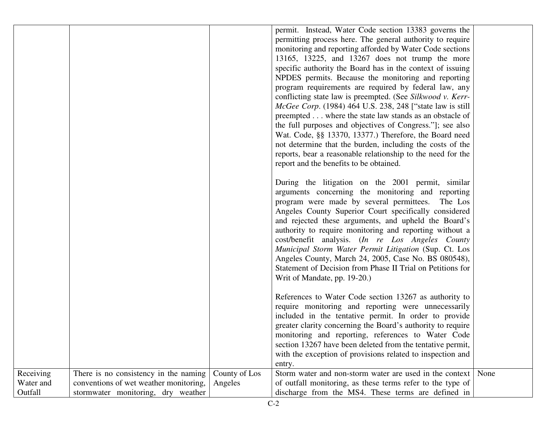|                                   |                                                                                                                       |                          | permit. Instead, Water Code section 13383 governs the<br>permitting process here. The general authority to require<br>monitoring and reporting afforded by Water Code sections<br>13165, 13225, and 13267 does not trump the more                                                                                                                                                                                                                                                                                                                                                                         |      |
|-----------------------------------|-----------------------------------------------------------------------------------------------------------------------|--------------------------|-----------------------------------------------------------------------------------------------------------------------------------------------------------------------------------------------------------------------------------------------------------------------------------------------------------------------------------------------------------------------------------------------------------------------------------------------------------------------------------------------------------------------------------------------------------------------------------------------------------|------|
|                                   |                                                                                                                       |                          | specific authority the Board has in the context of issuing<br>NPDES permits. Because the monitoring and reporting<br>program requirements are required by federal law, any<br>conflicting state law is preempted. (See Silkwood v. Kerr-<br><i>McGee Corp.</i> (1984) 464 U.S. 238, 248 ["state law is still<br>preempted where the state law stands as an obstacle of<br>the full purposes and objectives of Congress."]; see also<br>Wat. Code, §§ 13370, 13377.) Therefore, the Board need<br>not determine that the burden, including the costs of the                                                |      |
|                                   |                                                                                                                       |                          | reports, bear a reasonable relationship to the need for the<br>report and the benefits to be obtained.                                                                                                                                                                                                                                                                                                                                                                                                                                                                                                    |      |
|                                   |                                                                                                                       |                          | During the litigation on the 2001 permit, similar<br>arguments concerning the monitoring and reporting<br>program were made by several permittees. The Los<br>Angeles County Superior Court specifically considered<br>and rejected these arguments, and upheld the Board's<br>authority to require monitoring and reporting without a<br>cost/benefit analysis. (In re Los Angeles County<br>Municipal Storm Water Permit Litigation (Sup. Ct. Los<br>Angeles County, March 24, 2005, Case No. BS 080548),<br>Statement of Decision from Phase II Trial on Petitions for<br>Writ of Mandate, pp. 19-20.) |      |
|                                   |                                                                                                                       |                          | References to Water Code section 13267 as authority to<br>require monitoring and reporting were unnecessarily<br>included in the tentative permit. In order to provide<br>greater clarity concerning the Board's authority to require<br>monitoring and reporting, references to Water Code<br>section 13267 have been deleted from the tentative permit,<br>with the exception of provisions related to inspection and<br>entry.                                                                                                                                                                         |      |
| Receiving<br>Water and<br>Outfall | There is no consistency in the naming<br>conventions of wet weather monitoring,<br>stormwater monitoring, dry weather | County of Los<br>Angeles | Storm water and non-storm water are used in the context<br>of outfall monitoring, as these terms refer to the type of<br>discharge from the MS4. These terms are defined in                                                                                                                                                                                                                                                                                                                                                                                                                               | None |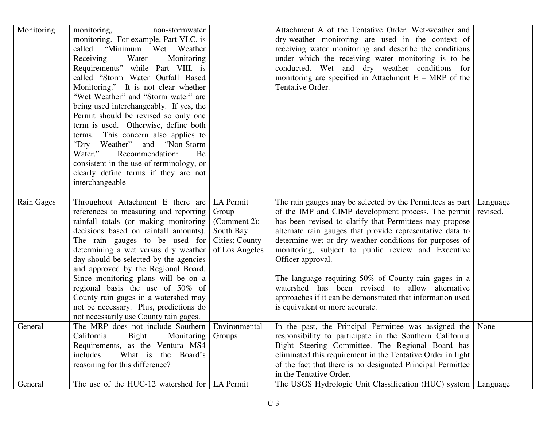| Monitoring | monitoring,<br>non-stormwater<br>monitoring. For example, Part VI.C. is<br>called "Minimum Wet Weather<br>Receiving<br>Water<br>Monitoring<br>Requirements" while Part VIII. is<br>called "Storm Water Outfall Based<br>Monitoring." It is not clear whether<br>"Wet Weather" and "Storm water" are<br>being used interchangeably. If yes, the<br>Permit should be revised so only one<br>term is used. Otherwise, define both<br>terms. This concern also applies to<br>"Dry Weather" and "Non-Storm"<br>Recommendation:<br>Water."<br>Be<br>consistent in the use of terminology, or<br>clearly define terms if they are not<br>interchangeable |                                                                                     | Attachment A of the Tentative Order. Wet-weather and<br>dry-weather monitoring are used in the context of<br>receiving water monitoring and describe the conditions<br>under which the receiving water monitoring is to be<br>conducted. Wet and dry weather conditions for<br>monitoring are specified in Attachment $E - MRP$ of the<br>Tentative Order.                                                                                                                                                                                                                                 |                      |
|------------|---------------------------------------------------------------------------------------------------------------------------------------------------------------------------------------------------------------------------------------------------------------------------------------------------------------------------------------------------------------------------------------------------------------------------------------------------------------------------------------------------------------------------------------------------------------------------------------------------------------------------------------------------|-------------------------------------------------------------------------------------|--------------------------------------------------------------------------------------------------------------------------------------------------------------------------------------------------------------------------------------------------------------------------------------------------------------------------------------------------------------------------------------------------------------------------------------------------------------------------------------------------------------------------------------------------------------------------------------------|----------------------|
| Rain Gages | Throughout Attachment E there are<br>references to measuring and reporting<br>rainfall totals (or making monitoring<br>decisions based on rainfall amounts).<br>The rain gauges to be used for<br>determining a wet versus dry weather<br>day should be selected by the agencies<br>and approved by the Regional Board.<br>Since monitoring plans will be on a<br>regional basis the use of 50% of<br>County rain gages in a watershed may<br>not be necessary. Plus, predictions do<br>not necessarily use County rain gages.                                                                                                                    | LA Permit<br>Group<br>(Comment 2);<br>South Bay<br>Cities; County<br>of Los Angeles | The rain gauges may be selected by the Permittees as part<br>of the IMP and CIMP development process. The permit<br>has been revised to clarify that Permittees may propose<br>alternate rain gauges that provide representative data to<br>determine wet or dry weather conditions for purposes of<br>monitoring, subject to public review and Executive<br>Officer approval.<br>The language requiring 50% of County rain gages in a<br>watershed has been revised to allow alternative<br>approaches if it can be demonstrated that information used<br>is equivalent or more accurate. | Language<br>revised. |
| General    | The MRP does not include Southern<br>California<br>Bight<br>Monitoring<br>Requirements, as the Ventura MS4<br>includes.<br>the Board's<br>What is<br>reasoning for this difference?                                                                                                                                                                                                                                                                                                                                                                                                                                                               | Environmental<br>Groups                                                             | In the past, the Principal Permittee was assigned the None<br>responsibility to participate in the Southern California<br>Bight Steering Committee. The Regional Board has<br>eliminated this requirement in the Tentative Order in light<br>of the fact that there is no designated Principal Permittee<br>in the Tentative Order.                                                                                                                                                                                                                                                        |                      |
| General    | The use of the HUC-12 watershed for $\vert$ LA Permit                                                                                                                                                                                                                                                                                                                                                                                                                                                                                                                                                                                             |                                                                                     | The USGS Hydrologic Unit Classification (HUC) system                                                                                                                                                                                                                                                                                                                                                                                                                                                                                                                                       | Language             |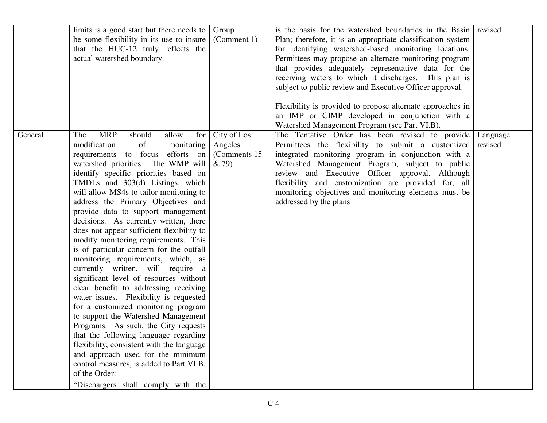|         | limits is a good start but there needs to<br>be some flexibility in its use to insure<br>that the HUC-12 truly reflects the<br>actual watershed boundary.                                                                                                                                                                                                                                                                                                                                                                                                                                                                                                                                                                                                                                                                                                                                                                                                                                                                                                                                            | Group<br>(Comment 1)                             | is the basis for the watershed boundaries in the Basin<br>Plan; therefore, it is an appropriate classification system<br>for identifying watershed-based monitoring locations.<br>Permittees may propose an alternate monitoring program<br>that provides adequately representative data for the<br>receiving waters to which it discharges. This plan is<br>subject to public review and Executive Officer approval.<br>Flexibility is provided to propose alternate approaches in<br>an IMP or CIMP developed in conjunction with a<br>Watershed Management Program (see Part VI.B). | revised             |
|---------|------------------------------------------------------------------------------------------------------------------------------------------------------------------------------------------------------------------------------------------------------------------------------------------------------------------------------------------------------------------------------------------------------------------------------------------------------------------------------------------------------------------------------------------------------------------------------------------------------------------------------------------------------------------------------------------------------------------------------------------------------------------------------------------------------------------------------------------------------------------------------------------------------------------------------------------------------------------------------------------------------------------------------------------------------------------------------------------------------|--------------------------------------------------|----------------------------------------------------------------------------------------------------------------------------------------------------------------------------------------------------------------------------------------------------------------------------------------------------------------------------------------------------------------------------------------------------------------------------------------------------------------------------------------------------------------------------------------------------------------------------------------|---------------------|
| General | <b>MRP</b><br>should<br>for<br>The<br>allow<br>modification<br>of<br>monitoring<br>requirements to focus efforts on<br>watershed priorities. The WMP will<br>identify specific priorities based on<br>TMDLs and 303(d) Listings, which<br>will allow MS4s to tailor monitoring to<br>address the Primary Objectives and<br>provide data to support management<br>decisions. As currently written, there<br>does not appear sufficient flexibility to<br>modify monitoring requirements. This<br>is of particular concern for the outfall<br>monitoring requirements, which, as<br>currently written, will require a<br>significant level of resources without<br>clear benefit to addressing receiving<br>water issues. Flexibility is requested<br>for a customized monitoring program<br>to support the Watershed Management<br>Programs. As such, the City requests<br>that the following language regarding<br>flexibility, consistent with the language<br>and approach used for the minimum<br>control measures, is added to Part VI.B.<br>of the Order:<br>"Dischargers shall comply with the | City of Los<br>Angeles<br>(Comments 15)<br>& 79) | The Tentative Order has been revised to provide<br>Permittees the flexibility to submit a customized<br>integrated monitoring program in conjunction with a<br>Watershed Management Program, subject to public<br>review and Executive Officer approval. Although<br>flexibility and customization are provided for, all<br>monitoring objectives and monitoring elements must be<br>addressed by the plans                                                                                                                                                                            | Language<br>revised |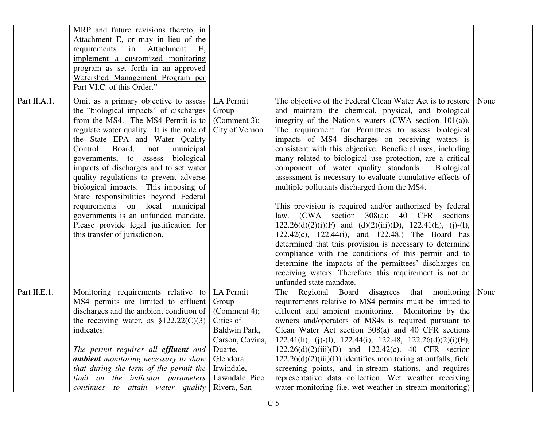| Omit as a primary objective to assess<br>the "biological impacts" of discharges<br>from the MS4. The MS4 Permit is to<br>regulate water quality. It is the role of<br>the State EPA and Water Quality<br>Control<br>Board,<br>municipal<br>not                                                                                                               | LA Permit<br>Group<br>(Comment 3);<br>City of Vernon                                                                          | The objective of the Federal Clean Water Act is to restore   None<br>and maintain the chemical, physical, and biological                                                                                                                                                                                                                                                                                                                                                                                                                                                                                                                                                                                                                                                                                                                                                                                                                                                            |                                                                                                                                                   |
|--------------------------------------------------------------------------------------------------------------------------------------------------------------------------------------------------------------------------------------------------------------------------------------------------------------------------------------------------------------|-------------------------------------------------------------------------------------------------------------------------------|-------------------------------------------------------------------------------------------------------------------------------------------------------------------------------------------------------------------------------------------------------------------------------------------------------------------------------------------------------------------------------------------------------------------------------------------------------------------------------------------------------------------------------------------------------------------------------------------------------------------------------------------------------------------------------------------------------------------------------------------------------------------------------------------------------------------------------------------------------------------------------------------------------------------------------------------------------------------------------------|---------------------------------------------------------------------------------------------------------------------------------------------------|
| governments, to assess biological<br>impacts of discharges and to set water<br>quality regulations to prevent adverse<br>biological impacts. This imposing of<br>State responsibilities beyond Federal<br>requirements on local municipal<br>governments is an unfunded mandate.<br>Please provide legal justification for<br>this transfer of jurisdiction. |                                                                                                                               | integrity of the Nation's waters $(CWA)$ section $101(a)$ ).<br>The requirement for Permittees to assess biological<br>impacts of MS4 discharges on receiving waters is<br>consistent with this objective. Beneficial uses, including<br>many related to biological use protection, are a critical<br>component of water quality standards.<br><b>Biological</b><br>assessment is necessary to evaluate cumulative effects of<br>multiple pollutants discharged from the MS4.<br>This provision is required and/or authorized by federal<br>law. (CWA section 308(a); 40 CFR sections<br>$122.26(d)(2)(i)(F)$ and $(d)(2)(iii)(D)$ , $122.41(h)$ , (j)-(l),<br>122.42(c), 122.44(i), and 122.48.) The Board has<br>determined that this provision is necessary to determine<br>compliance with the conditions of this permit and to<br>determine the impacts of the permittees' discharges on<br>receiving waters. Therefore, this requirement is not an<br>unfunded state mandate. |                                                                                                                                                   |
| Monitoring requirements relative to<br>MS4 permits are limited to effluent<br>discharges and the ambient condition of<br>the receiving water, as $$122.22(C)(3)$<br>indicates:                                                                                                                                                                               | LA Permit<br>Group<br>(Comment 4);<br>Cities of<br>Baldwin Park,<br>Carson, Covina,<br>Duarte,<br>Glendora,<br>Irwindale,     | The Regional Board disagrees that monitoring<br>requirements relative to MS4 permits must be limited to<br>effluent and ambient monitoring. Monitoring by the<br>owners and/operators of MS4s is required pursuant to<br>Clean Water Act section 308(a) and 40 CFR sections<br>122.41(h), (j)-(l), 122.44(i), 122.48, 122.26(d)(2)(i)(F),<br>$122.26(d)(2)(iii)(D)$ and $122.42(c)$ . 40 CFR section<br>$122.26(d)(2)(iii)(D)$ identifies monitoring at outfalls, field<br>screening points, and in-stream stations, and requires<br>representative data collection. Wet weather receiving                                                                                                                                                                                                                                                                                                                                                                                          | None                                                                                                                                              |
|                                                                                                                                                                                                                                                                                                                                                              | The permit requires all effluent and<br><b>ambient</b> monitoring necessary to show<br>that during the term of the permit the | Lawndale, Pico                                                                                                                                                                                                                                                                                                                                                                                                                                                                                                                                                                                                                                                                                                                                                                                                                                                                                                                                                                      | limit on the indicator parameters<br>continues to attain water quality<br>Rivera, San<br>water monitoring (i.e. wet weather in-stream monitoring) |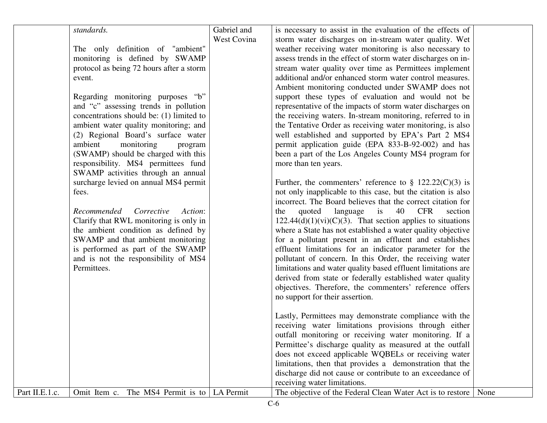|                | standards.<br>The only definition of "ambient"<br>monitoring is defined by SWAMP<br>protocol as being 72 hours after a storm<br>event.<br>Regarding monitoring purposes "b"<br>and "c" assessing trends in pollution<br>concentrations should be: (1) limited to<br>ambient water quality monitoring; and<br>(2) Regional Board's surface water<br>ambient<br>monitoring<br>program<br>(SWAMP) should be charged with this<br>responsibility. MS4 permittees fund<br>SWAMP activities through an annual<br>surcharge levied on annual MS4 permit<br>fees.<br>Recommended Corrective<br>Action:<br>Clarify that RWL monitoring is only in<br>the ambient condition as defined by<br>SWAMP and that ambient monitoring<br>is performed as part of the SWAMP<br>and is not the responsibility of MS4<br>Permittees. | Gabriel and<br>West Covina | is necessary to assist in the evaluation of the effects of<br>storm water discharges on in-stream water quality. Wet<br>weather receiving water monitoring is also necessary to<br>assess trends in the effect of storm water discharges on in-<br>stream water quality over time as Permittees implement<br>additional and/or enhanced storm water control measures.<br>Ambient monitoring conducted under SWAMP does not<br>support these types of evaluation and would not be<br>representative of the impacts of storm water discharges on<br>the receiving waters. In-stream monitoring, referred to in<br>the Tentative Order as receiving water monitoring, is also<br>well established and supported by EPA's Part 2 MS4<br>permit application guide (EPA 833-B-92-002) and has<br>been a part of the Los Angeles County MS4 program for<br>more than ten years.<br>Further, the commenters' reference to $\S$ 122.22(C)(3) is<br>not only inapplicable to this case, but the citation is also<br>incorrect. The Board believes that the correct citation for<br>language is<br>40<br><b>CFR</b><br>quoted<br>section<br>the<br>$122.44(d)(1)(vi)(C)(3)$ . That section applies to situations<br>where a State has not established a water quality objective<br>for a pollutant present in an effluent and establishes<br>effluent limitations for an indicator parameter for the<br>pollutant of concern. In this Order, the receiving water<br>limitations and water quality based effluent limitations are<br>derived from state or federally established water quality<br>objectives. Therefore, the commenters' reference offers |      |
|----------------|------------------------------------------------------------------------------------------------------------------------------------------------------------------------------------------------------------------------------------------------------------------------------------------------------------------------------------------------------------------------------------------------------------------------------------------------------------------------------------------------------------------------------------------------------------------------------------------------------------------------------------------------------------------------------------------------------------------------------------------------------------------------------------------------------------------|----------------------------|-----------------------------------------------------------------------------------------------------------------------------------------------------------------------------------------------------------------------------------------------------------------------------------------------------------------------------------------------------------------------------------------------------------------------------------------------------------------------------------------------------------------------------------------------------------------------------------------------------------------------------------------------------------------------------------------------------------------------------------------------------------------------------------------------------------------------------------------------------------------------------------------------------------------------------------------------------------------------------------------------------------------------------------------------------------------------------------------------------------------------------------------------------------------------------------------------------------------------------------------------------------------------------------------------------------------------------------------------------------------------------------------------------------------------------------------------------------------------------------------------------------------------------------------------------------------------------------------------------------------------------------------------|------|
|                |                                                                                                                                                                                                                                                                                                                                                                                                                                                                                                                                                                                                                                                                                                                                                                                                                  |                            |                                                                                                                                                                                                                                                                                                                                                                                                                                                                                                                                                                                                                                                                                                                                                                                                                                                                                                                                                                                                                                                                                                                                                                                                                                                                                                                                                                                                                                                                                                                                                                                                                                               |      |
|                |                                                                                                                                                                                                                                                                                                                                                                                                                                                                                                                                                                                                                                                                                                                                                                                                                  |                            |                                                                                                                                                                                                                                                                                                                                                                                                                                                                                                                                                                                                                                                                                                                                                                                                                                                                                                                                                                                                                                                                                                                                                                                                                                                                                                                                                                                                                                                                                                                                                                                                                                               |      |
|                |                                                                                                                                                                                                                                                                                                                                                                                                                                                                                                                                                                                                                                                                                                                                                                                                                  |                            |                                                                                                                                                                                                                                                                                                                                                                                                                                                                                                                                                                                                                                                                                                                                                                                                                                                                                                                                                                                                                                                                                                                                                                                                                                                                                                                                                                                                                                                                                                                                                                                                                                               |      |
|                |                                                                                                                                                                                                                                                                                                                                                                                                                                                                                                                                                                                                                                                                                                                                                                                                                  |                            |                                                                                                                                                                                                                                                                                                                                                                                                                                                                                                                                                                                                                                                                                                                                                                                                                                                                                                                                                                                                                                                                                                                                                                                                                                                                                                                                                                                                                                                                                                                                                                                                                                               |      |
|                |                                                                                                                                                                                                                                                                                                                                                                                                                                                                                                                                                                                                                                                                                                                                                                                                                  |                            |                                                                                                                                                                                                                                                                                                                                                                                                                                                                                                                                                                                                                                                                                                                                                                                                                                                                                                                                                                                                                                                                                                                                                                                                                                                                                                                                                                                                                                                                                                                                                                                                                                               |      |
|                |                                                                                                                                                                                                                                                                                                                                                                                                                                                                                                                                                                                                                                                                                                                                                                                                                  |                            |                                                                                                                                                                                                                                                                                                                                                                                                                                                                                                                                                                                                                                                                                                                                                                                                                                                                                                                                                                                                                                                                                                                                                                                                                                                                                                                                                                                                                                                                                                                                                                                                                                               |      |
|                |                                                                                                                                                                                                                                                                                                                                                                                                                                                                                                                                                                                                                                                                                                                                                                                                                  |                            |                                                                                                                                                                                                                                                                                                                                                                                                                                                                                                                                                                                                                                                                                                                                                                                                                                                                                                                                                                                                                                                                                                                                                                                                                                                                                                                                                                                                                                                                                                                                                                                                                                               |      |
|                |                                                                                                                                                                                                                                                                                                                                                                                                                                                                                                                                                                                                                                                                                                                                                                                                                  |                            |                                                                                                                                                                                                                                                                                                                                                                                                                                                                                                                                                                                                                                                                                                                                                                                                                                                                                                                                                                                                                                                                                                                                                                                                                                                                                                                                                                                                                                                                                                                                                                                                                                               |      |
|                |                                                                                                                                                                                                                                                                                                                                                                                                                                                                                                                                                                                                                                                                                                                                                                                                                  |                            |                                                                                                                                                                                                                                                                                                                                                                                                                                                                                                                                                                                                                                                                                                                                                                                                                                                                                                                                                                                                                                                                                                                                                                                                                                                                                                                                                                                                                                                                                                                                                                                                                                               |      |
|                |                                                                                                                                                                                                                                                                                                                                                                                                                                                                                                                                                                                                                                                                                                                                                                                                                  |                            |                                                                                                                                                                                                                                                                                                                                                                                                                                                                                                                                                                                                                                                                                                                                                                                                                                                                                                                                                                                                                                                                                                                                                                                                                                                                                                                                                                                                                                                                                                                                                                                                                                               |      |
|                |                                                                                                                                                                                                                                                                                                                                                                                                                                                                                                                                                                                                                                                                                                                                                                                                                  |                            |                                                                                                                                                                                                                                                                                                                                                                                                                                                                                                                                                                                                                                                                                                                                                                                                                                                                                                                                                                                                                                                                                                                                                                                                                                                                                                                                                                                                                                                                                                                                                                                                                                               |      |
|                |                                                                                                                                                                                                                                                                                                                                                                                                                                                                                                                                                                                                                                                                                                                                                                                                                  |                            |                                                                                                                                                                                                                                                                                                                                                                                                                                                                                                                                                                                                                                                                                                                                                                                                                                                                                                                                                                                                                                                                                                                                                                                                                                                                                                                                                                                                                                                                                                                                                                                                                                               |      |
|                |                                                                                                                                                                                                                                                                                                                                                                                                                                                                                                                                                                                                                                                                                                                                                                                                                  |                            |                                                                                                                                                                                                                                                                                                                                                                                                                                                                                                                                                                                                                                                                                                                                                                                                                                                                                                                                                                                                                                                                                                                                                                                                                                                                                                                                                                                                                                                                                                                                                                                                                                               |      |
|                |                                                                                                                                                                                                                                                                                                                                                                                                                                                                                                                                                                                                                                                                                                                                                                                                                  |                            | no support for their assertion.                                                                                                                                                                                                                                                                                                                                                                                                                                                                                                                                                                                                                                                                                                                                                                                                                                                                                                                                                                                                                                                                                                                                                                                                                                                                                                                                                                                                                                                                                                                                                                                                               |      |
|                |                                                                                                                                                                                                                                                                                                                                                                                                                                                                                                                                                                                                                                                                                                                                                                                                                  |                            | Lastly, Permittees may demonstrate compliance with the                                                                                                                                                                                                                                                                                                                                                                                                                                                                                                                                                                                                                                                                                                                                                                                                                                                                                                                                                                                                                                                                                                                                                                                                                                                                                                                                                                                                                                                                                                                                                                                        |      |
|                |                                                                                                                                                                                                                                                                                                                                                                                                                                                                                                                                                                                                                                                                                                                                                                                                                  |                            | receiving water limitations provisions through either                                                                                                                                                                                                                                                                                                                                                                                                                                                                                                                                                                                                                                                                                                                                                                                                                                                                                                                                                                                                                                                                                                                                                                                                                                                                                                                                                                                                                                                                                                                                                                                         |      |
|                |                                                                                                                                                                                                                                                                                                                                                                                                                                                                                                                                                                                                                                                                                                                                                                                                                  |                            | outfall monitoring or receiving water monitoring. If a                                                                                                                                                                                                                                                                                                                                                                                                                                                                                                                                                                                                                                                                                                                                                                                                                                                                                                                                                                                                                                                                                                                                                                                                                                                                                                                                                                                                                                                                                                                                                                                        |      |
|                |                                                                                                                                                                                                                                                                                                                                                                                                                                                                                                                                                                                                                                                                                                                                                                                                                  |                            | Permittee's discharge quality as measured at the outfall                                                                                                                                                                                                                                                                                                                                                                                                                                                                                                                                                                                                                                                                                                                                                                                                                                                                                                                                                                                                                                                                                                                                                                                                                                                                                                                                                                                                                                                                                                                                                                                      |      |
|                |                                                                                                                                                                                                                                                                                                                                                                                                                                                                                                                                                                                                                                                                                                                                                                                                                  |                            | does not exceed applicable WQBELs or receiving water<br>limitations, then that provides a demonstration that the                                                                                                                                                                                                                                                                                                                                                                                                                                                                                                                                                                                                                                                                                                                                                                                                                                                                                                                                                                                                                                                                                                                                                                                                                                                                                                                                                                                                                                                                                                                              |      |
|                |                                                                                                                                                                                                                                                                                                                                                                                                                                                                                                                                                                                                                                                                                                                                                                                                                  |                            | discharge did not cause or contribute to an exceedance of                                                                                                                                                                                                                                                                                                                                                                                                                                                                                                                                                                                                                                                                                                                                                                                                                                                                                                                                                                                                                                                                                                                                                                                                                                                                                                                                                                                                                                                                                                                                                                                     |      |
|                |                                                                                                                                                                                                                                                                                                                                                                                                                                                                                                                                                                                                                                                                                                                                                                                                                  |                            | receiving water limitations.                                                                                                                                                                                                                                                                                                                                                                                                                                                                                                                                                                                                                                                                                                                                                                                                                                                                                                                                                                                                                                                                                                                                                                                                                                                                                                                                                                                                                                                                                                                                                                                                                  |      |
| Part II.E.1.c. | Omit Item c. The MS4 Permit is to   LA Permit                                                                                                                                                                                                                                                                                                                                                                                                                                                                                                                                                                                                                                                                                                                                                                    |                            | The objective of the Federal Clean Water Act is to restore                                                                                                                                                                                                                                                                                                                                                                                                                                                                                                                                                                                                                                                                                                                                                                                                                                                                                                                                                                                                                                                                                                                                                                                                                                                                                                                                                                                                                                                                                                                                                                                    | None |
|                |                                                                                                                                                                                                                                                                                                                                                                                                                                                                                                                                                                                                                                                                                                                                                                                                                  |                            |                                                                                                                                                                                                                                                                                                                                                                                                                                                                                                                                                                                                                                                                                                                                                                                                                                                                                                                                                                                                                                                                                                                                                                                                                                                                                                                                                                                                                                                                                                                                                                                                                                               |      |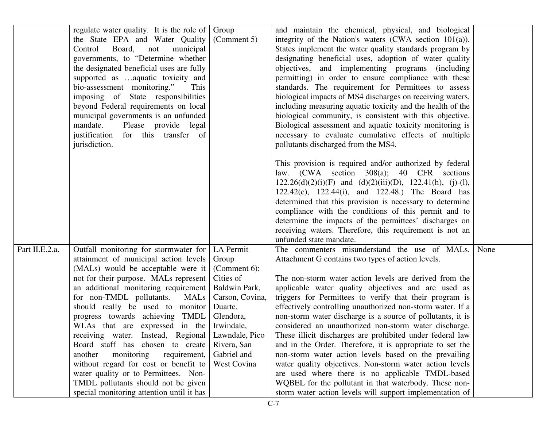|                | regulate water quality. It is the role of Group<br>the State EPA and Water Quality<br>Control<br>Board,<br>municipal<br>not<br>governments, to "Determine whether<br>the designated beneficial uses are fully<br>supported as aquatic toxicity and<br>bio-assessment monitoring."<br>This<br>imposing of State responsibilities<br>beyond Federal requirements on local<br>municipal governments is an unfunded<br>mandate.<br>Please provide legal<br>justification for this transfer of<br>jurisdiction.                                                                                                                                 | (Comment 5)                                                                                                                                                                                 | and maintain the chemical, physical, and biological<br>integrity of the Nation's waters $(CWA)$ section $101(a)$ ).<br>States implement the water quality standards program by<br>designating beneficial uses, adoption of water quality<br>objectives, and implementing programs (including<br>permitting) in order to ensure compliance with these<br>standards. The requirement for Permittees to assess<br>biological impacts of MS4 discharges on receiving waters,<br>including measuring aquatic toxicity and the health of the<br>biological community, is consistent with this objective.<br>Biological assessment and aquatic toxicity monitoring is<br>necessary to evaluate cumulative effects of multiple<br>pollutants discharged from the MS4.<br>This provision is required and/or authorized by federal<br>law. (CWA section 308(a); 40 CFR sections<br>$122.26(d)(2)(i)(F)$ and $(d)(2)(iii)(D)$ , $122.41(h)$ , (j)-(l),<br>122.42(c), 122.44(i), and 122.48.) The Board has<br>determined that this provision is necessary to determine<br>compliance with the conditions of this permit and to |      |
|----------------|--------------------------------------------------------------------------------------------------------------------------------------------------------------------------------------------------------------------------------------------------------------------------------------------------------------------------------------------------------------------------------------------------------------------------------------------------------------------------------------------------------------------------------------------------------------------------------------------------------------------------------------------|---------------------------------------------------------------------------------------------------------------------------------------------------------------------------------------------|---------------------------------------------------------------------------------------------------------------------------------------------------------------------------------------------------------------------------------------------------------------------------------------------------------------------------------------------------------------------------------------------------------------------------------------------------------------------------------------------------------------------------------------------------------------------------------------------------------------------------------------------------------------------------------------------------------------------------------------------------------------------------------------------------------------------------------------------------------------------------------------------------------------------------------------------------------------------------------------------------------------------------------------------------------------------------------------------------------------------|------|
|                |                                                                                                                                                                                                                                                                                                                                                                                                                                                                                                                                                                                                                                            |                                                                                                                                                                                             | determine the impacts of the permittees' discharges on<br>receiving waters. Therefore, this requirement is not an                                                                                                                                                                                                                                                                                                                                                                                                                                                                                                                                                                                                                                                                                                                                                                                                                                                                                                                                                                                                   |      |
| Part II.E.2.a. | Outfall monitoring for stormwater for<br>attainment of municipal action levels<br>(MALs) would be acceptable were it<br>not for their purpose. MALs represent<br>an additional monitoring requirement<br>for non-TMDL pollutants.<br>MALs<br>should really be used to monitor<br>progress towards achieving TMDL<br>WLAs that are expressed in the<br>receiving water. Instead, Regional<br>Board staff has chosen to create<br>another<br>monitoring<br>requirement,<br>without regard for cost or benefit to<br>water quality or to Permittees. Non-<br>TMDL pollutants should not be given<br>special monitoring attention until it has | LA Permit<br>Group<br>(Comment $6$ );<br>Cities of<br>Baldwin Park,<br>Carson, Covina,<br>Duarte,<br>Glendora,<br>Irwindale,<br>Lawndale, Pico<br>Rivera, San<br>Gabriel and<br>West Covina | unfunded state mandate.<br>The commenters misunderstand the use of MALs.<br>Attachment G contains two types of action levels.<br>The non-storm water action levels are derived from the<br>applicable water quality objectives and are used as<br>triggers for Permittees to verify that their program is<br>effectively controlling unauthorized non-storm water. If a<br>non-storm water discharge is a source of pollutants, it is<br>considered an unauthorized non-storm water discharge.<br>These illicit discharges are prohibited under federal law<br>and in the Order. Therefore, it is appropriate to set the<br>non-storm water action levels based on the prevailing<br>water quality objectives. Non-storm water action levels<br>are used where there is no applicable TMDL-based<br>WQBEL for the pollutant in that waterbody. These non-<br>storm water action levels will support implementation of                                                                                                                                                                                               | None |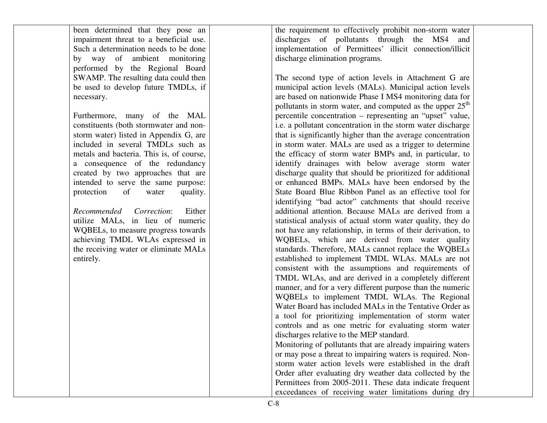| been determined that they pose an        | the requirement to effectively prohibit non-storm water               |  |
|------------------------------------------|-----------------------------------------------------------------------|--|
| impairment threat to a beneficial use.   | discharges of pollutants through the MS4 and                          |  |
| Such a determination needs to be done    | implementation of Permittees' illicit connection/illicit              |  |
| by way of ambient monitoring             | discharge elimination programs.                                       |  |
| performed by the Regional Board          |                                                                       |  |
| SWAMP. The resulting data could then     | The second type of action levels in Attachment G are                  |  |
| be used to develop future TMDLs, if      | municipal action levels (MALs). Municipal action levels               |  |
| necessary.                               | are based on nationwide Phase I MS4 monitoring data for               |  |
|                                          | pollutants in storm water, and computed as the upper 25 <sup>th</sup> |  |
| Furthermore, many of the MAL             | percentile concentration – representing an "upset" value,             |  |
| constituents (both stormwater and non-   | i.e. a pollutant concentration in the storm water discharge           |  |
| storm water) listed in Appendix G, are   | that is significantly higher than the average concentration           |  |
| included in several TMDLs such as        | in storm water. MALs are used as a trigger to determine               |  |
| metals and bacteria. This is, of course, | the efficacy of storm water BMPs and, in particular, to               |  |
| a consequence of the redundancy          | identify drainages with below average storm water                     |  |
| created by two approaches that are       | discharge quality that should be prioritized for additional           |  |
| intended to serve the same purpose:      | or enhanced BMPs. MALs have been endorsed by the                      |  |
| protection<br>of<br>quality.<br>water    | State Board Blue Ribbon Panel as an effective tool for                |  |
|                                          | identifying "bad actor" catchments that should receive                |  |
| Recommended Correction:<br>Either        | additional attention. Because MALs are derived from a                 |  |
| utilize MALs, in lieu of numeric         | statistical analysis of actual storm water quality, they do           |  |
| WQBELs, to measure progress towards      | not have any relationship, in terms of their derivation, to           |  |
| achieving TMDL WLAs expressed in         | WQBELs, which are derived from water quality                          |  |
| the receiving water or eliminate MALs    | standards. Therefore, MALs cannot replace the WQBELs                  |  |
| entirely.                                | established to implement TMDL WLAs. MALs are not                      |  |
|                                          | consistent with the assumptions and requirements of                   |  |
|                                          | TMDL WLAs, and are derived in a completely different                  |  |
|                                          | manner, and for a very different purpose than the numeric             |  |
|                                          | WQBELs to implement TMDL WLAs. The Regional                           |  |
|                                          | Water Board has included MALs in the Tentative Order as               |  |
|                                          | a tool for prioritizing implementation of storm water                 |  |
|                                          | controls and as one metric for evaluating storm water                 |  |
|                                          | discharges relative to the MEP standard.                              |  |
|                                          | Monitoring of pollutants that are already impairing waters            |  |
|                                          | or may pose a threat to impairing waters is required. Non-            |  |
|                                          | storm water action levels were established in the draft               |  |
|                                          | Order after evaluating dry weather data collected by the              |  |
|                                          | Permittees from 2005-2011. These data indicate frequent               |  |
|                                          | exceedances of receiving water limitations during dry                 |  |
|                                          |                                                                       |  |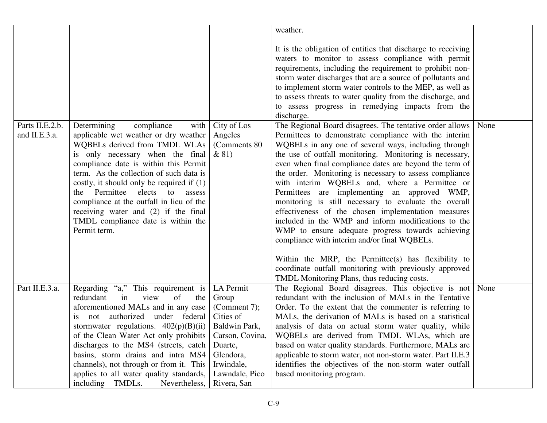|                                  |                                                                                                                                                                                                                                                                                                                                                                                                                                                                     |                                                  | weather.                                                                                                                                                                                                                                                                                                                                                                                                                                                                                                                                                                                                                                                                                                                                                                                                                                                                                                                                                                                                                                                                                                                                                                                                                                   |      |
|----------------------------------|---------------------------------------------------------------------------------------------------------------------------------------------------------------------------------------------------------------------------------------------------------------------------------------------------------------------------------------------------------------------------------------------------------------------------------------------------------------------|--------------------------------------------------|--------------------------------------------------------------------------------------------------------------------------------------------------------------------------------------------------------------------------------------------------------------------------------------------------------------------------------------------------------------------------------------------------------------------------------------------------------------------------------------------------------------------------------------------------------------------------------------------------------------------------------------------------------------------------------------------------------------------------------------------------------------------------------------------------------------------------------------------------------------------------------------------------------------------------------------------------------------------------------------------------------------------------------------------------------------------------------------------------------------------------------------------------------------------------------------------------------------------------------------------|------|
|                                  |                                                                                                                                                                                                                                                                                                                                                                                                                                                                     |                                                  |                                                                                                                                                                                                                                                                                                                                                                                                                                                                                                                                                                                                                                                                                                                                                                                                                                                                                                                                                                                                                                                                                                                                                                                                                                            |      |
| Parts II.E.2.b.<br>and II.E.3.a. | Determining<br>compliance<br>with  <br>applicable wet weather or dry weather<br>WQBELs derived from TMDL WLAs<br>is only necessary when the final<br>compliance date is within this Permit<br>term. As the collection of such data is<br>costly, it should only be required if $(1)$<br>the Permittee elects to<br>assess<br>compliance at the outfall in lieu of the<br>receiving water and (2) if the final<br>TMDL compliance date is within the<br>Permit term. | City of Los<br>Angeles<br>(Comments 80)<br>& 81) | It is the obligation of entities that discharge to receiving<br>waters to monitor to assess compliance with permit<br>requirements, including the requirement to prohibit non-<br>storm water discharges that are a source of pollutants and<br>to implement storm water controls to the MEP, as well as<br>to assess threats to water quality from the discharge, and<br>to assess progress in remedying impacts from the<br>discharge.<br>The Regional Board disagrees. The tentative order allows<br>Permittees to demonstrate compliance with the interim<br>WQBELs in any one of several ways, including through<br>the use of outfall monitoring. Monitoring is necessary,<br>even when final compliance dates are beyond the term of<br>the order. Monitoring is necessary to assess compliance<br>with interim WQBELs and, where a Permittee or<br>Permittees are implementing an approved WMP,<br>monitoring is still necessary to evaluate the overall<br>effectiveness of the chosen implementation measures<br>included in the WMP and inform modifications to the<br>WMP to ensure adequate progress towards achieving<br>compliance with interim and/or final WQBELs.<br>Within the MRP, the Permittee(s) has flexibility to | None |
|                                  |                                                                                                                                                                                                                                                                                                                                                                                                                                                                     |                                                  | coordinate outfall monitoring with previously approved                                                                                                                                                                                                                                                                                                                                                                                                                                                                                                                                                                                                                                                                                                                                                                                                                                                                                                                                                                                                                                                                                                                                                                                     |      |
|                                  |                                                                                                                                                                                                                                                                                                                                                                                                                                                                     |                                                  | TMDL Monitoring Plans, thus reducing costs.                                                                                                                                                                                                                                                                                                                                                                                                                                                                                                                                                                                                                                                                                                                                                                                                                                                                                                                                                                                                                                                                                                                                                                                                |      |
| Part II.E.3.a.                   | Regarding "a," This requirement is<br>redundant<br>of<br>the<br>view<br>in<br>aforementioned MALs and in any case                                                                                                                                                                                                                                                                                                                                                   | LA Permit<br>Group<br>(Comment 7);               | The Regional Board disagrees. This objective is not None<br>redundant with the inclusion of MALs in the Tentative<br>Order. To the extent that the commenter is referring to                                                                                                                                                                                                                                                                                                                                                                                                                                                                                                                                                                                                                                                                                                                                                                                                                                                                                                                                                                                                                                                               |      |
|                                  | authorized under federal<br>not<br>1S                                                                                                                                                                                                                                                                                                                                                                                                                               | Cities of                                        | MALs, the derivation of MALs is based on a statistical                                                                                                                                                                                                                                                                                                                                                                                                                                                                                                                                                                                                                                                                                                                                                                                                                                                                                                                                                                                                                                                                                                                                                                                     |      |
|                                  | stormwater regulations. $402(p)(B)(ii)$                                                                                                                                                                                                                                                                                                                                                                                                                             | Baldwin Park,                                    | analysis of data on actual storm water quality, while                                                                                                                                                                                                                                                                                                                                                                                                                                                                                                                                                                                                                                                                                                                                                                                                                                                                                                                                                                                                                                                                                                                                                                                      |      |
|                                  | of the Clean Water Act only prohibits                                                                                                                                                                                                                                                                                                                                                                                                                               | Carson, Covina,                                  | WQBELs are derived from TMDL WLAs, which are                                                                                                                                                                                                                                                                                                                                                                                                                                                                                                                                                                                                                                                                                                                                                                                                                                                                                                                                                                                                                                                                                                                                                                                               |      |
|                                  | discharges to the MS4 (streets, catch                                                                                                                                                                                                                                                                                                                                                                                                                               | Duarte,                                          | based on water quality standards. Furthermore, MALs are                                                                                                                                                                                                                                                                                                                                                                                                                                                                                                                                                                                                                                                                                                                                                                                                                                                                                                                                                                                                                                                                                                                                                                                    |      |
|                                  | basins, storm drains and intra MS4                                                                                                                                                                                                                                                                                                                                                                                                                                  | Glendora,                                        | applicable to storm water, not non-storm water. Part II.E.3                                                                                                                                                                                                                                                                                                                                                                                                                                                                                                                                                                                                                                                                                                                                                                                                                                                                                                                                                                                                                                                                                                                                                                                |      |
|                                  | channels), not through or from it. This                                                                                                                                                                                                                                                                                                                                                                                                                             | Irwindale,                                       | identifies the objectives of the non-storm water outfall                                                                                                                                                                                                                                                                                                                                                                                                                                                                                                                                                                                                                                                                                                                                                                                                                                                                                                                                                                                                                                                                                                                                                                                   |      |
|                                  | applies to all water quality standards,                                                                                                                                                                                                                                                                                                                                                                                                                             | Lawndale, Pico                                   | based monitoring program.                                                                                                                                                                                                                                                                                                                                                                                                                                                                                                                                                                                                                                                                                                                                                                                                                                                                                                                                                                                                                                                                                                                                                                                                                  |      |
|                                  | including TMDLs.<br>Nevertheless,                                                                                                                                                                                                                                                                                                                                                                                                                                   | Rivera, San                                      |                                                                                                                                                                                                                                                                                                                                                                                                                                                                                                                                                                                                                                                                                                                                                                                                                                                                                                                                                                                                                                                                                                                                                                                                                                            |      |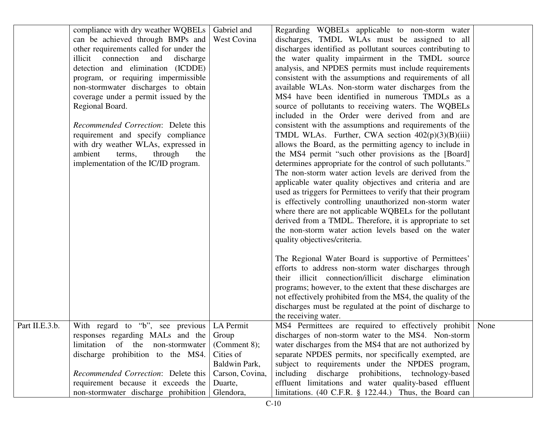|                | compliance with dry weather WQBELs         | Gabriel and     | Regarding WQBELs applicable to non-storm water               |  |
|----------------|--------------------------------------------|-----------------|--------------------------------------------------------------|--|
|                | can be achieved through BMPs and           | West Covina     | discharges, TMDL WLAs must be assigned to all                |  |
|                | other requirements called for under the    |                 | discharges identified as pollutant sources contributing to   |  |
|                | illicit connection<br>and<br>discharge     |                 | the water quality impairment in the TMDL source              |  |
|                | detection and elimination (ICDDE)          |                 | analysis, and NPDES permits must include requirements        |  |
|                | program, or requiring impermissible        |                 | consistent with the assumptions and requirements of all      |  |
|                | non-stormwater discharges to obtain        |                 | available WLAs. Non-storm water discharges from the          |  |
|                | coverage under a permit issued by the      |                 | MS4 have been identified in numerous TMDLs as a              |  |
|                | Regional Board.                            |                 | source of pollutants to receiving waters. The WQBELs         |  |
|                |                                            |                 | included in the Order were derived from and are              |  |
|                | Recommended Correction: Delete this        |                 | consistent with the assumptions and requirements of the      |  |
|                | requirement and specify compliance         |                 | TMDL WLAs. Further, CWA section $402(p)(3)(B)(iii)$          |  |
|                | with dry weather WLAs, expressed in        |                 | allows the Board, as the permitting agency to include in     |  |
|                | ambient<br>through<br>terms,<br>the        |                 | the MS4 permit "such other provisions as the [Board]         |  |
|                | implementation of the IC/ID program.       |                 | determines appropriate for the control of such pollutants."  |  |
|                |                                            |                 | The non-storm water action levels are derived from the       |  |
|                |                                            |                 | applicable water quality objectives and criteria and are     |  |
|                |                                            |                 | used as triggers for Permittees to verify that their program |  |
|                |                                            |                 | is effectively controlling unauthorized non-storm water      |  |
|                |                                            |                 | where there are not applicable WQBELs for the pollutant      |  |
|                |                                            |                 | derived from a TMDL. Therefore, it is appropriate to set     |  |
|                |                                            |                 | the non-storm water action levels based on the water         |  |
|                |                                            |                 | quality objectives/criteria.                                 |  |
|                |                                            |                 |                                                              |  |
|                |                                            |                 | The Regional Water Board is supportive of Permittees'        |  |
|                |                                            |                 | efforts to address non-storm water discharges through        |  |
|                |                                            |                 | their illicit connection/illicit discharge elimination       |  |
|                |                                            |                 | programs; however, to the extent that these discharges are   |  |
|                |                                            |                 | not effectively prohibited from the MS4, the quality of the  |  |
|                |                                            |                 | discharges must be regulated at the point of discharge to    |  |
|                |                                            |                 | the receiving water.                                         |  |
| Part II.E.3.b. | With regard to "b", see previous LA Permit |                 | MS4 Permittees are required to effectively prohibit None     |  |
|                | responses regarding MALs and the           | Group           | discharges of non-storm water to the MS4. Non-storm          |  |
|                | limitation<br>of the non-stormwater        | (Comment $8$ ); | water discharges from the MS4 that are not authorized by     |  |
|                | discharge prohibition to the MS4.          | Cities of       | separate NPDES permits, nor specifically exempted, are       |  |
|                |                                            | Baldwin Park,   | subject to requirements under the NPDES program,             |  |
|                |                                            |                 |                                                              |  |
|                | Recommended Correction: Delete this        | Carson, Covina, | including discharge prohibitions, technology-based           |  |
|                | requirement because it exceeds the         | Duarte,         | effluent limitations and water quality-based effluent        |  |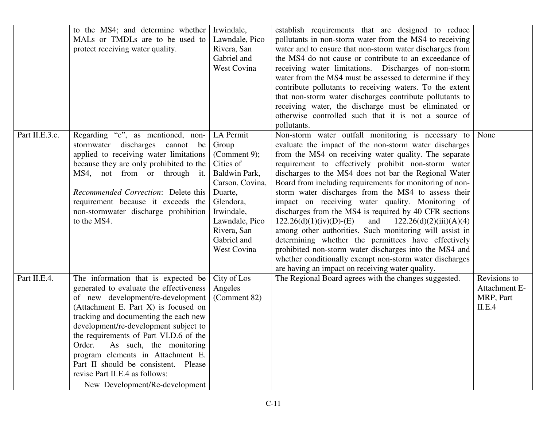|                | to the MS4; and determine whether<br>MALs or TMDLs are to be used to<br>protect receiving water quality.                                                                                                                                                                                                                                                                                                                                                                      | Irwindale,<br>Lawndale, Pico<br>Rivera, San<br>Gabriel and                                                                                                                               | establish requirements that are designed to reduce<br>pollutants in non-storm water from the MS4 to receiving<br>water and to ensure that non-storm water discharges from<br>the MS4 do not cause or contribute to an exceedance of                                                                                                                                                                                                                                                                                                                                                                                                                                                                                                                                                                                                                                             |                                                      |
|----------------|-------------------------------------------------------------------------------------------------------------------------------------------------------------------------------------------------------------------------------------------------------------------------------------------------------------------------------------------------------------------------------------------------------------------------------------------------------------------------------|------------------------------------------------------------------------------------------------------------------------------------------------------------------------------------------|---------------------------------------------------------------------------------------------------------------------------------------------------------------------------------------------------------------------------------------------------------------------------------------------------------------------------------------------------------------------------------------------------------------------------------------------------------------------------------------------------------------------------------------------------------------------------------------------------------------------------------------------------------------------------------------------------------------------------------------------------------------------------------------------------------------------------------------------------------------------------------|------------------------------------------------------|
|                |                                                                                                                                                                                                                                                                                                                                                                                                                                                                               | <b>West Covina</b>                                                                                                                                                                       | receiving water limitations. Discharges of non-storm<br>water from the MS4 must be assessed to determine if they<br>contribute pollutants to receiving waters. To the extent<br>that non-storm water discharges contribute pollutants to<br>receiving water, the discharge must be eliminated or                                                                                                                                                                                                                                                                                                                                                                                                                                                                                                                                                                                |                                                      |
|                |                                                                                                                                                                                                                                                                                                                                                                                                                                                                               |                                                                                                                                                                                          | otherwise controlled such that it is not a source of<br>pollutants.                                                                                                                                                                                                                                                                                                                                                                                                                                                                                                                                                                                                                                                                                                                                                                                                             |                                                      |
| Part II.E.3.c. | Regarding "c", as mentioned, non-<br>stormwater discharges<br>cannot be<br>applied to receiving water limitations<br>because they are only prohibited to the<br>MS4, not from or through it.<br>Recommended Correction: Delete this<br>requirement because it exceeds the<br>non-stormwater discharge prohibition<br>to the MS4.                                                                                                                                              | LA Permit<br>Group<br>(Comment 9);<br>Cities of<br>Baldwin Park,<br>Carson, Covina,<br>Duarte,<br>Glendora,<br>Irwindale,<br>Lawndale, Pico<br>Rivera, San<br>Gabriel and<br>West Covina | Non-storm water outfall monitoring is necessary to<br>evaluate the impact of the non-storm water discharges<br>from the MS4 on receiving water quality. The separate<br>requirement to effectively prohibit non-storm water<br>discharges to the MS4 does not bar the Regional Water<br>Board from including requirements for monitoring of non-<br>storm water discharges from the MS4 to assess their<br>impact on receiving water quality. Monitoring of<br>discharges from the MS4 is required by 40 CFR sections<br>and<br>$122.26(d)(1)(iv)(D)-(E)$<br>122.26(d)(2)(iii)(A)(4)<br>among other authorities. Such monitoring will assist in<br>determining whether the permittees have effectively<br>prohibited non-storm water discharges into the MS4 and<br>whether conditionally exempt non-storm water discharges<br>are having an impact on receiving water quality. | None                                                 |
| Part II.E.4.   | The information that is expected be<br>generated to evaluate the effectiveness<br>of new development/re-development<br>(Attachment E. Part X) is focused on<br>tracking and documenting the each new<br>development/re-development subject to<br>the requirements of Part VI.D.6 of the<br>Order.<br>As such, the monitoring<br>program elements in Attachment E.<br>Part II should be consistent. Please<br>revise Part II.E.4 as follows:<br>New Development/Re-development | City of Los<br>Angeles<br>(Comment 82)                                                                                                                                                   | The Regional Board agrees with the changes suggested.                                                                                                                                                                                                                                                                                                                                                                                                                                                                                                                                                                                                                                                                                                                                                                                                                           | Revisions to<br>Attachment E-<br>MRP, Part<br>II.E.4 |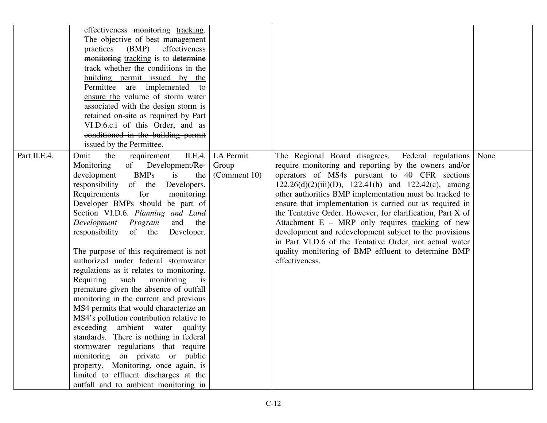|              | effectiveness monitoring tracking.<br>The objective of best management<br>practices<br>(BMP)<br>effectiveness<br>monitoring tracking is to determine<br>track whether the conditions in the<br>building permit issued by the<br>Permittee are implemented to<br>ensure the volume of storm water<br>associated with the design storm is<br>retained on-site as required by Part<br>VI.D.6.c.i of this Order, and as<br>conditioned in the building permit<br>issued by the Permittee.                                                                                                                                                                                                                                                                                                                                                                                                                                                                                               |                                    |                                                                                                                                                                                                                                                                                                                                                                                                                                                                                                                                                                                                                                                                     |      |
|--------------|-------------------------------------------------------------------------------------------------------------------------------------------------------------------------------------------------------------------------------------------------------------------------------------------------------------------------------------------------------------------------------------------------------------------------------------------------------------------------------------------------------------------------------------------------------------------------------------------------------------------------------------------------------------------------------------------------------------------------------------------------------------------------------------------------------------------------------------------------------------------------------------------------------------------------------------------------------------------------------------|------------------------------------|---------------------------------------------------------------------------------------------------------------------------------------------------------------------------------------------------------------------------------------------------------------------------------------------------------------------------------------------------------------------------------------------------------------------------------------------------------------------------------------------------------------------------------------------------------------------------------------------------------------------------------------------------------------------|------|
| Part II.E.4. | the<br>II.E.4.<br>Omit<br>requirement<br>of Development/Re-<br>Monitoring<br><b>BMPs</b><br>development<br>the<br>is<br>responsibility of the<br>Developers.<br>for<br>Requirements<br>monitoring<br>Developer BMPs should be part of<br>Section VI.D.6. Planning and Land<br>and the<br>Development Program<br>responsibility<br>of the<br>Developer.<br>The purpose of this requirement is not<br>authorized under federal stormwater<br>regulations as it relates to monitoring.<br>Requiring such<br>monitoring<br>is<br>premature given the absence of outfall<br>monitoring in the current and previous<br>MS4 permits that would characterize an<br>MS4's pollution contribution relative to<br>exceeding ambient water quality<br>standards. There is nothing in federal<br>stormwater regulations that require<br>monitoring on private or public<br>property. Monitoring, once again, is<br>limited to effluent discharges at the<br>outfall and to ambient monitoring in | LA Permit<br>Group<br>(Comment 10) | The Regional Board disagrees. Federal regulations<br>require monitoring and reporting by the owners and/or<br>operators of MS4s pursuant to 40 CFR sections<br>$122.26(d)(2)(iii)(D)$ , $122.41(h)$ and $122.42(c)$ , among<br>other authorities BMP implementation must be tracked to<br>ensure that implementation is carried out as required in<br>the Tentative Order. However, for clarification, Part X of<br>Attachment E - MRP only requires tracking of new<br>development and redevelopment subject to the provisions<br>in Part VI.D.6 of the Tentative Order, not actual water<br>quality monitoring of BMP effluent to determine BMP<br>effectiveness. | None |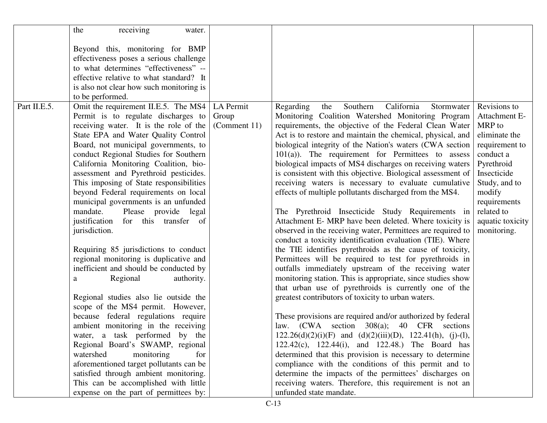|              | receiving<br>the<br>water.               |              |                                                                    |                  |
|--------------|------------------------------------------|--------------|--------------------------------------------------------------------|------------------|
|              |                                          |              |                                                                    |                  |
|              | Beyond this, monitoring for BMP          |              |                                                                    |                  |
|              | effectiveness poses a serious challenge  |              |                                                                    |                  |
|              | to what determines "effectiveness" --    |              |                                                                    |                  |
|              | effective relative to what standard? It  |              |                                                                    |                  |
|              | is also not clear how such monitoring is |              |                                                                    |                  |
|              | to be performed.                         |              |                                                                    |                  |
| Part II.E.5. | Omit the requirement II.E.5. The MS4     | LA Permit    | California<br>Southern<br>Regarding<br>Stormwater<br>the           | Revisions to     |
|              | Permit is to regulate discharges to      | Group        | Monitoring Coalition Watershed Monitoring Program                  | Attachment E-    |
|              | receiving water. It is the role of the   | (Comment 11) | requirements, the objective of the Federal Clean Water             | MRP to           |
|              | State EPA and Water Quality Control      |              | Act is to restore and maintain the chemical, physical, and         | eliminate the    |
|              | Board, not municipal governments, to     |              | biological integrity of the Nation's waters (CWA section           | requirement to   |
|              | conduct Regional Studies for Southern    |              | $101(a)$ ). The requirement for Permittees to assess               | conduct a        |
|              | California Monitoring Coalition, bio-    |              | biological impacts of MS4 discharges on receiving waters           | Pyrethroid       |
|              | assessment and Pyrethroid pesticides.    |              | is consistent with this objective. Biological assessment of        | Insecticide      |
|              | This imposing of State responsibilities  |              | receiving waters is necessary to evaluate cumulative               | Study, and to    |
|              | beyond Federal requirements on local     |              | effects of multiple pollutants discharged from the MS4.            | modify           |
|              | municipal governments is an unfunded     |              |                                                                    | requirements     |
|              | mandate.<br>Please provide legal         |              | The Pyrethroid Insecticide Study Requirements in                   | related to       |
|              | justification<br>for this transfer of    |              | Attachment E- MRP have been deleted. Where toxicity is             | aquatic toxicity |
|              | jurisdiction.                            |              | observed in the receiving water, Permittees are required to        | monitoring.      |
|              |                                          |              | conduct a toxicity identification evaluation (TIE). Where          |                  |
|              | Requiring 85 jurisdictions to conduct    |              | the TIE identifies pyrethroids as the cause of toxicity,           |                  |
|              | regional monitoring is duplicative and   |              | Permittees will be required to test for pyrethroids in             |                  |
|              | inefficient and should be conducted by   |              | outfalls immediately upstream of the receiving water               |                  |
|              | Regional<br>authority.<br>a              |              | monitoring station. This is appropriate, since studies show        |                  |
|              |                                          |              | that urban use of pyrethroids is currently one of the              |                  |
|              | Regional studies also lie outside the    |              | greatest contributors of toxicity to urban waters.                 |                  |
|              | scope of the MS4 permit. However,        |              |                                                                    |                  |
|              | because federal regulations require      |              | These provisions are required and/or authorized by federal         |                  |
|              | ambient monitoring in the receiving      |              | law. (CWA section 308(a); 40 CFR sections                          |                  |
|              | water, a task performed by the           |              | $122.26(d)(2)(i)(F)$ and $(d)(2)(iii)(D)$ , $122.41(h)$ , (j)-(l), |                  |
|              | Regional Board's SWAMP, regional         |              | 122.42(c), 122.44(i), and 122.48.) The Board has                   |                  |
|              | watershed<br>monitoring<br>for           |              | determined that this provision is necessary to determine           |                  |
|              | aforementioned target pollutants can be  |              | compliance with the conditions of this permit and to               |                  |
|              | satisfied through ambient monitoring.    |              | determine the impacts of the permittees' discharges on             |                  |
|              | This can be accomplished with little     |              | receiving waters. Therefore, this requirement is not an            |                  |
|              | expense on the part of permittees by:    |              | unfunded state mandate.                                            |                  |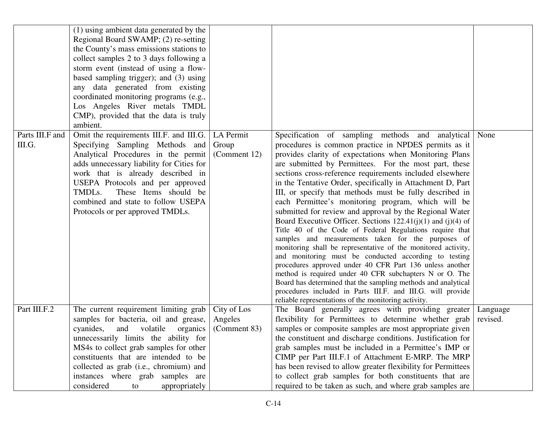|                           | (1) using ambient data generated by the<br>Regional Board SWAMP; (2) re-setting<br>the County's mass emissions stations to<br>collect samples 2 to 3 days following a<br>storm event (instead of using a flow-<br>based sampling trigger); and (3) using<br>any data generated from existing<br>coordinated monitoring programs (e.g.,<br>Los Angeles River metals TMDL<br>CMP), provided that the data is truly<br>ambient. |                                        |                                                                                                                                                                                                                                                                                                                                                                                                                                                                                                                                                                                                                                                                                                                                                                                                                                                                                                                                                                                                                                                                                                                                                                  |                      |
|---------------------------|------------------------------------------------------------------------------------------------------------------------------------------------------------------------------------------------------------------------------------------------------------------------------------------------------------------------------------------------------------------------------------------------------------------------------|----------------------------------------|------------------------------------------------------------------------------------------------------------------------------------------------------------------------------------------------------------------------------------------------------------------------------------------------------------------------------------------------------------------------------------------------------------------------------------------------------------------------------------------------------------------------------------------------------------------------------------------------------------------------------------------------------------------------------------------------------------------------------------------------------------------------------------------------------------------------------------------------------------------------------------------------------------------------------------------------------------------------------------------------------------------------------------------------------------------------------------------------------------------------------------------------------------------|----------------------|
| Parts III.F and<br>III.G. | Omit the requirements III.F. and III.G.<br>Specifying Sampling Methods and<br>Analytical Procedures in the permit<br>adds unnecessary liability for Cities for<br>work that is already described in<br>USEPA Protocols and per approved<br>TMDLs.<br>These Items should be<br>combined and state to follow USEPA<br>Protocols or per approved TMDLs.                                                                         | LA Permit<br>Group<br>(Comment 12)     | Specification of sampling methods and analytical<br>procedures is common practice in NPDES permits as it<br>provides clarity of expectations when Monitoring Plans<br>are submitted by Permittees. For the most part, these<br>sections cross-reference requirements included elsewhere<br>in the Tentative Order, specifically in Attachment D, Part<br>III, or specify that methods must be fully described in<br>each Permittee's monitoring program, which will be<br>submitted for review and approval by the Regional Water<br>Board Executive Officer. Sections $122.41(j)(1)$ and $(j)(4)$ of<br>Title 40 of the Code of Federal Regulations require that<br>samples and measurements taken for the purposes of<br>monitoring shall be representative of the monitored activity,<br>and monitoring must be conducted according to testing<br>procedures approved under 40 CFR Part 136 unless another<br>method is required under 40 CFR subchapters N or O. The<br>Board has determined that the sampling methods and analytical<br>procedures included in Parts III.F. and III.G. will provide<br>reliable representations of the monitoring activity. | None                 |
| Part III.F.2              | The current requirement limiting grab<br>samples for bacteria, oil and grease,<br>cyanides,<br>volatile<br>and<br>organics<br>unnecessarily limits the ability for<br>MS4s to collect grab samples for other<br>constituents that are intended to be<br>collected as grab (i.e., chromium) and<br>instances where grab samples are<br>considered<br>appropriately<br>to                                                      | City of Los<br>Angeles<br>(Comment 83) | The Board generally agrees with providing greater<br>flexibility for Permittees to determine whether grab<br>samples or composite samples are most appropriate given<br>the constituent and discharge conditions. Justification for<br>grab samples must be included in a Permittee's IMP or<br>CIMP per Part III.F.1 of Attachment E-MRP. The MRP<br>has been revised to allow greater flexibility for Permittees<br>to collect grab samples for both constituents that are<br>required to be taken as such, and where grab samples are                                                                                                                                                                                                                                                                                                                                                                                                                                                                                                                                                                                                                         | Language<br>revised. |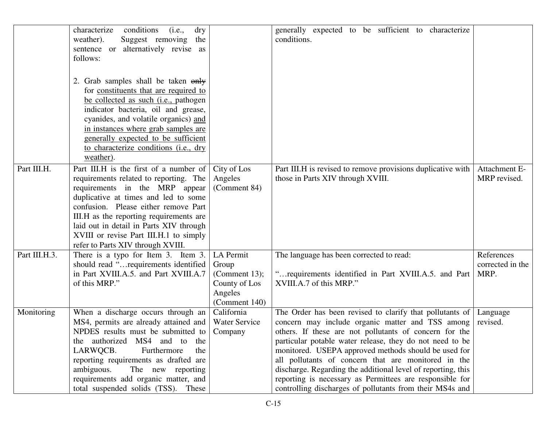|               | characterize<br>conditions<br>(i.e.,<br>$\rm{dry}$<br>weather).<br>Suggest removing<br>the<br>sentence or alternatively revise as<br>follows:<br>2. Grab samples shall be taken only<br>for constituents that are required to<br>be collected as such (i.e., pathogen<br>indicator bacteria, oil and grease,<br>cyanides, and volatile organics) and<br>in instances where grab samples are<br>generally expected to be sufficient<br>to characterize conditions (i.e., dry |                                                                                  | generally expected to be sufficient to characterize<br>conditions.                                                                                                                                                                                                                                                                                                                                                                                                                                                                        |                                        |
|---------------|-----------------------------------------------------------------------------------------------------------------------------------------------------------------------------------------------------------------------------------------------------------------------------------------------------------------------------------------------------------------------------------------------------------------------------------------------------------------------------|----------------------------------------------------------------------------------|-------------------------------------------------------------------------------------------------------------------------------------------------------------------------------------------------------------------------------------------------------------------------------------------------------------------------------------------------------------------------------------------------------------------------------------------------------------------------------------------------------------------------------------------|----------------------------------------|
| Part III.H.   | weather).<br>Part III.H is the first of a number of<br>requirements related to reporting. The<br>requirements in the MRP appear<br>duplicative at times and led to some<br>confusion. Please either remove Part<br>III.H as the reporting requirements are<br>laid out in detail in Parts XIV through<br>XVIII or revise Part III.H.1 to simply<br>refer to Parts XIV through XVIII.                                                                                        | City of Los<br>Angeles<br>(Comment 84)                                           | Part III.H is revised to remove provisions duplicative with<br>those in Parts XIV through XVIII.                                                                                                                                                                                                                                                                                                                                                                                                                                          | Attachment E-<br>MRP revised.          |
| Part III.H.3. | There is a typo for Item 3. Item 3.<br>should read "requirements identified<br>in Part XVIII.A.5. and Part XVIII.A.7<br>of this MRP."                                                                                                                                                                                                                                                                                                                                       | LA Permit<br>Group<br>(Comment 13);<br>County of Los<br>Angeles<br>(Comment 140) | The language has been corrected to read:<br>" requirements identified in Part XVIII.A.5. and Part<br>XVIII.A.7 of this MRP."                                                                                                                                                                                                                                                                                                                                                                                                              | References<br>corrected in the<br>MRP. |
| Monitoring    | When a discharge occurs through an<br>MS4, permits are already attained and<br>NPDES results must be submitted to<br>the authorized MS4 and to the<br>LARWQCB.<br>Furthermore<br>the<br>reporting requirements as drafted are<br>ambiguous.<br>The new reporting<br>requirements add organic matter, and<br>total suspended solids (TSS). These                                                                                                                             | California<br>Water Service<br>Company                                           | The Order has been revised to clarify that pollutants of<br>concern may include organic matter and TSS among<br>others. If these are not pollutants of concern for the<br>particular potable water release, they do not need to be<br>monitored. USEPA approved methods should be used for<br>all pollutants of concern that are monitored in the<br>discharge. Regarding the additional level of reporting, this<br>reporting is necessary as Permittees are responsible for<br>controlling discharges of pollutants from their MS4s and | Language<br>revised.                   |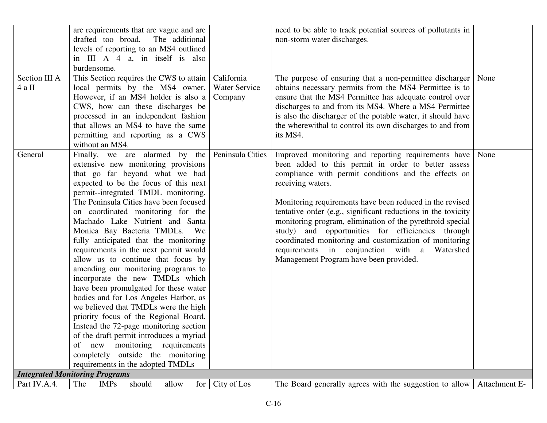|                         | are requirements that are vague and are<br>drafted too broad.<br>The additional<br>levels of reporting to an MS4 outlined<br>in III A 4 a, in itself is also<br>burdensome.                                                                                                                                                                                                                                                                                                                                                                                                                                                                                                                                                                                                                                                                                                                                               |                                               | need to be able to track potential sources of pollutants in<br>non-storm water discharges.                                                                                                                                                                                                                                                                                                                                                                                                                                                                                                 |               |
|-------------------------|---------------------------------------------------------------------------------------------------------------------------------------------------------------------------------------------------------------------------------------------------------------------------------------------------------------------------------------------------------------------------------------------------------------------------------------------------------------------------------------------------------------------------------------------------------------------------------------------------------------------------------------------------------------------------------------------------------------------------------------------------------------------------------------------------------------------------------------------------------------------------------------------------------------------------|-----------------------------------------------|--------------------------------------------------------------------------------------------------------------------------------------------------------------------------------------------------------------------------------------------------------------------------------------------------------------------------------------------------------------------------------------------------------------------------------------------------------------------------------------------------------------------------------------------------------------------------------------------|---------------|
| Section III A<br>4 a II | This Section requires the CWS to attain<br>local permits by the MS4 owner.<br>However, if an MS4 holder is also a<br>CWS, how can these discharges be<br>processed in an independent fashion<br>that allows an MS4 to have the same<br>permitting and reporting as a CWS<br>without an MS4.                                                                                                                                                                                                                                                                                                                                                                                                                                                                                                                                                                                                                               | California<br><b>Water Service</b><br>Company | The purpose of ensuring that a non-permittee discharger<br>obtains necessary permits from the MS4 Permittee is to<br>ensure that the MS4 Permittee has adequate control over<br>discharges to and from its MS4. Where a MS4 Permittee<br>is also the discharger of the potable water, it should have<br>the wherewithal to control its own discharges to and from<br>its MS4.                                                                                                                                                                                                              | None          |
| General                 | Finally, we are alarmed by the<br>extensive new monitoring provisions<br>that go far beyond what we had<br>expected to be the focus of this next<br>permit--integrated TMDL monitoring.<br>The Peninsula Cities have been focused<br>on coordinated monitoring for the<br>Machado Lake Nutrient and Santa<br>Monica Bay Bacteria TMDLs. We<br>fully anticipated that the monitoring<br>requirements in the next permit would<br>allow us to continue that focus by<br>amending our monitoring programs to<br>incorporate the new TMDLs which<br>have been promulgated for these water<br>bodies and for Los Angeles Harbor, as<br>we believed that TMDLs were the high<br>priority focus of the Regional Board.<br>Instead the 72-page monitoring section<br>of the draft permit introduces a myriad<br>monitoring<br>requirements<br>new<br>of<br>completely outside the monitoring<br>requirements in the adopted TMDLs | Peninsula Cities                              | Improved monitoring and reporting requirements have<br>been added to this permit in order to better assess<br>compliance with permit conditions and the effects on<br>receiving waters.<br>Monitoring requirements have been reduced in the revised<br>tentative order (e.g., significant reductions in the toxicity<br>monitoring program, elimination of the pyrethroid special<br>study) and opportunities for efficiencies through<br>coordinated monitoring and customization of monitoring<br>requirements in conjunction with a Watershed<br>Management Program have been provided. | None          |
|                         | <b>Integrated Monitoring Programs</b>                                                                                                                                                                                                                                                                                                                                                                                                                                                                                                                                                                                                                                                                                                                                                                                                                                                                                     |                                               |                                                                                                                                                                                                                                                                                                                                                                                                                                                                                                                                                                                            |               |
| Part IV.A.4.            | should<br>for<br>The<br><b>IMPs</b><br>allow                                                                                                                                                                                                                                                                                                                                                                                                                                                                                                                                                                                                                                                                                                                                                                                                                                                                              | City of Los                                   | The Board generally agrees with the suggestion to allow                                                                                                                                                                                                                                                                                                                                                                                                                                                                                                                                    | Attachment E- |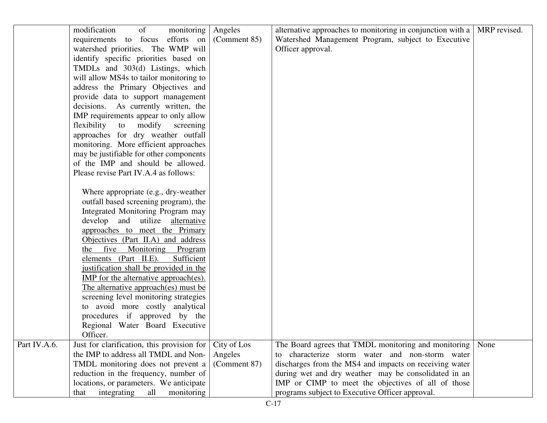|              | modification<br>of<br>monitoring             | Angeles      | alternative approaches to monitoring in conjunction with a | MRP revised. |
|--------------|----------------------------------------------|--------------|------------------------------------------------------------|--------------|
|              | requirements to focus efforts on             | (Comment 85) | Watershed Management Program, subject to Executive         |              |
|              | watershed priorities. The WMP will           |              | Officer approval.                                          |              |
|              | identify specific priorities based on        |              |                                                            |              |
|              | TMDLs and 303(d) Listings, which             |              |                                                            |              |
|              | will allow MS4s to tailor monitoring to      |              |                                                            |              |
|              | address the Primary Objectives and           |              |                                                            |              |
|              | provide data to support management           |              |                                                            |              |
|              | decisions. As currently written, the         |              |                                                            |              |
|              | IMP requirements appear to only allow        |              |                                                            |              |
|              | flexibility to modify screening              |              |                                                            |              |
|              | approaches for dry weather outfall           |              |                                                            |              |
|              | monitoring. More efficient approaches        |              |                                                            |              |
|              | may be justifiable for other components      |              |                                                            |              |
|              | of the IMP and should be allowed.            |              |                                                            |              |
|              | Please revise Part IV.A.4 as follows:        |              |                                                            |              |
|              |                                              |              |                                                            |              |
|              | Where appropriate (e.g., dry-weather         |              |                                                            |              |
|              | outfall based screening program), the        |              |                                                            |              |
|              | Integrated Monitoring Program may            |              |                                                            |              |
|              | develop and utilize alternative              |              |                                                            |              |
|              | approaches to meet the Primary               |              |                                                            |              |
|              | Objectives (Part II.A) and address           |              |                                                            |              |
|              | the five Monitoring Program                  |              |                                                            |              |
|              | elements (Part II.E).<br>Sufficient          |              |                                                            |              |
|              | justification shall be provided in the       |              |                                                            |              |
|              | <b>IMP</b> for the alternative approach(es). |              |                                                            |              |
|              | The alternative approach(es) must be         |              |                                                            |              |
|              | screening level monitoring strategies        |              |                                                            |              |
|              | to avoid more costly analytical              |              |                                                            |              |
|              |                                              |              |                                                            |              |
|              | procedures if approved by the                |              |                                                            |              |
|              | Regional Water Board Executive               |              |                                                            |              |
|              | Officer.                                     |              |                                                            |              |
| Part IV.A.6. | Just for clarification, this provision for   | City of Los  | The Board agrees that TMDL monitoring and monitoring       | None         |
|              | the IMP to address all TMDL and Non-         | Angeles      | characterize storm water and non-storm water<br>to         |              |
|              | TMDL monitoring does not prevent a           | (Comment 87) | discharges from the MS4 and impacts on receiving water     |              |
|              | reduction in the frequency, number of        |              | during wet and dry weather may be consolidated in an       |              |
|              | locations, or parameters. We anticipate      |              | IMP or CIMP to meet the objectives of all of those         |              |
|              | integrating<br>all<br>monitoring<br>that     |              | programs subject to Executive Officer approval.            |              |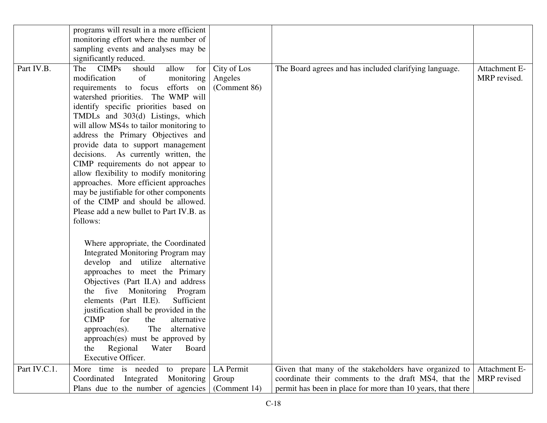|              | programs will result in a more efficient |              |                                                             |               |
|--------------|------------------------------------------|--------------|-------------------------------------------------------------|---------------|
|              | monitoring effort where the number of    |              |                                                             |               |
|              | sampling events and analyses may be      |              |                                                             |               |
|              | significantly reduced.                   |              |                                                             |               |
|              |                                          |              |                                                             |               |
| Part IV.B.   | should<br>allow<br>The CIMPs<br>for      | City of Los  | The Board agrees and has included clarifying language.      | Attachment E- |
|              | modification<br>of<br>monitoring         | Angeles      |                                                             | MRP revised.  |
|              | requirements to focus efforts on         | (Comment 86) |                                                             |               |
|              | watershed priorities. The WMP will       |              |                                                             |               |
|              | identify specific priorities based on    |              |                                                             |               |
|              | TMDLs and 303(d) Listings, which         |              |                                                             |               |
|              | will allow MS4s to tailor monitoring to  |              |                                                             |               |
|              | address the Primary Objectives and       |              |                                                             |               |
|              | provide data to support management       |              |                                                             |               |
|              | decisions. As currently written, the     |              |                                                             |               |
|              | CIMP requirements do not appear to       |              |                                                             |               |
|              | allow flexibility to modify monitoring   |              |                                                             |               |
|              | approaches. More efficient approaches    |              |                                                             |               |
|              | may be justifiable for other components  |              |                                                             |               |
|              | of the CIMP and should be allowed.       |              |                                                             |               |
|              | Please add a new bullet to Part IV.B. as |              |                                                             |               |
|              | follows:                                 |              |                                                             |               |
|              |                                          |              |                                                             |               |
|              |                                          |              |                                                             |               |
|              | Where appropriate, the Coordinated       |              |                                                             |               |
|              | Integrated Monitoring Program may        |              |                                                             |               |
|              | develop and utilize alternative          |              |                                                             |               |
|              | approaches to meet the Primary           |              |                                                             |               |
|              | Objectives (Part II.A) and address       |              |                                                             |               |
|              | the five Monitoring Program              |              |                                                             |               |
|              | elements (Part II.E).<br>Sufficient      |              |                                                             |               |
|              | justification shall be provided in the   |              |                                                             |               |
|              | for<br><b>CIMP</b><br>alternative<br>the |              |                                                             |               |
|              | The<br>approach(es).<br>alternative      |              |                                                             |               |
|              | approach(es) must be approved by         |              |                                                             |               |
|              | Regional<br>Water<br>Board<br>the        |              |                                                             |               |
|              | <b>Executive Officer.</b>                |              |                                                             |               |
| Part IV.C.1. |                                          |              |                                                             |               |
|              | More time is needed<br>to prepare        | LA Permit    | Given that many of the stakeholders have organized to       | Attachment E- |
|              | Integrated<br>Monitoring<br>Coordinated  | Group        | coordinate their comments to the draft MS4, that the        | MRP revised   |
|              | Plans due to the number of agencies      | (Comment 14) | permit has been in place for more than 10 years, that there |               |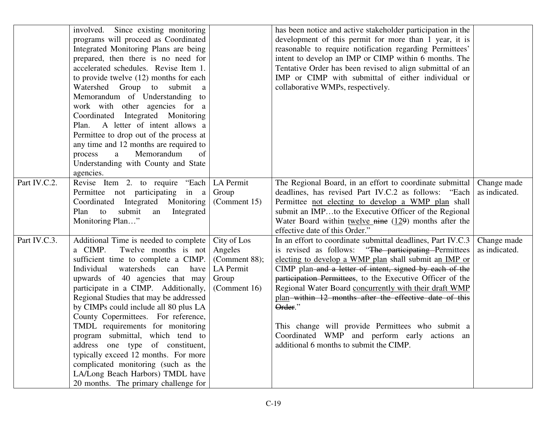|              | involved. Since existing monitoring<br>programs will proceed as Coordinated<br>Integrated Monitoring Plans are being<br>prepared, then there is no need for<br>accelerated schedules. Revise Item 1.<br>to provide twelve $(12)$ months for each<br>Watershed Group to submit a<br>Memorandum of Understanding to<br>work with other agencies for a<br>Coordinated Integrated Monitoring<br>Plan. A letter of intent allows a<br>Permittee to drop out of the process at<br>any time and 12 months are required to<br>Memorandum<br>process<br>a<br>of<br>Understanding with County and State<br>agencies.                          |                                                                               | has been notice and active stakeholder participation in the<br>development of this permit for more than 1 year, it is<br>reasonable to require notification regarding Permittees'<br>intent to develop an IMP or CIMP within 6 months. The<br>Tentative Order has been revised to align submittal of an<br>IMP or CIMP with submittal of either individual or<br>collaborative WMPs, respectively.                                                                                                                                                                                 |                              |
|--------------|-------------------------------------------------------------------------------------------------------------------------------------------------------------------------------------------------------------------------------------------------------------------------------------------------------------------------------------------------------------------------------------------------------------------------------------------------------------------------------------------------------------------------------------------------------------------------------------------------------------------------------------|-------------------------------------------------------------------------------|------------------------------------------------------------------------------------------------------------------------------------------------------------------------------------------------------------------------------------------------------------------------------------------------------------------------------------------------------------------------------------------------------------------------------------------------------------------------------------------------------------------------------------------------------------------------------------|------------------------------|
| Part IV.C.2. | Revise Item 2. to require "Each<br>Permittee not participating in a<br>Coordinated Integrated Monitoring<br>to<br>submit<br>Plan<br>Integrated<br>an<br>Monitoring Plan"                                                                                                                                                                                                                                                                                                                                                                                                                                                            | LA Permit<br>Group<br>(Comment 15)                                            | The Regional Board, in an effort to coordinate submittal<br>deadlines, has revised Part IV.C.2 as follows: "Each<br>Permittee not electing to develop a WMP plan shall<br>submit an IMPto the Executive Officer of the Regional<br>Water Board within twelve $\frac{m}{n}$ (129) months after the<br>effective date of this Order."                                                                                                                                                                                                                                                | Change made<br>as indicated. |
| Part IV.C.3. | Additional Time is needed to complete<br>a CIMP.<br>Twelve months is not<br>sufficient time to complete a CIMP.<br>Individual<br>watersheds can<br>have<br>upwards of 40 agencies that may<br>participate in a CIMP. Additionally,<br>Regional Studies that may be addressed<br>by CIMPs could include all 80 plus LA<br>County Copermittees. For reference,<br>TMDL requirements for monitoring<br>program submittal, which tend to<br>address one type of constituent,<br>typically exceed 12 months. For more<br>complicated monitoring (such as the<br>LA/Long Beach Harbors) TMDL have<br>20 months. The primary challenge for | City of Los<br>Angeles<br>(Comment 88);<br>LA Permit<br>Group<br>(Comment 16) | In an effort to coordinate submittal deadlines, Part IV.C.3<br>is revised as follows: "The participating Permittees<br>electing to develop a WMP plan shall submit an IMP or<br>CIMP plan-and a letter of intent, signed by each of the<br>participation Permittees, to the Executive Officer of the<br>Regional Water Board concurrently with their draft WMP<br>plan—within—12 months after the effective date of this<br>Order."<br>This change will provide Permittees who submit a<br>Coordinated WMP and perform early actions an<br>additional 6 months to submit the CIMP. | Change made<br>as indicated. |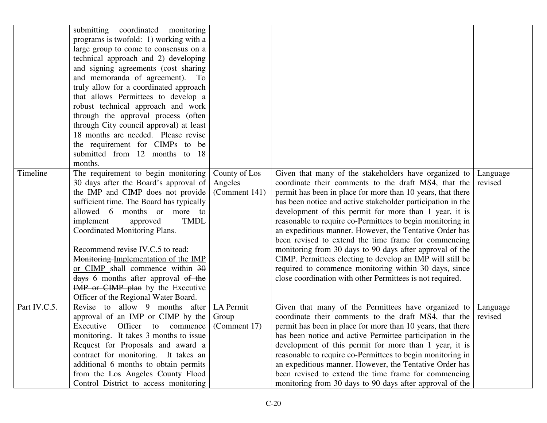|              | submitting coordinated monitoring<br>programs is twofold: 1) working with a<br>large group to come to consensus on a<br>technical approach and 2) developing<br>and signing agreements (cost sharing<br>and memoranda of agreement). To<br>truly allow for a coordinated approach<br>that allows Permittees to develop a<br>robust technical approach and work<br>through the approval process (often<br>through City council approval) at least<br>18 months are needed. Please revise<br>the requirement for CIMPs to be<br>submitted from 12 months to 18<br>months. |                                           |                                                                                                                                                                                                                                                                                                                                                                                                                                                                                                                                                                                                                                                                                                                                       |                     |
|--------------|-------------------------------------------------------------------------------------------------------------------------------------------------------------------------------------------------------------------------------------------------------------------------------------------------------------------------------------------------------------------------------------------------------------------------------------------------------------------------------------------------------------------------------------------------------------------------|-------------------------------------------|---------------------------------------------------------------------------------------------------------------------------------------------------------------------------------------------------------------------------------------------------------------------------------------------------------------------------------------------------------------------------------------------------------------------------------------------------------------------------------------------------------------------------------------------------------------------------------------------------------------------------------------------------------------------------------------------------------------------------------------|---------------------|
| Timeline     | The requirement to begin monitoring<br>30 days after the Board's approval of<br>the IMP and CIMP does not provide<br>sufficient time. The Board has typically<br>allowed 6 months or more to<br>implement<br><b>TMDL</b><br>approved<br>Coordinated Monitoring Plans.<br>Recommend revise IV.C.5 to read:<br>Monitoring-Implementation of the IMP<br>or CIMP shall commence within 30<br>days 6 months after approval of the<br>IMP or CIMP plan by the Executive<br>Officer of the Regional Water Board.                                                               | County of Los<br>Angeles<br>(Comment 141) | Given that many of the stakeholders have organized to<br>coordinate their comments to the draft MS4, that the<br>permit has been in place for more than 10 years, that there<br>has been notice and active stakeholder participation in the<br>development of this permit for more than 1 year, it is<br>reasonable to require co-Permittees to begin monitoring in<br>an expeditious manner. However, the Tentative Order has<br>been revised to extend the time frame for commencing<br>monitoring from 30 days to 90 days after approval of the<br>CIMP. Permittees electing to develop an IMP will still be<br>required to commence monitoring within 30 days, since<br>close coordination with other Permittees is not required. | Language<br>revised |
| Part IV.C.5. | Revise to allow 9 months after<br>approval of an IMP or CIMP by the<br>Executive Officer to commence<br>monitoring. It takes 3 months to issue<br>Request for Proposals and award a<br>contract for monitoring. It takes an<br>additional 6 months to obtain permits<br>from the Los Angeles County Flood<br>Control District to access monitoring                                                                                                                                                                                                                      | LA Permit<br>Group<br>(Comment 17)        | Given that many of the Permittees have organized to<br>coordinate their comments to the draft MS4, that the<br>permit has been in place for more than 10 years, that there<br>has been notice and active Permittee participation in the<br>development of this permit for more than 1 year, it is<br>reasonable to require co-Permittees to begin monitoring in<br>an expeditious manner. However, the Tentative Order has<br>been revised to extend the time frame for commencing<br>monitoring from 30 days to 90 days after approval of the                                                                                                                                                                                        | Language<br>revised |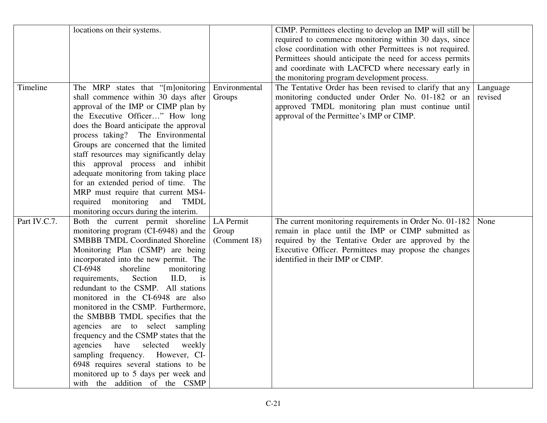|              | locations on their systems.             |               | CIMP. Permittees electing to develop an IMP will still be |          |
|--------------|-----------------------------------------|---------------|-----------------------------------------------------------|----------|
|              |                                         |               | required to commence monitoring within 30 days, since     |          |
|              |                                         |               | close coordination with other Permittees is not required. |          |
|              |                                         |               | Permittees should anticipate the need for access permits  |          |
|              |                                         |               | and coordinate with LACFCD where necessary early in       |          |
|              |                                         |               | the monitoring program development process.               |          |
| Timeline     | The MRP states that "[m]onitoring       | Environmental | The Tentative Order has been revised to clarify that any  | Language |
|              | shall commence within 30 days after     | Groups        | monitoring conducted under Order No. 01-182 or an         | revised  |
|              | approval of the IMP or CIMP plan by     |               | approved TMDL monitoring plan must continue until         |          |
|              | the Executive Officer" How long         |               | approval of the Permittee's IMP or CIMP.                  |          |
|              | does the Board anticipate the approval  |               |                                                           |          |
|              | process taking? The Environmental       |               |                                                           |          |
|              | Groups are concerned that the limited   |               |                                                           |          |
|              | staff resources may significantly delay |               |                                                           |          |
|              | this approval process and inhibit       |               |                                                           |          |
|              | adequate monitoring from taking place   |               |                                                           |          |
|              | for an extended period of time. The     |               |                                                           |          |
|              | MRP must require that current MS4-      |               |                                                           |          |
|              | required monitoring and TMDL            |               |                                                           |          |
|              | monitoring occurs during the interim.   |               |                                                           |          |
| Part IV.C.7. | Both the current permit shoreline       | LA Permit     | The current monitoring requirements in Order No. 01-182   | None     |
|              | monitoring program (CI-6948) and the    | Group         | remain in place until the IMP or CIMP submitted as        |          |
|              | <b>SMBBB TMDL Coordinated Shoreline</b> | (Comment 18)  | required by the Tentative Order are approved by the       |          |
|              | Monitoring Plan (CSMP) are being        |               | Executive Officer. Permittees may propose the changes     |          |
|              | incorporated into the new permit. The   |               | identified in their IMP or CIMP.                          |          |
|              | CI-6948<br>shoreline<br>monitoring      |               |                                                           |          |
|              | II.D,<br>requirements,<br>Section<br>is |               |                                                           |          |
|              | redundant to the CSMP. All stations     |               |                                                           |          |
|              | monitored in the CI-6948 are also       |               |                                                           |          |
|              | monitored in the CSMP. Furthermore,     |               |                                                           |          |
|              | the SMBBB TMDL specifies that the       |               |                                                           |          |
|              | agencies are to select sampling         |               |                                                           |          |
|              | frequency and the CSMP states that the  |               |                                                           |          |
|              | agencies<br>have<br>selected<br>weekly  |               |                                                           |          |
|              | sampling frequency. However, CI-        |               |                                                           |          |
|              | 6948 requires several stations to be    |               |                                                           |          |
|              | monitored up to 5 days per week and     |               |                                                           |          |
|              | with the addition of the CSMP           |               |                                                           |          |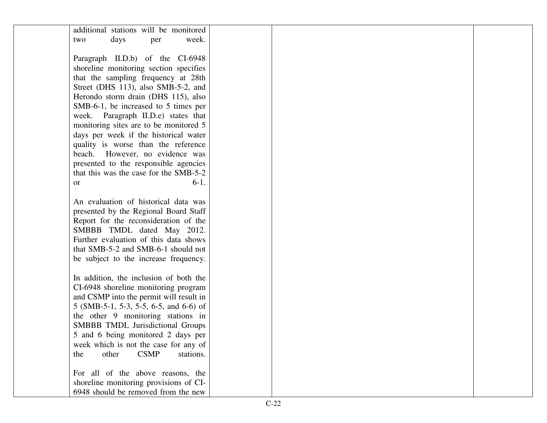| additional stations will be monitored    |  |  |
|------------------------------------------|--|--|
| days<br>week.<br>two<br>per              |  |  |
|                                          |  |  |
| Paragraph II.D.b) of the CI-6948         |  |  |
| shoreline monitoring section specifies   |  |  |
| that the sampling frequency at 28th      |  |  |
| Street (DHS 113), also SMB-5-2, and      |  |  |
| Herondo storm drain (DHS 115), also      |  |  |
| SMB-6-1, be increased to 5 times per     |  |  |
| week. Paragraph II.D.e) states that      |  |  |
| monitoring sites are to be monitored 5   |  |  |
| days per week if the historical water    |  |  |
| quality is worse than the reference      |  |  |
| beach. However, no evidence was          |  |  |
| presented to the responsible agencies    |  |  |
| that this was the case for the SMB-5-2   |  |  |
| $6-1.$<br><b>or</b>                      |  |  |
|                                          |  |  |
| An evaluation of historical data was     |  |  |
| presented by the Regional Board Staff    |  |  |
| Report for the reconsideration of the    |  |  |
| SMBBB TMDL dated May 2012.               |  |  |
| Further evaluation of this data shows    |  |  |
| that SMB-5-2 and SMB-6-1 should not      |  |  |
| be subject to the increase frequency.    |  |  |
|                                          |  |  |
| In addition, the inclusion of both the   |  |  |
| CI-6948 shoreline monitoring program     |  |  |
| and CSMP into the permit will result in  |  |  |
| 5 (SMB-5-1, 5-3, 5-5, 6-5, and 6-6) of   |  |  |
| the other 9 monitoring stations in       |  |  |
| SMBBB TMDL Jurisdictional Groups         |  |  |
| 5 and 6 being monitored 2 days per       |  |  |
| week which is not the case for any of    |  |  |
| other<br><b>CSMP</b><br>stations.<br>the |  |  |
|                                          |  |  |
| For all of the above reasons, the        |  |  |
| shoreline monitoring provisions of CI-   |  |  |
| 6948 should be removed from the new      |  |  |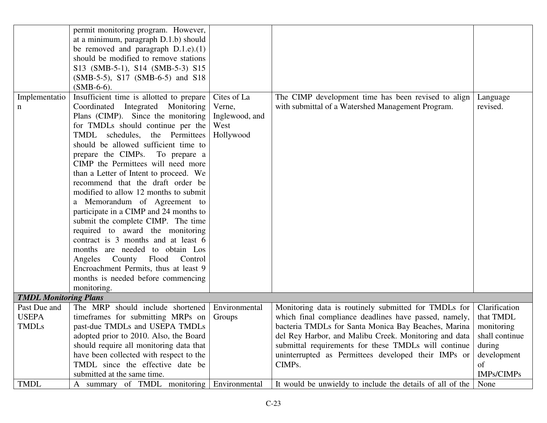|                              | permit monitoring program. However,      |                |                                                           |                |
|------------------------------|------------------------------------------|----------------|-----------------------------------------------------------|----------------|
|                              | at a minimum, paragraph D.1.b) should    |                |                                                           |                |
|                              | be removed and paragraph D.1.e).(1)      |                |                                                           |                |
|                              | should be modified to remove stations    |                |                                                           |                |
|                              | S13 (SMB-5-1), S14 (SMB-5-3) S15         |                |                                                           |                |
|                              | (SMB-5-5), S17 (SMB-6-5) and S18         |                |                                                           |                |
|                              | $(SMB-6-6)$ .                            |                |                                                           |                |
| Implementatio                | Insufficient time is allotted to prepare | Cites of La    | The CIMP development time has been revised to align       | Language       |
| n                            | Coordinated Integrated Monitoring        | Verne,         | with submittal of a Watershed Management Program.         | revised.       |
|                              | Plans (CIMP). Since the monitoring       | Inglewood, and |                                                           |                |
|                              | for TMDLs should continue per the        | West           |                                                           |                |
|                              | TMDL schedules, the Permittees           | Hollywood      |                                                           |                |
|                              | should be allowed sufficient time to     |                |                                                           |                |
|                              | prepare the CIMPs. To prepare a          |                |                                                           |                |
|                              | CIMP the Permittees will need more       |                |                                                           |                |
|                              | than a Letter of Intent to proceed. We   |                |                                                           |                |
|                              | recommend that the draft order be        |                |                                                           |                |
|                              | modified to allow 12 months to submit    |                |                                                           |                |
|                              | a Memorandum of Agreement to             |                |                                                           |                |
|                              | participate in a CIMP and 24 months to   |                |                                                           |                |
|                              | submit the complete CIMP. The time       |                |                                                           |                |
|                              | required to award the monitoring         |                |                                                           |                |
|                              | contract is 3 months and at least 6      |                |                                                           |                |
|                              |                                          |                |                                                           |                |
|                              | months are needed to obtain Los          |                |                                                           |                |
|                              | County Flood<br>Control<br>Angeles       |                |                                                           |                |
|                              | Encroachment Permits, thus at least 9    |                |                                                           |                |
|                              | months is needed before commencing       |                |                                                           |                |
|                              | monitoring.                              |                |                                                           |                |
| <b>TMDL Monitoring Plans</b> |                                          |                |                                                           |                |
| Past Due and                 | The MRP should include shortened         | Environmental  | Monitoring data is routinely submitted for TMDLs for      | Clarification  |
| <b>USEPA</b>                 | timeframes for submitting MRPs on        | Groups         | which final compliance deadlines have passed, namely,     | that TMDL      |
| <b>TMDLs</b>                 | past-due TMDLs and USEPA TMDLs           |                | bacteria TMDLs for Santa Monica Bay Beaches, Marina       | monitoring     |
|                              | adopted prior to 2010. Also, the Board   |                | del Rey Harbor, and Malibu Creek. Monitoring and data     | shall continue |
|                              | should require all monitoring data that  |                | submittal requirements for these TMDLs will continue      | during         |
|                              | have been collected with respect to the  |                | uninterrupted as Permittees developed their IMPs or       | development    |
|                              | TMDL since the effective date be         |                | CIMPs.                                                    | of             |
|                              | submitted at the same time.              |                |                                                           | IMPs/CIMPs     |
| <b>TMDL</b>                  | A summary of TMDL monitoring             | Environmental  | It would be unwieldy to include the details of all of the | None           |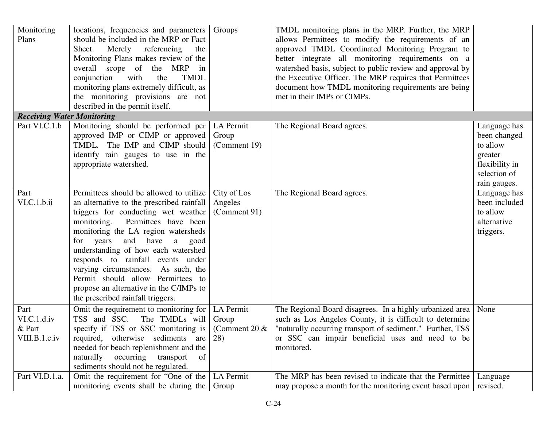| Monitoring<br>Plans                            | locations, frequencies and parameters<br>should be included in the MRP or Fact<br>Merely<br>referencing<br>Sheet.<br>the<br>Monitoring Plans makes review of the<br>overall scope of the MRP in<br>with<br><b>TMDL</b><br>conjunction<br>the<br>monitoring plans extremely difficult, as<br>the monitoring provisions are not<br>described in the permit itself.                                                                                                                              | Groups                                        | TMDL monitoring plans in the MRP. Further, the MRP<br>allows Permittees to modify the requirements of an<br>approved TMDL Coordinated Monitoring Program to<br>better integrate all monitoring requirements on a<br>watershed basis, subject to public review and approval by<br>the Executive Officer. The MRP requires that Permittees<br>document how TMDL monitoring requirements are being<br>met in their IMPs or CIMPs. |                                                                                                       |
|------------------------------------------------|-----------------------------------------------------------------------------------------------------------------------------------------------------------------------------------------------------------------------------------------------------------------------------------------------------------------------------------------------------------------------------------------------------------------------------------------------------------------------------------------------|-----------------------------------------------|--------------------------------------------------------------------------------------------------------------------------------------------------------------------------------------------------------------------------------------------------------------------------------------------------------------------------------------------------------------------------------------------------------------------------------|-------------------------------------------------------------------------------------------------------|
| <b>Receiving Water Monitoring</b>              |                                                                                                                                                                                                                                                                                                                                                                                                                                                                                               |                                               |                                                                                                                                                                                                                                                                                                                                                                                                                                |                                                                                                       |
| Part VI.C.1.b                                  | Monitoring should be performed per<br>approved IMP or CIMP or approved<br>TMDL. The IMP and CIMP should<br>identify rain gauges to use in the<br>appropriate watershed.                                                                                                                                                                                                                                                                                                                       | LA Permit<br>Group<br>(Comment 19)            | The Regional Board agrees.                                                                                                                                                                                                                                                                                                                                                                                                     | Language has<br>been changed<br>to allow<br>greater<br>flexibility in<br>selection of<br>rain gauges. |
| Part<br>VI.C.1.b.ii                            | Permittees should be allowed to utilize<br>an alternative to the prescribed rainfall<br>triggers for conducting wet weather<br>Permittees have been<br>monitoring.<br>monitoring the LA region watersheds<br>have<br>years<br>and<br>for<br>a<br>good<br>understanding of how each watershed<br>responds to rainfall events under<br>varying circumstances. As such, the<br>Permit should allow Permittees to<br>propose an alternative in the C/IMPs to<br>the prescribed rainfall triggers. | City of Los<br>Angeles<br>(Comment 91)        | The Regional Board agrees.                                                                                                                                                                                                                                                                                                                                                                                                     | Language has<br>been included<br>to allow<br>alternative<br>triggers.                                 |
| Part<br>VI.C.1.d.iv<br>& Part<br>VIII.B.1.c.iv | Omit the requirement to monitoring for<br>TSS and SSC.<br>The TMDLs will<br>specify if TSS or SSC monitoring is<br>required, otherwise sediments<br>are<br>needed for beach replenishment and the<br>occurring<br>naturally<br>transport<br>of<br>sediments should not be regulated.                                                                                                                                                                                                          | LA Permit<br>Group<br>(Comment 20 $\&$<br>28) | The Regional Board disagrees. In a highly urbanized area<br>such as Los Angeles County, it is difficult to determine<br>"naturally occurring transport of sediment." Further, TSS<br>or SSC can impair beneficial uses and need to be<br>monitored.                                                                                                                                                                            | None                                                                                                  |
| Part VI.D.1.a.                                 | Omit the requirement for "One of the<br>monitoring events shall be during the                                                                                                                                                                                                                                                                                                                                                                                                                 | LA Permit<br>Group                            | The MRP has been revised to indicate that the Permittee<br>may propose a month for the monitoring event based upon                                                                                                                                                                                                                                                                                                             | Language<br>revised.                                                                                  |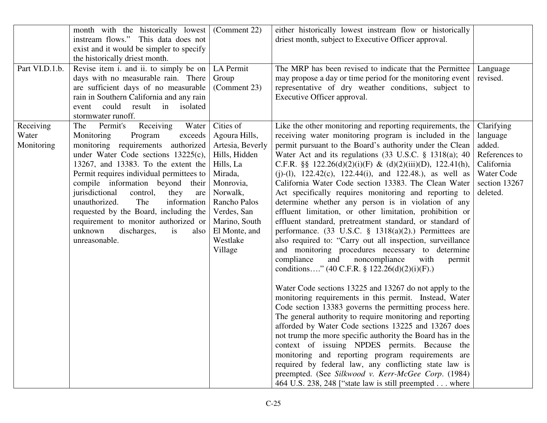|                                  | month with the historically lowest<br>instream flows." This data does not<br>exist and it would be simpler to specify<br>the historically driest month.                                                                                                                                                                                                                                                                                                                                                     | (Comment 22)                                                                                                                                                                                             | either historically lowest instream flow or historically<br>driest month, subject to Executive Officer approval.                                                                                                                                                                                                                                                                                                                                                                                                                                                                                                                                                                                                                                                                                                                                                                                                                                                                                                                                                                                                                                                                                                                                                                                                                                                                                                                                                                                                                                                                                                          |                                                                                                            |
|----------------------------------|-------------------------------------------------------------------------------------------------------------------------------------------------------------------------------------------------------------------------------------------------------------------------------------------------------------------------------------------------------------------------------------------------------------------------------------------------------------------------------------------------------------|----------------------------------------------------------------------------------------------------------------------------------------------------------------------------------------------------------|---------------------------------------------------------------------------------------------------------------------------------------------------------------------------------------------------------------------------------------------------------------------------------------------------------------------------------------------------------------------------------------------------------------------------------------------------------------------------------------------------------------------------------------------------------------------------------------------------------------------------------------------------------------------------------------------------------------------------------------------------------------------------------------------------------------------------------------------------------------------------------------------------------------------------------------------------------------------------------------------------------------------------------------------------------------------------------------------------------------------------------------------------------------------------------------------------------------------------------------------------------------------------------------------------------------------------------------------------------------------------------------------------------------------------------------------------------------------------------------------------------------------------------------------------------------------------------------------------------------------------|------------------------------------------------------------------------------------------------------------|
| Part VI.D.1.b.                   | Revise item i. and ii. to simply be on<br>days with no measurable rain. There<br>are sufficient days of no measurable<br>rain in Southern California and any rain<br>could<br>result<br>in<br>isolated<br>event<br>stormwater runoff.                                                                                                                                                                                                                                                                       | LA Permit<br>Group<br>(Comment 23)                                                                                                                                                                       | The MRP has been revised to indicate that the Permittee<br>may propose a day or time period for the monitoring event<br>representative of dry weather conditions, subject to<br>Executive Officer approval.                                                                                                                                                                                                                                                                                                                                                                                                                                                                                                                                                                                                                                                                                                                                                                                                                                                                                                                                                                                                                                                                                                                                                                                                                                                                                                                                                                                                               | Language<br>revised.                                                                                       |
| Receiving<br>Water<br>Monitoring | Receiving<br>Water<br>Permit's<br>The<br>Monitoring<br>Program<br>exceeds<br>monitoring requirements authorized<br>under Water Code sections 13225(c),<br>13267, and 13383. To the extent the<br>Permit requires individual permittees to<br>compile information beyond their<br>jurisdictional<br>control,<br>they<br>are<br>unauthorized.<br>information<br>The<br>requested by the Board, including the<br>requirement to monitor authorized or<br>unknown<br>discharges,<br>is<br>also<br>unreasonable. | Cities of<br>Agoura Hills,<br>Artesia, Beverly<br>Hills, Hidden<br>Hills, La<br>Mirada,<br>Monrovia,<br>Norwalk,<br>Rancho Palos<br>Verdes, San<br>Marino, South<br>El Monte, and<br>Westlake<br>Village | Like the other monitoring and reporting requirements, the<br>receiving water monitoring program is included in the<br>permit pursuant to the Board's authority under the Clean<br>Water Act and its regulations (33 U.S.C. § 1318(a); 40<br>C.F.R. §§ 122.26(d)(2)(i)(F) & (d)(2)(iii)(D), 122.41(h),<br>(j)-(l), $122.42(c)$ , $122.44(i)$ , and $122.48$ .), as well as<br>California Water Code section 13383. The Clean Water<br>Act specifically requires monitoring and reporting to<br>determine whether any person is in violation of any<br>effluent limitation, or other limitation, prohibition or<br>effluent standard, pretreatment standard, or standard of<br>performance. $(33 \text{ U.S.C. } § 1318(a)(2))$ Permittees are<br>also required to: "Carry out all inspection, surveillance<br>and monitoring procedures necessary to determine<br>compliance<br>and<br>noncompliance<br>with<br>permit<br>conditions" (40 C.F.R. § 122.26(d)(2)(i)(F).)<br>Water Code sections 13225 and 13267 do not apply to the<br>monitoring requirements in this permit. Instead, Water<br>Code section 13383 governs the permitting process here.<br>The general authority to require monitoring and reporting<br>afforded by Water Code sections 13225 and 13267 does<br>not trump the more specific authority the Board has in the<br>context of issuing NPDES permits. Because the<br>monitoring and reporting program requirements are<br>required by federal law, any conflicting state law is<br>preempted. (See Silkwood v. Kerr-McGee Corp. (1984)<br>464 U.S. 238, 248 ["state law is still preempted where | Clarifying<br>language<br>added.<br>References to<br>California<br>Water Code<br>section 13267<br>deleted. |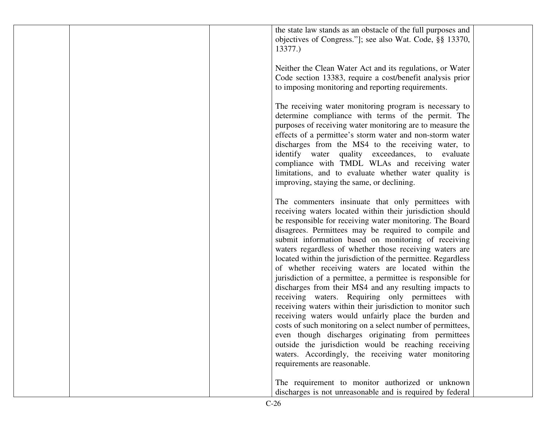|  | the state law stands as an obstacle of the full purposes and<br>objectives of Congress."]; see also Wat. Code, §§ 13370,<br>13377.)                                                                                                                                                                                                                                                                                                                                                                    |  |
|--|--------------------------------------------------------------------------------------------------------------------------------------------------------------------------------------------------------------------------------------------------------------------------------------------------------------------------------------------------------------------------------------------------------------------------------------------------------------------------------------------------------|--|
|  | Neither the Clean Water Act and its regulations, or Water<br>Code section 13383, require a cost/benefit analysis prior<br>to imposing monitoring and reporting requirements.                                                                                                                                                                                                                                                                                                                           |  |
|  | The receiving water monitoring program is necessary to<br>determine compliance with terms of the permit. The<br>purposes of receiving water monitoring are to measure the<br>effects of a permittee's storm water and non-storm water<br>discharges from the MS4 to the receiving water, to<br>identify water quality exceedances, to evaluate<br>compliance with TMDL WLAs and receiving water<br>limitations, and to evaluate whether water quality is<br>improving, staying the same, or declining. |  |
|  | The commenters insinuate that only permittees with<br>receiving waters located within their jurisdiction should<br>be responsible for receiving water monitoring. The Board<br>disagrees. Permittees may be required to compile and<br>submit information based on monitoring of receiving                                                                                                                                                                                                             |  |
|  | waters regardless of whether those receiving waters are<br>located within the jurisdiction of the permittee. Regardless<br>of whether receiving waters are located within the<br>jurisdiction of a permittee, a permittee is responsible for<br>discharges from their MS4 and any resulting impacts to<br>receiving waters. Requiring only permittees with                                                                                                                                             |  |
|  | receiving waters within their jurisdiction to monitor such<br>receiving waters would unfairly place the burden and<br>costs of such monitoring on a select number of permittees,<br>even though discharges originating from permittees<br>outside the jurisdiction would be reaching receiving<br>waters. Accordingly, the receiving water monitoring                                                                                                                                                  |  |
|  | requirements are reasonable.<br>The requirement to monitor authorized or unknown<br>discharges is not unreasonable and is required by federal                                                                                                                                                                                                                                                                                                                                                          |  |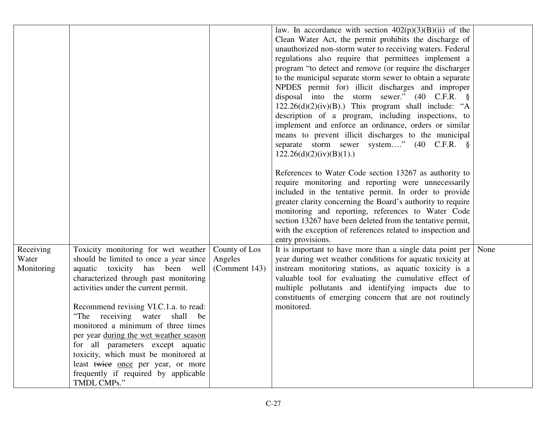|                     |                                                                                                                                                                                                                                                                                                                      |                          | law. In accordance with section $402(p)(3)(B)(ii)$ of the<br>Clean Water Act, the permit prohibits the discharge of<br>unauthorized non-storm water to receiving waters. Federal<br>regulations also require that permittees implement a<br>program "to detect and remove (or require the discharger<br>to the municipal separate storm sewer to obtain a separate<br>NPDES permit for) illicit discharges and improper<br>disposal into the storm sewer." $(40 \text{ C.F.R. } \S$<br>$122.26(d)(2)(iv)(B)$ .) This program shall include: "A<br>description of a program, including inspections, to<br>implement and enforce an ordinance, orders or similar<br>means to prevent illicit discharges to the municipal<br>separate storm sewer system" (40 C.F.R. §<br>122.26(d)(2)(iv)(B)(1).<br>References to Water Code section 13267 as authority to<br>require monitoring and reporting were unnecessarily |      |
|---------------------|----------------------------------------------------------------------------------------------------------------------------------------------------------------------------------------------------------------------------------------------------------------------------------------------------------------------|--------------------------|-----------------------------------------------------------------------------------------------------------------------------------------------------------------------------------------------------------------------------------------------------------------------------------------------------------------------------------------------------------------------------------------------------------------------------------------------------------------------------------------------------------------------------------------------------------------------------------------------------------------------------------------------------------------------------------------------------------------------------------------------------------------------------------------------------------------------------------------------------------------------------------------------------------------|------|
|                     |                                                                                                                                                                                                                                                                                                                      |                          | included in the tentative permit. In order to provide<br>greater clarity concerning the Board's authority to require<br>monitoring and reporting, references to Water Code<br>section 13267 have been deleted from the tentative permit,<br>with the exception of references related to inspection and                                                                                                                                                                                                                                                                                                                                                                                                                                                                                                                                                                                                          |      |
|                     |                                                                                                                                                                                                                                                                                                                      |                          | entry provisions.                                                                                                                                                                                                                                                                                                                                                                                                                                                                                                                                                                                                                                                                                                                                                                                                                                                                                               |      |
| Receiving           | Toxicity monitoring for wet weather                                                                                                                                                                                                                                                                                  | County of Los            | It is important to have more than a single data point per $\vert$                                                                                                                                                                                                                                                                                                                                                                                                                                                                                                                                                                                                                                                                                                                                                                                                                                               | None |
| Water<br>Monitoring | should be limited to once a year since<br>aquatic toxicity has been well<br>characterized through past monitoring<br>activities under the current permit.                                                                                                                                                            | Angeles<br>(Comment 143) | year during wet weather conditions for aquatic toxicity at<br>instream monitoring stations, as aquatic toxicity is a<br>valuable tool for evaluating the cumulative effect of<br>multiple pollutants and identifying impacts due to<br>constituents of emerging concern that are not routinely                                                                                                                                                                                                                                                                                                                                                                                                                                                                                                                                                                                                                  |      |
|                     | Recommend revising VI.C.1.a. to read:<br>"The receiving water shall<br>be<br>monitored a minimum of three times<br>per year during the wet weather season<br>for all parameters except aquatic<br>toxicity, which must be monitored at<br>least twice once per year, or more<br>frequently if required by applicable |                          | monitored.                                                                                                                                                                                                                                                                                                                                                                                                                                                                                                                                                                                                                                                                                                                                                                                                                                                                                                      |      |
|                     | TMDL CMPs."                                                                                                                                                                                                                                                                                                          |                          |                                                                                                                                                                                                                                                                                                                                                                                                                                                                                                                                                                                                                                                                                                                                                                                                                                                                                                                 |      |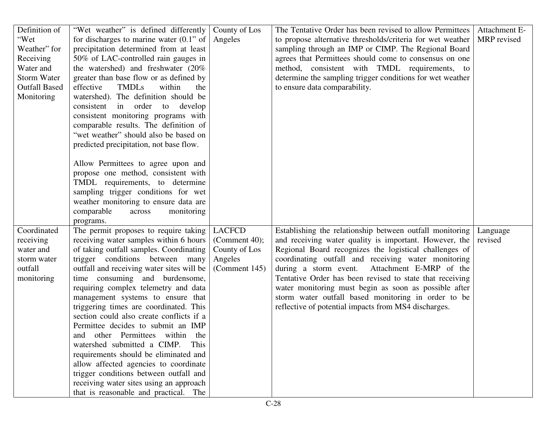| Definition of        | "Wet weather" is defined differently       | County of Los    | The Tentative Order has been revised to allow Permittees   | Attachment E- |
|----------------------|--------------------------------------------|------------------|------------------------------------------------------------|---------------|
| "Wet                 | for discharges to marine water $(0.1$ " of | Angeles          | to propose alternative thresholds/criteria for wet weather | MRP revised   |
| Weather" for         | precipitation determined from at least     |                  | sampling through an IMP or CIMP. The Regional Board        |               |
| Receiving            | 50% of LAC-controlled rain gauges in       |                  | agrees that Permittees should come to consensus on one     |               |
| Water and            | the watershed) and freshwater $(20\%$      |                  | method, consistent with TMDL requirements, to              |               |
| <b>Storm Water</b>   | greater than base flow or as defined by    |                  | determine the sampling trigger conditions for wet weather  |               |
| <b>Outfall Based</b> | <b>TMDLs</b><br>effective<br>within<br>the |                  | to ensure data comparability.                              |               |
| Monitoring           | watershed). The definition should be       |                  |                                                            |               |
|                      | consistent in order to develop             |                  |                                                            |               |
|                      | consistent monitoring programs with        |                  |                                                            |               |
|                      | comparable results. The definition of      |                  |                                                            |               |
|                      | "wet weather" should also be based on      |                  |                                                            |               |
|                      | predicted precipitation, not base flow.    |                  |                                                            |               |
|                      |                                            |                  |                                                            |               |
|                      | Allow Permittees to agree upon and         |                  |                                                            |               |
|                      | propose one method, consistent with        |                  |                                                            |               |
|                      | TMDL requirements, to determine            |                  |                                                            |               |
|                      | sampling trigger conditions for wet        |                  |                                                            |               |
|                      | weather monitoring to ensure data are      |                  |                                                            |               |
|                      | comparable<br>across<br>monitoring         |                  |                                                            |               |
|                      | programs.                                  |                  |                                                            |               |
| Coordinated          | The permit proposes to require taking      | <b>LACFCD</b>    | Establishing the relationship between outfall monitoring   | Language      |
| receiving            | receiving water samples within 6 hours     | (Comment 40);    | and receiving water quality is important. However, the     | revised       |
| water and            | of taking outfall samples. Coordinating    | County of Los    | Regional Board recognizes the logistical challenges of     |               |
| storm water          | trigger conditions between many            | Angeles          | coordinating outfall and receiving water monitoring        |               |
| outfall              | outfall and receiving water sites will be  | (Comment $145$ ) | during a storm event.<br>Attachment E-MRP of the           |               |
| monitoring           | time consuming and burdensome,             |                  | Tentative Order has been revised to state that receiving   |               |
|                      | requiring complex telemetry and data       |                  | water monitoring must begin as soon as possible after      |               |
|                      | management systems to ensure that          |                  | storm water outfall based monitoring in order to be        |               |
|                      | triggering times are coordinated. This     |                  | reflective of potential impacts from MS4 discharges.       |               |
|                      | section could also create conflicts if a   |                  |                                                            |               |
|                      | Permittee decides to submit an IMP         |                  |                                                            |               |
|                      | and other Permittees within the            |                  |                                                            |               |
|                      | watershed submitted a CIMP.<br>This        |                  |                                                            |               |
|                      | requirements should be eliminated and      |                  |                                                            |               |
|                      | allow affected agencies to coordinate      |                  |                                                            |               |
|                      | trigger conditions between outfall and     |                  |                                                            |               |
|                      | receiving water sites using an approach    |                  |                                                            |               |
|                      | that is reasonable and practical. The      |                  |                                                            |               |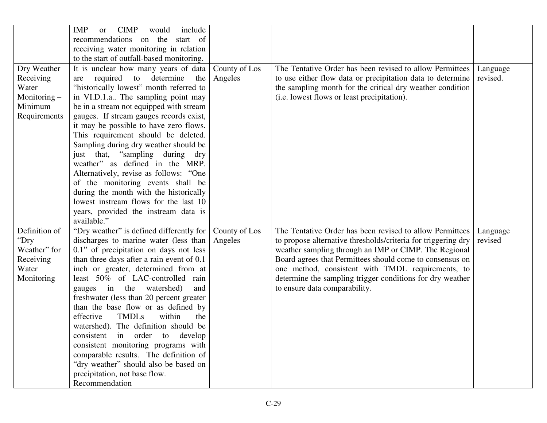|               | <b>CIMP</b><br>include<br><b>IMP</b><br>would<br><b>or</b> |               |                                                               |          |
|---------------|------------------------------------------------------------|---------------|---------------------------------------------------------------|----------|
|               | recommendations on the start of                            |               |                                                               |          |
|               | receiving water monitoring in relation                     |               |                                                               |          |
|               | to the start of outfall-based monitoring.                  |               |                                                               |          |
| Dry Weather   | It is unclear how many years of data                       | County of Los | The Tentative Order has been revised to allow Permittees      | Language |
| Receiving     | required<br>determine<br>the<br>to<br>are                  | Angeles       | to use either flow data or precipitation data to determine    | revised. |
| Water         | "historically lowest" month referred to                    |               | the sampling month for the critical dry weather condition     |          |
|               |                                                            |               | (i.e. lowest flows or least precipitation).                   |          |
| Monitoring -  | in VI.D.1.a The sampling point may                         |               |                                                               |          |
| Minimum       | be in a stream not equipped with stream                    |               |                                                               |          |
| Requirements  | gauges. If stream gauges records exist,                    |               |                                                               |          |
|               | it may be possible to have zero flows.                     |               |                                                               |          |
|               | This requirement should be deleted.                        |               |                                                               |          |
|               | Sampling during dry weather should be                      |               |                                                               |          |
|               | just that, "sampling during dry                            |               |                                                               |          |
|               | weather" as defined in the MRP.                            |               |                                                               |          |
|               | Alternatively, revise as follows: "One                     |               |                                                               |          |
|               | of the monitoring events shall be                          |               |                                                               |          |
|               | during the month with the historically                     |               |                                                               |          |
|               | lowest instream flows for the last 10                      |               |                                                               |          |
|               | years, provided the instream data is                       |               |                                                               |          |
|               | available."                                                |               |                                                               |          |
| Definition of | "Dry weather" is defined differently for                   | County of Los | The Tentative Order has been revised to allow Permittees      | Language |
| "Dry          | discharges to marine water (less than                      | Angeles       | to propose alternative thresholds/criteria for triggering dry | revised  |
| Weather" for  | 0.1" of precipitation on days not less                     |               | weather sampling through an IMP or CIMP. The Regional         |          |
| Receiving     | than three days after a rain event of 0.1                  |               | Board agrees that Permittees should come to consensus on      |          |
| Water         | inch or greater, determined from at                        |               | one method, consistent with TMDL requirements, to             |          |
| Monitoring    | least 50% of LAC-controlled<br>rain                        |               | determine the sampling trigger conditions for dry weather     |          |
|               | gauges in the watershed)<br>and                            |               | to ensure data comparability.                                 |          |
|               | freshwater (less than 20 percent greater                   |               |                                                               |          |
|               | than the base flow or as defined by                        |               |                                                               |          |
|               | effective<br><b>TMDLs</b><br>within<br>the                 |               |                                                               |          |
|               | watershed). The definition should be                       |               |                                                               |          |
|               | consistent in order to develop                             |               |                                                               |          |
|               | consistent monitoring programs with                        |               |                                                               |          |
|               | comparable results. The definition of                      |               |                                                               |          |
|               | "dry weather" should also be based on                      |               |                                                               |          |
|               | precipitation, not base flow.                              |               |                                                               |          |
|               | Recommendation                                             |               |                                                               |          |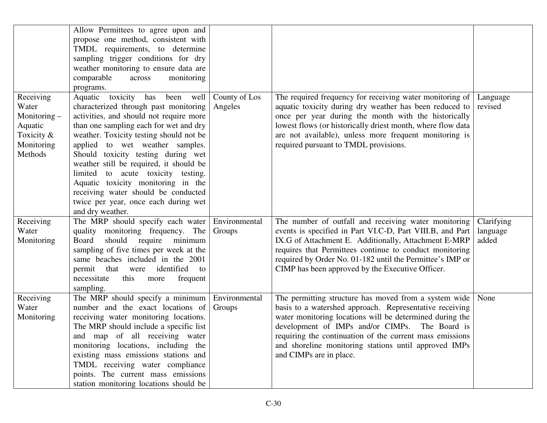|                                                                                          | Allow Permittees to agree upon and<br>propose one method, consistent with<br>TMDL requirements, to determine<br>sampling trigger conditions for dry<br>weather monitoring to ensure data are<br>comparable<br>monitoring<br>across<br>programs.                                                                                                                                                                                                                                                               |                          |                                                                                                                                                                                                                                                                                                                                                                                |                                 |
|------------------------------------------------------------------------------------------|---------------------------------------------------------------------------------------------------------------------------------------------------------------------------------------------------------------------------------------------------------------------------------------------------------------------------------------------------------------------------------------------------------------------------------------------------------------------------------------------------------------|--------------------------|--------------------------------------------------------------------------------------------------------------------------------------------------------------------------------------------------------------------------------------------------------------------------------------------------------------------------------------------------------------------------------|---------------------------------|
| Receiving<br>Water<br>Monitoring $-$<br>Aquatic<br>Toxicity $&$<br>Monitoring<br>Methods | Aquatic toxicity has<br>been well<br>characterized through past monitoring<br>activities, and should not require more<br>than one sampling each for wet and dry<br>weather. Toxicity testing should not be<br>applied to wet weather samples.<br>Should toxicity testing during wet<br>weather still be required, it should be<br>limited to acute toxicity testing.<br>Aquatic toxicity monitoring in the<br>receiving water should be conducted<br>twice per year, once each during wet<br>and dry weather. | County of Los<br>Angeles | The required frequency for receiving water monitoring of<br>aquatic toxicity during dry weather has been reduced to<br>once per year during the month with the historically<br>lowest flows (or historically driest month, where flow data<br>are not available), unless more frequent monitoring is<br>required pursuant to TMDL provisions.                                  | Language<br>revised             |
| Receiving<br>Water<br>Monitoring                                                         | The MRP should specify each water<br>quality monitoring frequency. The<br>should<br>minimum<br>Board<br>require<br>sampling of five times per week at the<br>same beaches included in the 2001<br>identified<br>permit that were<br>to<br>necessitate<br>frequent<br>this<br>more<br>sampling.                                                                                                                                                                                                                | Environmental<br>Groups  | The number of outfall and receiving water monitoring<br>events is specified in Part VI.C-D, Part VIII.B, and Part<br>IX.G of Attachment E. Additionally, Attachment E-MRP<br>requires that Permittees continue to conduct monitoring<br>required by Order No. 01-182 until the Permittee's IMP or<br>CIMP has been approved by the Executive Officer.                          | Clarifying<br>language<br>added |
| Receiving<br>Water<br>Monitoring                                                         | The MRP should specify a minimum<br>number and the exact locations of<br>receiving water monitoring locations.<br>The MRP should include a specific list<br>and map of all receiving water<br>monitoring locations, including the<br>existing mass emissions stations and<br>TMDL receiving water compliance<br>points. The current mass emissions<br>station monitoring locations should be                                                                                                                  | Environmental<br>Groups  | The permitting structure has moved from a system wide<br>basis to a watershed approach. Representative receiving<br>water monitoring locations will be determined during the<br>development of IMPs and/or CIMPs. The Board is<br>requiring the continuation of the current mass emissions<br>and shoreline monitoring stations until approved IMPs<br>and CIMPs are in place. | None                            |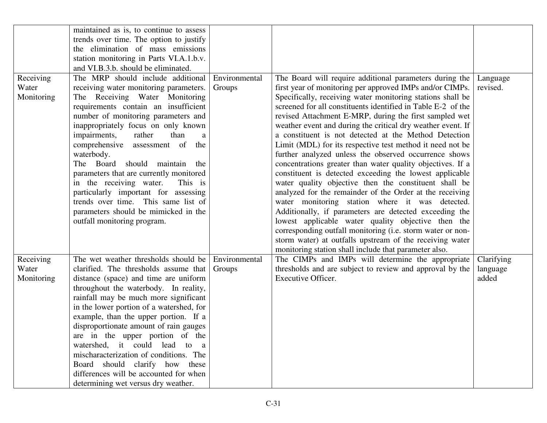|                                  | maintained as is, to continue to assess<br>trends over time. The option to justify<br>the elimination of mass emissions<br>station monitoring in Parts VI.A.1.b.v.<br>and VI.B.3.b. should be eliminated.                                                                                                                                                                                                                                                                                                                                                                                              |                         |                                                                                                                                                                                                                                                                                                                                                                                                                                                                                                                                                                                                                                                                                                                                                                                                                                                                                                                                                                                                                                                                                                                                                               |                                 |
|----------------------------------|--------------------------------------------------------------------------------------------------------------------------------------------------------------------------------------------------------------------------------------------------------------------------------------------------------------------------------------------------------------------------------------------------------------------------------------------------------------------------------------------------------------------------------------------------------------------------------------------------------|-------------------------|---------------------------------------------------------------------------------------------------------------------------------------------------------------------------------------------------------------------------------------------------------------------------------------------------------------------------------------------------------------------------------------------------------------------------------------------------------------------------------------------------------------------------------------------------------------------------------------------------------------------------------------------------------------------------------------------------------------------------------------------------------------------------------------------------------------------------------------------------------------------------------------------------------------------------------------------------------------------------------------------------------------------------------------------------------------------------------------------------------------------------------------------------------------|---------------------------------|
| Receiving<br>Water<br>Monitoring | The MRP should include additional<br>receiving water monitoring parameters.<br>The Receiving Water Monitoring<br>requirements contain an insufficient<br>number of monitoring parameters and<br>inappropriately focus on only known<br>impairments,<br>rather<br>than<br>a<br>comprehensive assessment of<br>the<br>waterbody.<br>The Board should maintain the<br>parameters that are currently monitored<br>in the receiving water.<br>This is<br>particularly important for assessing<br>trends over time. This same list of<br>parameters should be mimicked in the<br>outfall monitoring program. | Environmental<br>Groups | The Board will require additional parameters during the<br>first year of monitoring per approved IMPs and/or CIMPs.<br>Specifically, receiving water monitoring stations shall be<br>screened for all constituents identified in Table E-2 of the<br>revised Attachment E-MRP, during the first sampled wet<br>weather event and during the critical dry weather event. If<br>a constituent is not detected at the Method Detection<br>Limit (MDL) for its respective test method it need not be<br>further analyzed unless the observed occurrence shows<br>concentrations greater than water quality objectives. If a<br>constituent is detected exceeding the lowest applicable<br>water quality objective then the constituent shall be<br>analyzed for the remainder of the Order at the receiving<br>water monitoring station where it was detected.<br>Additionally, if parameters are detected exceeding the<br>lowest applicable water quality objective then the<br>corresponding outfall monitoring (i.e. storm water or non-<br>storm water) at outfalls upstream of the receiving water<br>monitoring station shall include that parameter also. | Language<br>revised.            |
| Receiving<br>Water<br>Monitoring | The wet weather thresholds should be<br>clarified. The thresholds assume that<br>distance (space) and time are uniform<br>throughout the waterbody. In reality,<br>rainfall may be much more significant<br>in the lower portion of a watershed, for<br>example, than the upper portion. If a<br>disproportionate amount of rain gauges<br>are in the upper portion of the<br>watershed, it could lead to a<br>mischaracterization of conditions. The<br>Board should clarify how these<br>differences will be accounted for when<br>determining wet versus dry weather.                               | Environmental<br>Groups | The CIMPs and IMPs will determine the appropriate<br>thresholds and are subject to review and approval by the<br>Executive Officer.                                                                                                                                                                                                                                                                                                                                                                                                                                                                                                                                                                                                                                                                                                                                                                                                                                                                                                                                                                                                                           | Clarifying<br>language<br>added |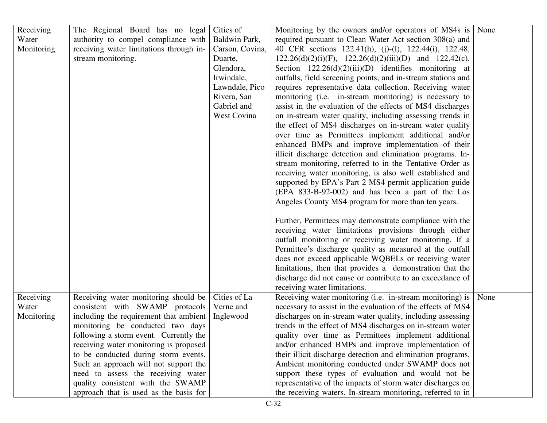| Receiving<br>Water<br>Monitoring | The Regional Board has no legal<br>authority to compel compliance with<br>receiving water limitations through in- | Cities of<br>Baldwin Park,<br>Carson, Covina, | Monitoring by the owners and/or operators of MS4s is<br>required pursuant to Clean Water Act section 308(a) and<br>40 CFR sections 122.41(h), (j)-(l), 122.44(i), 122.48, | None |
|----------------------------------|-------------------------------------------------------------------------------------------------------------------|-----------------------------------------------|---------------------------------------------------------------------------------------------------------------------------------------------------------------------------|------|
|                                  | stream monitoring.                                                                                                | Duarte,                                       | $122.26(d)(2)(i)(F)$ , $122.26(d)(2)(iii)(D)$ and $122.42(c)$ .                                                                                                           |      |
|                                  |                                                                                                                   | Glendora,                                     | Section $122.26(d)(2)(iii)(D)$ identifies monitoring at                                                                                                                   |      |
|                                  |                                                                                                                   | Irwindale,                                    | outfalls, field screening points, and in-stream stations and                                                                                                              |      |
|                                  |                                                                                                                   | Lawndale, Pico                                | requires representative data collection. Receiving water                                                                                                                  |      |
|                                  |                                                                                                                   | Rivera, San                                   | monitoring (i.e. in-stream monitoring) is necessary to                                                                                                                    |      |
|                                  |                                                                                                                   | Gabriel and                                   | assist in the evaluation of the effects of MS4 discharges                                                                                                                 |      |
|                                  |                                                                                                                   | West Covina                                   | on in-stream water quality, including assessing trends in                                                                                                                 |      |
|                                  |                                                                                                                   |                                               | the effect of MS4 discharges on in-stream water quality                                                                                                                   |      |
|                                  |                                                                                                                   |                                               | over time as Permittees implement additional and/or                                                                                                                       |      |
|                                  |                                                                                                                   |                                               | enhanced BMPs and improve implementation of their                                                                                                                         |      |
|                                  |                                                                                                                   |                                               | illicit discharge detection and elimination programs. In-                                                                                                                 |      |
|                                  |                                                                                                                   |                                               | stream monitoring, referred to in the Tentative Order as                                                                                                                  |      |
|                                  |                                                                                                                   |                                               | receiving water monitoring, is also well established and                                                                                                                  |      |
|                                  |                                                                                                                   |                                               | supported by EPA's Part 2 MS4 permit application guide                                                                                                                    |      |
|                                  |                                                                                                                   |                                               | (EPA 833-B-92-002) and has been a part of the Los                                                                                                                         |      |
|                                  |                                                                                                                   |                                               | Angeles County MS4 program for more than ten years.                                                                                                                       |      |
|                                  |                                                                                                                   |                                               | Further, Permittees may demonstrate compliance with the                                                                                                                   |      |
|                                  |                                                                                                                   |                                               | receiving water limitations provisions through either                                                                                                                     |      |
|                                  |                                                                                                                   |                                               | outfall monitoring or receiving water monitoring. If a                                                                                                                    |      |
|                                  |                                                                                                                   |                                               | Permittee's discharge quality as measured at the outfall                                                                                                                  |      |
|                                  |                                                                                                                   |                                               | does not exceed applicable WQBELs or receiving water                                                                                                                      |      |
|                                  |                                                                                                                   |                                               | limitations, then that provides a demonstration that the                                                                                                                  |      |
|                                  |                                                                                                                   |                                               | discharge did not cause or contribute to an exceedance of                                                                                                                 |      |
|                                  |                                                                                                                   |                                               | receiving water limitations.                                                                                                                                              |      |
| Receiving                        | Receiving water monitoring should be                                                                              | Cities of La                                  | Receiving water monitoring (i.e. in-stream monitoring) is                                                                                                                 | None |
| Water                            | consistent with SWAMP protocols                                                                                   | Verne and                                     | necessary to assist in the evaluation of the effects of MS4                                                                                                               |      |
| Monitoring                       | including the requirement that ambient                                                                            | Inglewood                                     | discharges on in-stream water quality, including assessing                                                                                                                |      |
|                                  | monitoring be conducted two days                                                                                  |                                               | trends in the effect of MS4 discharges on in-stream water                                                                                                                 |      |
|                                  | following a storm event. Currently the                                                                            |                                               | quality over time as Permittees implement additional                                                                                                                      |      |
|                                  | receiving water monitoring is proposed                                                                            |                                               | and/or enhanced BMPs and improve implementation of                                                                                                                        |      |
|                                  | to be conducted during storm events.                                                                              |                                               | their illicit discharge detection and elimination programs.                                                                                                               |      |
|                                  | Such an approach will not support the                                                                             |                                               | Ambient monitoring conducted under SWAMP does not                                                                                                                         |      |
|                                  | need to assess the receiving water                                                                                |                                               | support these types of evaluation and would not be                                                                                                                        |      |
|                                  | quality consistent with the SWAMP                                                                                 |                                               | representative of the impacts of storm water discharges on                                                                                                                |      |
|                                  | approach that is used as the basis for                                                                            |                                               | the receiving waters. In-stream monitoring, referred to in                                                                                                                |      |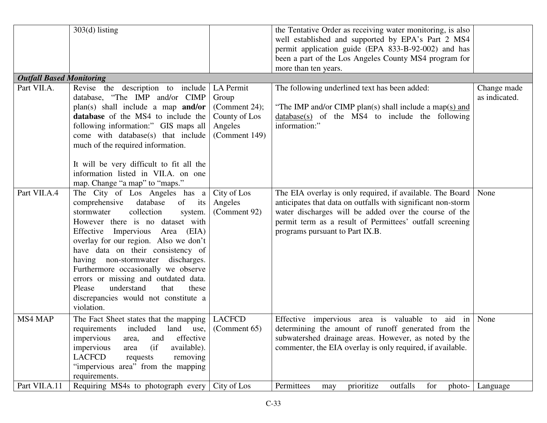|                                 | $303(d)$ listing                                                                                                                                                                                                                                                                                                                                                                                                                                                                    |                                                                                  | the Tentative Order as receiving water monitoring, is also<br>well established and supported by EPA's Part 2 MS4<br>permit application guide (EPA 833-B-92-002) and has<br>been a part of the Los Angeles County MS4 program for<br>more than ten years.                          |                              |
|---------------------------------|-------------------------------------------------------------------------------------------------------------------------------------------------------------------------------------------------------------------------------------------------------------------------------------------------------------------------------------------------------------------------------------------------------------------------------------------------------------------------------------|----------------------------------------------------------------------------------|-----------------------------------------------------------------------------------------------------------------------------------------------------------------------------------------------------------------------------------------------------------------------------------|------------------------------|
| <b>Outfall Based Monitoring</b> |                                                                                                                                                                                                                                                                                                                                                                                                                                                                                     |                                                                                  |                                                                                                                                                                                                                                                                                   |                              |
| Part VII.A.                     | Revise the description to include<br>database, "The IMP and/or CIMP<br>$plan(s)$ shall include a map <b>and/or</b><br>database of the MS4 to include the<br>following information:" GIS maps all<br>come with database(s) that include<br>much of the required information.<br>It will be very difficult to fit all the<br>information listed in VII.A. on one<br>map. Change "a map" to "maps."                                                                                    | LA Permit<br>Group<br>(Comment 24);<br>County of Los<br>Angeles<br>(Comment 149) | The following underlined text has been added:<br>"The IMP and/or CIMP plan(s) shall include a map(s) and<br>$database(s)$ of the MS4 to include the following<br>information:"                                                                                                    | Change made<br>as indicated. |
| Part VII.A.4                    | The City of Los Angeles has a<br>comprehensive<br>database<br>of its<br>collection<br>stormwater<br>system.<br>However there is no dataset with<br>Effective Impervious Area (EIA)<br>overlay for our region. Also we don't<br>have data on their consistency of<br>having non-stormwater discharges.<br>Furthermore occasionally we observe<br>errors or missing and outdated data.<br>understand<br>that<br>these<br>Please<br>discrepancies would not constitute a<br>violation. | City of Los<br>Angeles<br>(Comment 92)                                           | The EIA overlay is only required, if available. The Board<br>anticipates that data on outfalls with significant non-storm<br>water discharges will be added over the course of the<br>permit term as a result of Permittees' outfall screening<br>programs pursuant to Part IX.B. | None                         |
| MS4 MAP                         | The Fact Sheet states that the mapping<br>included<br>requirements<br>effective<br>impervious<br>and<br>area,<br>available).<br>impervious<br>(i f)<br>area<br><b>LACFCD</b><br>removing<br>requests<br>"impervious area" from the mapping<br>requirements.                                                                                                                                                                                                                         | <b>LACFCD</b><br>land use, $\vert$ (Comment 65)                                  | Effective impervious area is valuable to aid in<br>determining the amount of runoff generated from the<br>subwatershed drainage areas. However, as noted by the<br>commenter, the EIA overlay is only required, if available.                                                     | None                         |
| Part VII.A.11                   | Requiring MS4s to photograph every                                                                                                                                                                                                                                                                                                                                                                                                                                                  | City of Los                                                                      | Permittees<br>prioritize<br>outfalls<br>for<br>photo-<br>may                                                                                                                                                                                                                      | Language                     |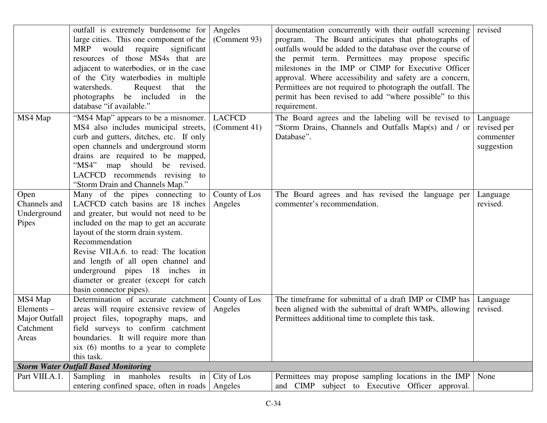|                                                                | outfall is extremely burdensome for<br>large cities. This one component of the<br>would<br>require<br>significant<br><b>MRP</b><br>resources of those MS4s that are<br>adjacent to waterbodies, or in the case<br>of the City waterbodies in multiple<br>watersheds.<br>Request<br>that<br>the<br>photographs be included in<br>the<br>database "if available."                                     | Angeles<br>(Comment 93)       | documentation concurrently with their outfall screening<br>program. The Board anticipates that photographs of<br>outfalls would be added to the database over the course of<br>the permit term. Permittees may propose specific<br>milestones in the IMP or CIMP for Executive Officer<br>approval. Where accessibility and safety are a concern,<br>Permittees are not required to photograph the outfall. The<br>permit has been revised to add "where possible" to this<br>requirement. | revised                                            |
|----------------------------------------------------------------|-----------------------------------------------------------------------------------------------------------------------------------------------------------------------------------------------------------------------------------------------------------------------------------------------------------------------------------------------------------------------------------------------------|-------------------------------|--------------------------------------------------------------------------------------------------------------------------------------------------------------------------------------------------------------------------------------------------------------------------------------------------------------------------------------------------------------------------------------------------------------------------------------------------------------------------------------------|----------------------------------------------------|
| MS4 Map                                                        | "MS4 Map" appears to be a misnomer.<br>MS4 also includes municipal streets,<br>curb and gutters, ditches, etc. If only<br>open channels and underground storm<br>drains are required to be mapped,<br>"MS4" map should be revised.<br>LACFCD recommends revising to<br>"Storm Drain and Channels Map."                                                                                              | <b>LACFCD</b><br>(Comment 41) | The Board agrees and the labeling will be revised to<br>"Storm Drains, Channels and Outfalls Map(s) and / or<br>Database".                                                                                                                                                                                                                                                                                                                                                                 | Language<br>revised per<br>commenter<br>suggestion |
| Open<br>Channels and<br>Underground<br>Pipes                   | Many of the pipes connecting to<br>LACFCD catch basins are 18 inches<br>and greater, but would not need to be<br>included on the map to get an accurate<br>layout of the storm drain system.<br>Recommendation<br>Revise VII.A.6. to read: The location<br>and length of all open channel and<br>underground pipes 18 inches in<br>diameter or greater (except for catch<br>basin connector pipes). | County of Los<br>Angeles      | The Board agrees and has revised the language per<br>commenter's recommendation.                                                                                                                                                                                                                                                                                                                                                                                                           | Language<br>revised.                               |
| MS4 Map<br>$Elements$ –<br>Major Outfall<br>Catchment<br>Areas | Determination of accurate catchment<br>areas will require extensive review of<br>project files, topography maps, and<br>field surveys to confirm catchment<br>boundaries. It will require more than<br>six $(6)$ months to a year to complete<br>this task.                                                                                                                                         | County of Los<br>Angeles      | The timeframe for submittal of a draft IMP or CIMP has<br>been aligned with the submittal of draft WMPs, allowing<br>Permittees additional time to complete this task.                                                                                                                                                                                                                                                                                                                     | Language<br>revised.                               |
|                                                                | <b>Storm Water Outfall Based Monitoring</b>                                                                                                                                                                                                                                                                                                                                                         |                               |                                                                                                                                                                                                                                                                                                                                                                                                                                                                                            |                                                    |
| Part VIII.A.1.                                                 | Sampling in manholes results in<br>entering confined space, often in roads                                                                                                                                                                                                                                                                                                                          | City of Los<br>Angeles        | Permittees may propose sampling locations in the IMP   None<br>and CIMP subject to Executive Officer approval.                                                                                                                                                                                                                                                                                                                                                                             |                                                    |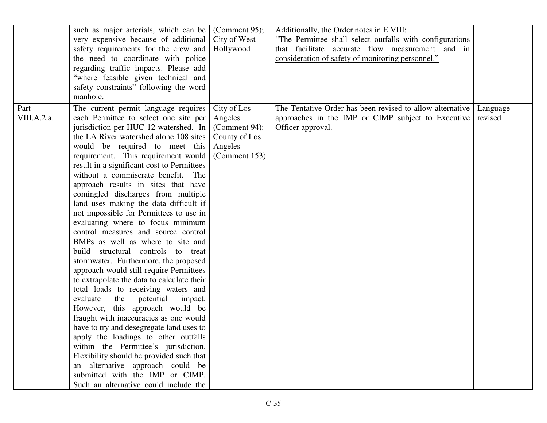|                     | such as major arterials, which can be<br>very expensive because of additional<br>safety requirements for the crew and<br>the need to coordinate with police<br>regarding traffic impacts. Please add<br>"where feasible given technical and<br>safety constraints" following the word<br>manhole.                                                                                                                                                                                                                                                                                                                                                                                                                                                                                                                                                                                                                                                                                                                                                                                                                                                                                                                                                  | (Comment 95);<br>City of West<br>Hollywood                                           | Additionally, the Order notes in E.VIII:<br>"The Permittee shall select outfalls with configurations<br>that facilitate accurate flow measurement and in<br>consideration of safety of monitoring personnel." |                     |
|---------------------|----------------------------------------------------------------------------------------------------------------------------------------------------------------------------------------------------------------------------------------------------------------------------------------------------------------------------------------------------------------------------------------------------------------------------------------------------------------------------------------------------------------------------------------------------------------------------------------------------------------------------------------------------------------------------------------------------------------------------------------------------------------------------------------------------------------------------------------------------------------------------------------------------------------------------------------------------------------------------------------------------------------------------------------------------------------------------------------------------------------------------------------------------------------------------------------------------------------------------------------------------|--------------------------------------------------------------------------------------|---------------------------------------------------------------------------------------------------------------------------------------------------------------------------------------------------------------|---------------------|
| Part<br>VIII.A.2.a. | The current permit language requires<br>each Permittee to select one site per<br>jurisdiction per HUC-12 watershed. In<br>the LA River watershed alone 108 sites<br>would be required to meet this<br>requirement. This requirement would<br>result in a significant cost to Permittees<br>without a commiserate benefit.<br>The<br>approach results in sites that have<br>comingled discharges from multiple<br>land uses making the data difficult if<br>not impossible for Permittees to use in<br>evaluating where to focus minimum<br>control measures and source control<br>BMPs as well as where to site and<br>build structural controls to treat<br>stormwater. Furthermore, the proposed<br>approach would still require Permittees<br>to extrapolate the data to calculate their<br>total loads to receiving waters and<br>evaluate<br>potential<br>the<br>impact.<br>However, this approach would be<br>fraught with inaccuracies as one would<br>have to try and desegregate land uses to<br>apply the loadings to other outfalls<br>within the Permittee's jurisdiction.<br>Flexibility should be provided such that<br>an alternative approach could be<br>submitted with the IMP or CIMP.<br>Such an alternative could include the | City of Los<br>Angeles<br>(Comment 94):<br>County of Los<br>Angeles<br>(Comment 153) | The Tentative Order has been revised to allow alternative<br>approaches in the IMP or CIMP subject to Executive<br>Officer approval.                                                                          | Language<br>revised |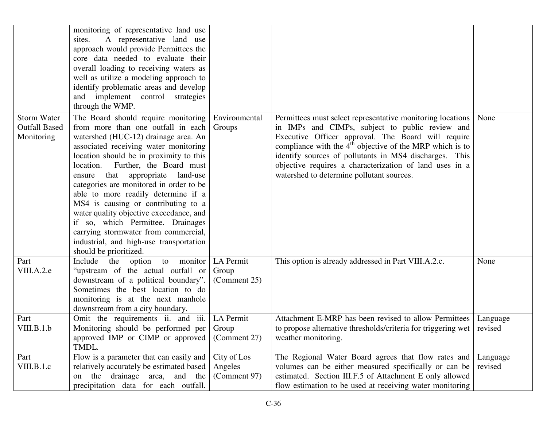|                                                          | monitoring of representative land use<br>A representative land use<br>sites.<br>approach would provide Permittees the<br>core data needed to evaluate their<br>overall loading to receiving waters as<br>well as utilize a modeling approach to<br>identify problematic areas and develop<br>and implement control strategies<br>through the WMP.                                                                                                                                                                                                                                                                |                                        |                                                                                                                                                                                                                                                                                                                                                                                                     |                     |
|----------------------------------------------------------|------------------------------------------------------------------------------------------------------------------------------------------------------------------------------------------------------------------------------------------------------------------------------------------------------------------------------------------------------------------------------------------------------------------------------------------------------------------------------------------------------------------------------------------------------------------------------------------------------------------|----------------------------------------|-----------------------------------------------------------------------------------------------------------------------------------------------------------------------------------------------------------------------------------------------------------------------------------------------------------------------------------------------------------------------------------------------------|---------------------|
| <b>Storm Water</b><br><b>Outfall Based</b><br>Monitoring | The Board should require monitoring<br>from more than one outfall in each<br>watershed (HUC-12) drainage area. An<br>associated receiving water monitoring<br>location should be in proximity to this<br>Further, the Board must<br>location.<br>that<br>appropriate<br>land-use<br>ensure<br>categories are monitored in order to be<br>able to more readily determine if a<br>MS4 is causing or contributing to a<br>water quality objective exceedance, and<br>if so, which Permittee. Drainages<br>carrying stormwater from commercial,<br>industrial, and high-use transportation<br>should be prioritized. | Environmental<br>Groups                | Permittees must select representative monitoring locations<br>in IMPs and CIMPs, subject to public review and<br>Executive Officer approval. The Board will require<br>compliance with the $4th$ objective of the MRP which is to<br>identify sources of pollutants in MS4 discharges. This<br>objective requires a characterization of land uses in a<br>watershed to determine pollutant sources. | None                |
| Part<br>VIII.A.2.e                                       | Include the option to monitor<br>"upstream of the actual outfall or<br>downstream of a political boundary".<br>Sometimes the best location to do<br>monitoring is at the next manhole<br>downstream from a city boundary.                                                                                                                                                                                                                                                                                                                                                                                        | LA Permit<br>Group<br>(Comment 25)     | This option is already addressed in Part VIII.A.2.c.                                                                                                                                                                                                                                                                                                                                                | None                |
| Part<br>VIII.B.1.b                                       | Omit the requirements ii. and iii.<br>Monitoring should be performed per<br>approved IMP or CIMP or approved<br>TMDL.                                                                                                                                                                                                                                                                                                                                                                                                                                                                                            | LA Permit<br>Group<br>(Comment 27)     | Attachment E-MRP has been revised to allow Permittees<br>to propose alternative thresholds/criteria for triggering wet<br>weather monitoring.                                                                                                                                                                                                                                                       | Language<br>revised |
| Part<br>VIII.B.1.c                                       | Flow is a parameter that can easily and<br>relatively accurately be estimated based<br>the drainage area, and the<br>on<br>precipitation data for each outfall.                                                                                                                                                                                                                                                                                                                                                                                                                                                  | City of Los<br>Angeles<br>(Comment 97) | The Regional Water Board agrees that flow rates and<br>volumes can be either measured specifically or can be<br>estimated. Section III.F.5 of Attachment E only allowed<br>flow estimation to be used at receiving water monitoring                                                                                                                                                                 | Language<br>revised |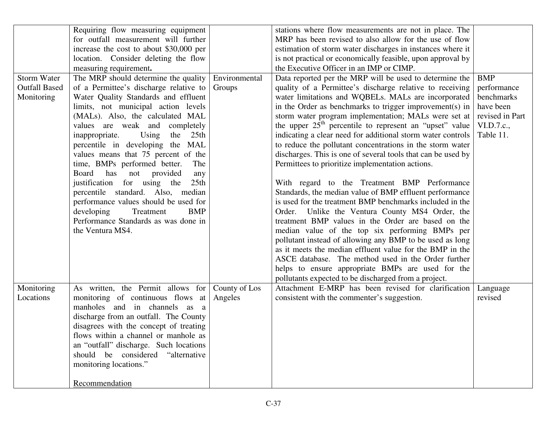|                                                          | Requiring flow measuring equipment<br>for outfall measurement will further<br>increase the cost to about \$30,000 per<br>location. Consider deleting the flow<br>measuring requirement.                                                                                                                                                                                                                                                                                                                                                                                                                                                                                      |                          | stations where flow measurements are not in place. The<br>MRP has been revised to also allow for the use of flow<br>estimation of storm water discharges in instances where it<br>is not practical or economically feasible, upon approval by<br>the Executive Officer in an IMP or CIMP.                                                                                                                                                                                                                                                                                                                                                                                                                                                                                                                                                                                                                                                                                                                                                                                                                                                                                                                                                 |                                                                                                    |
|----------------------------------------------------------|------------------------------------------------------------------------------------------------------------------------------------------------------------------------------------------------------------------------------------------------------------------------------------------------------------------------------------------------------------------------------------------------------------------------------------------------------------------------------------------------------------------------------------------------------------------------------------------------------------------------------------------------------------------------------|--------------------------|-------------------------------------------------------------------------------------------------------------------------------------------------------------------------------------------------------------------------------------------------------------------------------------------------------------------------------------------------------------------------------------------------------------------------------------------------------------------------------------------------------------------------------------------------------------------------------------------------------------------------------------------------------------------------------------------------------------------------------------------------------------------------------------------------------------------------------------------------------------------------------------------------------------------------------------------------------------------------------------------------------------------------------------------------------------------------------------------------------------------------------------------------------------------------------------------------------------------------------------------|----------------------------------------------------------------------------------------------------|
| <b>Storm Water</b><br><b>Outfall Based</b><br>Monitoring | The MRP should determine the quality<br>of a Permittee's discharge relative to<br>Water Quality Standards and effluent<br>limits, not municipal action levels<br>(MALs). Also, the calculated MAL<br>values are weak and completely<br>Using the<br>inappropriate.<br>25th<br>percentile in developing the MAL<br>values means that 75 percent of the<br>time, BMPs performed better.<br>The<br>Board<br>has<br>provided<br>not<br>any<br>justification for using the<br>25 <sub>th</sub><br>percentile standard. Also, median<br>performance values should be used for<br>developing<br>Treatment<br><b>BMP</b><br>Performance Standards as was done in<br>the Ventura MS4. | Environmental<br>Groups  | Data reported per the MRP will be used to determine the<br>quality of a Permittee's discharge relative to receiving<br>water limitations and WQBELs. MALs are incorporated<br>in the Order as benchmarks to trigger improvement(s) in<br>storm water program implementation; MALs were set at<br>the upper $25th$ percentile to represent an "upset" value<br>indicating a clear need for additional storm water controls<br>to reduce the pollutant concentrations in the storm water<br>discharges. This is one of several tools that can be used by<br>Permittees to prioritize implementation actions.<br>With regard to the Treatment BMP Performance<br>Standards, the median value of BMP effluent performance<br>is used for the treatment BMP benchmarks included in the<br>Order. Unlike the Ventura County MS4 Order, the<br>treatment BMP values in the Order are based on the<br>median value of the top six performing BMPs per<br>pollutant instead of allowing any BMP to be used as long<br>as it meets the median effluent value for the BMP in the<br>ASCE database. The method used in the Order further<br>helps to ensure appropriate BMPs are used for the<br>pollutants expected to be discharged from a project. | <b>BMP</b><br>performance<br>benchmarks<br>have been<br>revised in Part<br>VI.D.7.c.,<br>Table 11. |
| Monitoring<br>Locations                                  | As written, the Permit allows for<br>monitoring of continuous flows at<br>manholes and in channels as a<br>discharge from an outfall. The County<br>disagrees with the concept of treating<br>flows within a channel or manhole as<br>an "outfall" discharge. Such locations<br>should be considered<br>"alternative<br>monitoring locations."<br>Recommendation                                                                                                                                                                                                                                                                                                             | County of Los<br>Angeles | Attachment E-MRP has been revised for clarification<br>consistent with the commenter's suggestion.                                                                                                                                                                                                                                                                                                                                                                                                                                                                                                                                                                                                                                                                                                                                                                                                                                                                                                                                                                                                                                                                                                                                        | Language<br>revised                                                                                |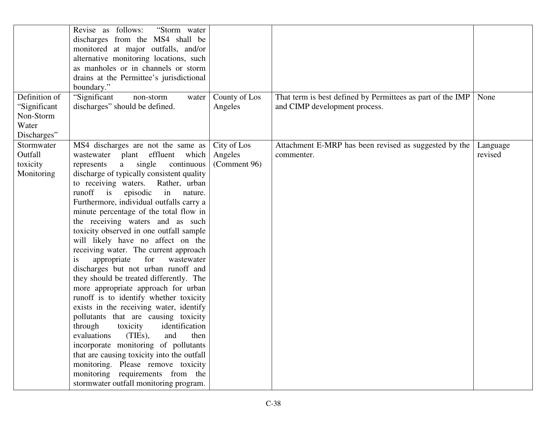|                                                                    | "Storm water<br>Revise as follows:<br>discharges from the MS4 shall be<br>monitored at major outfalls, and/or<br>alternative monitoring locations, such<br>as manholes or in channels or storm<br>drains at the Permittee's jurisdictional<br>boundary."                                                                                                                                                                                                                                                                                                                                                                                                                                                                                                                                                                                                                                                                                                                                                                                                                                                   |                                        |                                                                                             |                     |
|--------------------------------------------------------------------|------------------------------------------------------------------------------------------------------------------------------------------------------------------------------------------------------------------------------------------------------------------------------------------------------------------------------------------------------------------------------------------------------------------------------------------------------------------------------------------------------------------------------------------------------------------------------------------------------------------------------------------------------------------------------------------------------------------------------------------------------------------------------------------------------------------------------------------------------------------------------------------------------------------------------------------------------------------------------------------------------------------------------------------------------------------------------------------------------------|----------------------------------------|---------------------------------------------------------------------------------------------|---------------------|
| Definition of<br>"Significant<br>Non-Storm<br>Water<br>Discharges" | "Significant<br>non-storm<br>water<br>discharges" should be defined.                                                                                                                                                                                                                                                                                                                                                                                                                                                                                                                                                                                                                                                                                                                                                                                                                                                                                                                                                                                                                                       | County of Los<br>Angeles               | That term is best defined by Permittees as part of the IMP<br>and CIMP development process. | None                |
| Stormwater<br>Outfall<br>toxicity<br>Monitoring                    | MS4 discharges are not the same as<br>wastewater plant effluent which<br>single<br>continuous<br>represents<br>a<br>discharge of typically consistent quality<br>Rather, urban<br>to receiving waters.<br>runoff<br>$\frac{1}{1}$<br>episodic<br>in<br>nature.<br>Furthermore, individual outfalls carry a<br>minute percentage of the total flow in<br>the receiving waters and as such<br>toxicity observed in one outfall sample<br>will likely have no affect on the<br>receiving water. The current approach<br>appropriate<br>for<br>wastewater<br>1S<br>discharges but not urban runoff and<br>they should be treated differently. The<br>more appropriate approach for urban<br>runoff is to identify whether toxicity<br>exists in the receiving water, identify<br>pollutants that are causing toxicity<br>identification<br>through<br>toxicity<br>(TIEs), and<br>evaluations<br>then<br>incorporate monitoring of pollutants<br>that are causing toxicity into the outfall<br>monitoring. Please remove toxicity<br>monitoring requirements from the<br>stormwater outfall monitoring program. | City of Los<br>Angeles<br>(Comment 96) | Attachment E-MRP has been revised as suggested by the<br>commenter.                         | Language<br>revised |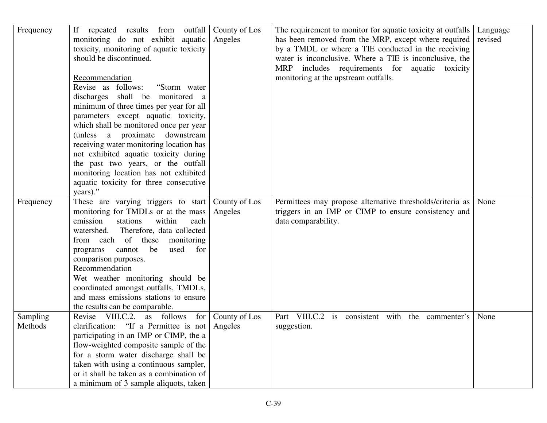| Frequency           | repeated results from outfall<br>If<br>monitoring do not exhibit aquatic<br>toxicity, monitoring of aquatic toxicity<br>should be discontinued.<br>Recommendation<br>Revise as follows:<br>"Storm water"<br>discharges shall be monitored a<br>minimum of three times per year for all<br>parameters except aquatic toxicity,<br>which shall be monitored once per year<br>(unless a proximate downstream<br>receiving water monitoring location has | County of Los<br>Angeles | The requirement to monitor for aquatic toxicity at outfalls<br>has been removed from the MRP, except where required<br>by a TMDL or where a TIE conducted in the receiving<br>water is inconclusive. Where a TIE is inconclusive, the<br>MRP includes requirements for aquatic toxicity<br>monitoring at the upstream outfalls. | Language<br>revised |
|---------------------|------------------------------------------------------------------------------------------------------------------------------------------------------------------------------------------------------------------------------------------------------------------------------------------------------------------------------------------------------------------------------------------------------------------------------------------------------|--------------------------|---------------------------------------------------------------------------------------------------------------------------------------------------------------------------------------------------------------------------------------------------------------------------------------------------------------------------------|---------------------|
|                     | not exhibited aquatic toxicity during<br>the past two years, or the outfall<br>monitoring location has not exhibited<br>aquatic toxicity for three consecutive<br>years)."                                                                                                                                                                                                                                                                           |                          |                                                                                                                                                                                                                                                                                                                                 |                     |
| Frequency           | These are varying triggers to start<br>monitoring for TMDLs or at the mass<br>emission<br>stations<br>within<br>each<br>Therefore, data collected<br>watershed.<br>from each of<br>these<br>monitoring<br>be<br>used<br>for<br>programs<br>cannot<br>comparison purposes.<br>Recommendation<br>Wet weather monitoring should be<br>coordinated amongst outfalls, TMDLs,<br>and mass emissions stations to ensure<br>the results can be comparable.   | County of Los<br>Angeles | Permittees may propose alternative thresholds/criteria as<br>triggers in an IMP or CIMP to ensure consistency and<br>data comparability.                                                                                                                                                                                        | None                |
| Sampling<br>Methods | Revise VIII.C.2. as follows for<br>clarification: "If a Permittee is not<br>participating in an IMP or CIMP, the a<br>flow-weighted composite sample of the<br>for a storm water discharge shall be<br>taken with using a continuous sampler,<br>or it shall be taken as a combination of<br>a minimum of 3 sample aliquots, taken                                                                                                                   | County of Los<br>Angeles | Part VIII.C.2 is consistent with the commenter's<br>suggestion.                                                                                                                                                                                                                                                                 | None                |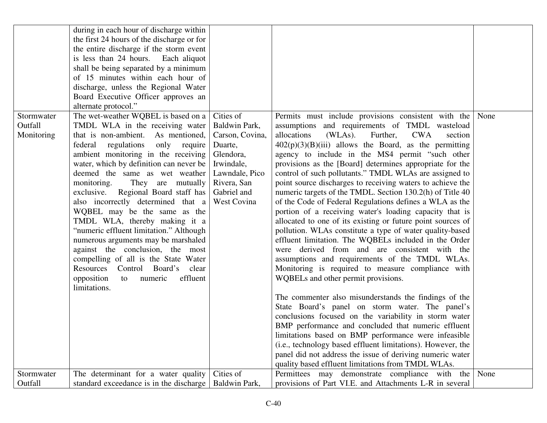|                                     | during in each hour of discharge within<br>the first 24 hours of the discharge or for<br>the entire discharge if the storm event<br>is less than 24 hours. Each aliquot<br>shall be being separated by a minimum<br>of 15 minutes within each hour of<br>discharge, unless the Regional Water<br>Board Executive Officer approves an<br>alternate protocol."                                                                                                                                                                                                                                                                                                                                                          |                                                                                                                                                    |                                                                                                                                                                                                                                                                                                                                                                                                                                                                                                                                                                                                                                                                                                                                                                                                                                                                                                                                                                                                                                                                                                                                                            |  |
|-------------------------------------|-----------------------------------------------------------------------------------------------------------------------------------------------------------------------------------------------------------------------------------------------------------------------------------------------------------------------------------------------------------------------------------------------------------------------------------------------------------------------------------------------------------------------------------------------------------------------------------------------------------------------------------------------------------------------------------------------------------------------|----------------------------------------------------------------------------------------------------------------------------------------------------|------------------------------------------------------------------------------------------------------------------------------------------------------------------------------------------------------------------------------------------------------------------------------------------------------------------------------------------------------------------------------------------------------------------------------------------------------------------------------------------------------------------------------------------------------------------------------------------------------------------------------------------------------------------------------------------------------------------------------------------------------------------------------------------------------------------------------------------------------------------------------------------------------------------------------------------------------------------------------------------------------------------------------------------------------------------------------------------------------------------------------------------------------------|--|
| Stormwater<br>Outfall<br>Monitoring | The wet-weather WQBEL is based on a<br>TMDL WLA in the receiving water<br>that is non-ambient. As mentioned,<br>regulations<br>federal<br>only require<br>ambient monitoring in the receiving<br>water, which by definition can never be<br>deemed the same as wet weather<br>They are mutually<br>monitoring.<br>exclusive. Regional Board staff has<br>also incorrectly determined that a<br>WQBEL may be the same as the<br>TMDL WLA, thereby making it a<br>"numeric effluent limitation." Although<br>numerous arguments may be marshaled<br>against the conclusion, the most<br>compelling of all is the State Water<br>Resources Control Board's clear<br>opposition<br>to numeric<br>effluent<br>limitations. | Cities of<br>Baldwin Park,<br>Carson, Covina,<br>Duarte,<br>Glendora,<br>Irwindale,<br>Lawndale, Pico<br>Rivera, San<br>Gabriel and<br>West Covina | Permits must include provisions consistent with the None<br>assumptions and requirements of TMDL wasteload<br>allocations<br>(WLAs). Further,<br><b>CWA</b><br>section<br>$402(p)(3)(B)(iii)$ allows the Board, as the permitting<br>agency to include in the MS4 permit "such other<br>provisions as the [Board] determines appropriate for the<br>control of such pollutants." TMDL WLAs are assigned to<br>point source discharges to receiving waters to achieve the<br>numeric targets of the TMDL. Section 130.2(h) of Title 40<br>of the Code of Federal Regulations defines a WLA as the<br>portion of a receiving water's loading capacity that is<br>allocated to one of its existing or future point sources of<br>pollution. WLAs constitute a type of water quality-based<br>effluent limitation. The WQBELs included in the Order<br>were derived from and are consistent with the<br>assumptions and requirements of the TMDL WLAs.<br>Monitoring is required to measure compliance with<br>WQBELs and other permit provisions.<br>The commenter also misunderstands the findings of the<br>State Board's panel on storm water. The panel's |  |
|                                     |                                                                                                                                                                                                                                                                                                                                                                                                                                                                                                                                                                                                                                                                                                                       |                                                                                                                                                    | conclusions focused on the variability in storm water<br>BMP performance and concluded that numeric effluent<br>limitations based on BMP performance were infeasible<br>(i.e., technology based effluent limitations). However, the<br>panel did not address the issue of deriving numeric water<br>quality based effluent limitations from TMDL WLAs.                                                                                                                                                                                                                                                                                                                                                                                                                                                                                                                                                                                                                                                                                                                                                                                                     |  |
| Stormwater<br>Outfall               | The determinant for a water quality<br>standard exceedance is in the discharge                                                                                                                                                                                                                                                                                                                                                                                                                                                                                                                                                                                                                                        | Cities of<br>Baldwin Park,                                                                                                                         | Permittees may demonstrate compliance with the None<br>provisions of Part VI.E. and Attachments L-R in several                                                                                                                                                                                                                                                                                                                                                                                                                                                                                                                                                                                                                                                                                                                                                                                                                                                                                                                                                                                                                                             |  |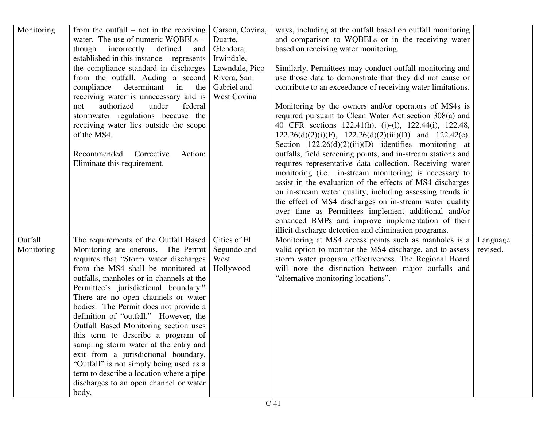| Monitoring            | from the outfall $-$ not in the receiving<br>water. The use of numeric WQBELs --<br>incorrectly<br>though<br>defined<br>and<br>established in this instance -- represents<br>the compliance standard in discharges<br>from the outfall. Adding a second<br>compliance<br>determinant<br>in<br>the<br>receiving water is unnecessary and is<br>authorized<br>under<br>federal<br>not<br>stormwater regulations because the<br>receiving water lies outside the scope<br>of the MS4.<br>Recommended<br>Corrective<br>Action:<br>Eliminate this requirement.                                                                                                                           | Carson, Covina,<br>Duarte,<br>Glendora,<br>Irwindale,<br>Lawndale, Pico<br>Rivera, San<br>Gabriel and<br>West Covina | ways, including at the outfall based on outfall monitoring<br>and comparison to WQBELs or in the receiving water<br>based on receiving water monitoring.<br>Similarly, Permittees may conduct outfall monitoring and<br>use those data to demonstrate that they did not cause or<br>contribute to an exceedance of receiving water limitations.<br>Monitoring by the owners and/or operators of MS4s is<br>required pursuant to Clean Water Act section 308(a) and<br>40 CFR sections 122.41(h), (j)-(l), 122.44(i), 122.48,<br>$122.26(d)(2)(i)(F)$ , $122.26(d)(2)(iii)(D)$ and $122.42(c)$ .<br>Section $122.26(d)(2)(iii)(D)$ identifies monitoring at<br>outfalls, field screening points, and in-stream stations and<br>requires representative data collection. Receiving water<br>monitoring (i.e. in-stream monitoring) is necessary to<br>assist in the evaluation of the effects of MS4 discharges<br>on in-stream water quality, including assessing trends in<br>the effect of MS4 discharges on in-stream water quality<br>over time as Permittees implement additional and/or<br>enhanced BMPs and improve implementation of their |                      |
|-----------------------|-------------------------------------------------------------------------------------------------------------------------------------------------------------------------------------------------------------------------------------------------------------------------------------------------------------------------------------------------------------------------------------------------------------------------------------------------------------------------------------------------------------------------------------------------------------------------------------------------------------------------------------------------------------------------------------|----------------------------------------------------------------------------------------------------------------------|---------------------------------------------------------------------------------------------------------------------------------------------------------------------------------------------------------------------------------------------------------------------------------------------------------------------------------------------------------------------------------------------------------------------------------------------------------------------------------------------------------------------------------------------------------------------------------------------------------------------------------------------------------------------------------------------------------------------------------------------------------------------------------------------------------------------------------------------------------------------------------------------------------------------------------------------------------------------------------------------------------------------------------------------------------------------------------------------------------------------------------------------------|----------------------|
| Outfall<br>Monitoring | The requirements of the Outfall Based<br>Monitoring are onerous. The Permit<br>requires that "Storm water discharges"<br>from the MS4 shall be monitored at<br>outfalls, manholes or in channels at the<br>Permittee's jurisdictional boundary."<br>There are no open channels or water<br>bodies. The Permit does not provide a<br>definition of "outfall." However, the<br>Outfall Based Monitoring section uses<br>this term to describe a program of<br>sampling storm water at the entry and<br>exit from a jurisdictional boundary.<br>"Outfall" is not simply being used as a<br>term to describe a location where a pipe<br>discharges to an open channel or water<br>body. | Cities of El<br>Segundo and<br>West<br>Hollywood                                                                     | illicit discharge detection and elimination programs.<br>Monitoring at MS4 access points such as manholes is a<br>valid option to monitor the MS4 discharge, and to assess<br>storm water program effectiveness. The Regional Board<br>will note the distinction between major outfalls and<br>"alternative monitoring locations".                                                                                                                                                                                                                                                                                                                                                                                                                                                                                                                                                                                                                                                                                                                                                                                                                | Language<br>revised. |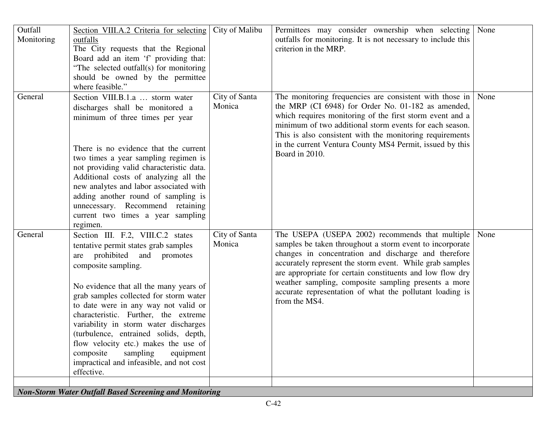| Outfall<br>Monitoring | Section VIII.A.2 Criteria for selecting<br>outfalls<br>The City requests that the Regional<br>Board add an item 'f' providing that:<br>"The selected outfall(s) for monitoring<br>should be owned by the permittee<br>where feasible."                                                                                                                                                                                                                                                                                           | City of Malibu          | Permittees may consider ownership when selecting<br>outfalls for monitoring. It is not necessary to include this<br>criterion in the MRP.                                                                                                                                                                                                                                                                                         | None |
|-----------------------|----------------------------------------------------------------------------------------------------------------------------------------------------------------------------------------------------------------------------------------------------------------------------------------------------------------------------------------------------------------------------------------------------------------------------------------------------------------------------------------------------------------------------------|-------------------------|-----------------------------------------------------------------------------------------------------------------------------------------------------------------------------------------------------------------------------------------------------------------------------------------------------------------------------------------------------------------------------------------------------------------------------------|------|
| General               | Section VIII.B.1.a  storm water<br>discharges shall be monitored a<br>minimum of three times per year<br>There is no evidence that the current<br>two times a year sampling regimen is<br>not providing valid characteristic data.<br>Additional costs of analyzing all the<br>new analytes and labor associated with<br>adding another round of sampling is<br>unnecessary. Recommend retaining<br>current two times a year sampling<br>regimen.                                                                                | City of Santa<br>Monica | The monitoring frequencies are consistent with those in<br>the MRP (CI 6948) for Order No. 01-182 as amended,<br>which requires monitoring of the first storm event and a<br>minimum of two additional storm events for each season.<br>This is also consistent with the monitoring requirements<br>in the current Ventura County MS4 Permit, issued by this<br>Board in 2010.                                                    | None |
| General               | Section III. F.2, VIII.C.2 states<br>tentative permit states grab samples<br>prohibited and promotes<br>are<br>composite sampling.<br>No evidence that all the many years of<br>grab samples collected for storm water<br>to date were in any way not valid or<br>characteristic. Further, the extreme<br>variability in storm water discharges<br>(turbulence, entrained solids, depth,<br>flow velocity etc.) makes the use of<br>composite<br>sampling<br>equipment<br>impractical and infeasible, and not cost<br>effective. | City of Santa<br>Monica | The USEPA (USEPA 2002) recommends that multiple<br>samples be taken throughout a storm event to incorporate<br>changes in concentration and discharge and therefore<br>accurately represent the storm event. While grab samples<br>are appropriate for certain constituents and low flow dry<br>weather sampling, composite sampling presents a more<br>accurate representation of what the pollutant loading is<br>from the MS4. | None |

*Non-Storm Water Outfall Based Screening and Monitoring*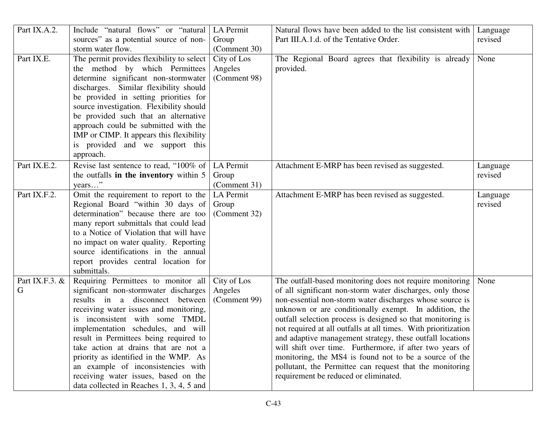| Part IX.A.2.   | Include "natural flows" or "natural                                        | LA Permit    | Natural flows have been added to the list consistent with                                         | Language |
|----------------|----------------------------------------------------------------------------|--------------|---------------------------------------------------------------------------------------------------|----------|
|                | sources" as a potential source of non-                                     | Group        | Part III.A.1.d. of the Tentative Order.                                                           | revised  |
|                | storm water flow.                                                          | (Comment 30) |                                                                                                   |          |
| Part IX.E.     | The permit provides flexibility to select                                  | City of Los  | The Regional Board agrees that flexibility is already                                             | None     |
|                | the method by which Permittees                                             | Angeles      | provided.                                                                                         |          |
|                | determine significant non-stormwater                                       | (Comment 98) |                                                                                                   |          |
|                | discharges. Similar flexibility should                                     |              |                                                                                                   |          |
|                | be provided in setting priorities for                                      |              |                                                                                                   |          |
|                | source investigation. Flexibility should                                   |              |                                                                                                   |          |
|                | be provided such that an alternative                                       |              |                                                                                                   |          |
|                | approach could be submitted with the                                       |              |                                                                                                   |          |
|                | IMP or CIMP. It appears this flexibility                                   |              |                                                                                                   |          |
|                | is provided and we support this                                            |              |                                                                                                   |          |
|                | approach.                                                                  |              |                                                                                                   |          |
| Part IX.E.2.   | Revise last sentence to read, "100% of                                     | LA Permit    | Attachment E-MRP has been revised as suggested.                                                   | Language |
|                | the outfalls in the inventory within 5                                     | Group        |                                                                                                   | revised  |
|                | years"                                                                     | (Comment 31) |                                                                                                   |          |
| Part IX.F.2.   | Omit the requirement to report to the                                      | LA Permit    | Attachment E-MRP has been revised as suggested.                                                   | Language |
|                | Regional Board "within 30 days of                                          | Group        |                                                                                                   | revised  |
|                | determination" because there are too                                       | (Comment 32) |                                                                                                   |          |
|                | many report submittals that could lead                                     |              |                                                                                                   |          |
|                | to a Notice of Violation that will have                                    |              |                                                                                                   |          |
|                | no impact on water quality. Reporting                                      |              |                                                                                                   |          |
|                | source identifications in the annual                                       |              |                                                                                                   |          |
|                | report provides central location for                                       |              |                                                                                                   |          |
|                | submittals.                                                                |              |                                                                                                   |          |
| Part IX.F.3. & | Requiring Permittees to monitor all                                        | City of Los  | The outfall-based monitoring does not require monitoring                                          | None     |
| G              | significant non-stormwater discharges                                      | Angeles      | of all significant non-storm water discharges, only those                                         |          |
|                | results in a disconnect between                                            | (Comment 99) | non-essential non-storm water discharges whose source is                                          |          |
|                | receiving water issues and monitoring,                                     |              | unknown or are conditionally exempt. In addition, the                                             |          |
|                | inconsistent with some TMDL                                                |              | outfall selection process is designed so that monitoring is                                       |          |
|                | implementation schedules, and will                                         |              | not required at all outfalls at all times. With prioritization                                    |          |
|                | result in Permittees being required to                                     |              | and adaptive management strategy, these outfall locations                                         |          |
|                | take action at drains that are not a                                       |              | will shift over time. Furthermore, if after two years of                                          |          |
|                | priority as identified in the WMP. As                                      |              | monitoring, the MS4 is found not to be a source of the                                            |          |
|                | an example of inconsistencies with<br>receiving water issues, based on the |              | pollutant, the Permittee can request that the monitoring<br>requirement be reduced or eliminated. |          |
|                |                                                                            |              |                                                                                                   |          |
|                | data collected in Reaches 1, 3, 4, 5 and                                   |              |                                                                                                   |          |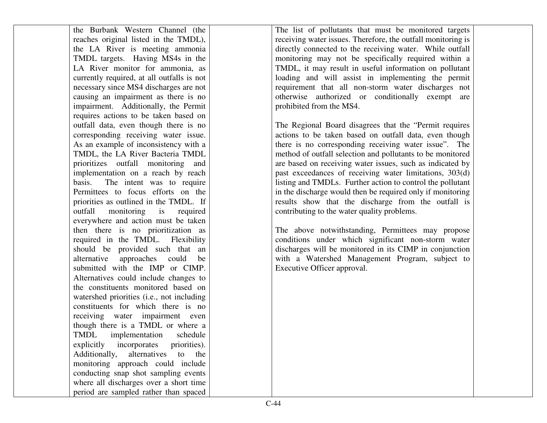| the Burbank Western Channel (the           |
|--------------------------------------------|
| reaches original listed in the TMDL),      |
| LA River is meeting ammonia<br>the         |
| TMDL targets. Having MS4s in the           |
| LA River monitor for ammonia, as           |
| currently required, at all outfalls is not |
| necessary since MS4 discharges are not     |
| causing an impairment as there is no       |
| impairment. Additionally, the Permit       |
| requires actions to be taken based on      |
| outfall data, even though there is no      |
| corresponding receiving water issue.       |
| As an example of inconsistency with a      |
| TMDL, the LA River Bacteria TMDL           |
| prioritizes outfall monitoring and         |
| implementation on a reach by reach         |
| basis. The intent was to require           |
| Permittees to focus efforts on the         |
| priorities as outlined in the TMDL. If     |
| outfall<br>monitoring is<br>required       |
| everywhere and action must be taken        |
| then there is no prioritization as         |
| required in the TMDL. Flexibility          |
| should be provided such that an            |
| alternative approaches could be            |
| submitted with the IMP or CIMP.            |
| Alternatives could include changes to      |
| the constituents monitored based on        |
| watershed priorities (i.e., not including  |
| constituents for which there is no         |
| receiving water impairment even            |
| though there is a TMDL or where a          |
| TMDL implementation schedule               |
| explicitly incorporates priorities).       |
| Additionally, alternatives to<br>the       |
| monitoring approach could include          |
| conducting snap shot sampling events       |
| where all discharges over a short time     |
| period are sampled rather than spaced      |

The list of pollutants that must be monitored targets receiving water issues. Therefore, the outfall monitoring is directly connected to the receiving water. While outfall monitoring may not be specifically required within a TMDL, it may result in useful information on pollutant loading and will assist in implementing the permit requirement that all non-storm water discharges not otherwise authorized or conditionally exempt are prohibited from the MS4.

The Regional Board disagrees that the "Permit requires actions to be taken based on outfall data, even though there is no corresponding receiving water issue". The method of outfall selection and pollutants to be monitored are based on receiving water issues, such as indicated by past exceedances of receiving water limitations, 303(d) listing and TMDLs. Further action to control the pollutant in the discharge would then be required only if monitoring results show that the discharge from the outfall iscontributing to the water quality problems.

The above notwithstanding, Permittees may propose conditions under which significant non-storm water discharges will be monitored in its CIMP in conjunction with a Watershed Management Program, subject to Executive Officer approval.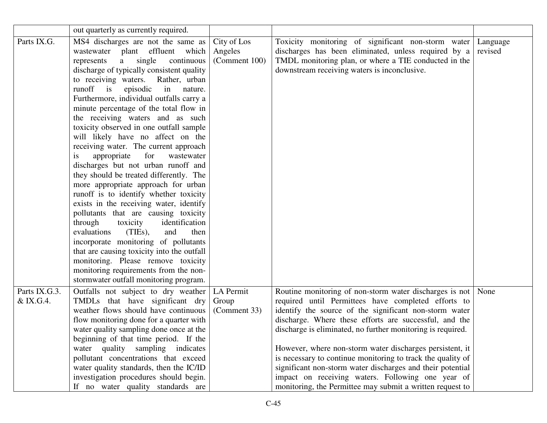|                            | out quarterly as currently required.                                                                                                                                                                                                                                                                                                                                                                                                                                                                                                                                                                                                                                                                                                                                                                                                                                                                                                                                                                                                                                                           |                                         |                                                                                                                                                                                                                                                                                                                                                                                                                                                                                                                                                                                                                   |                     |
|----------------------------|------------------------------------------------------------------------------------------------------------------------------------------------------------------------------------------------------------------------------------------------------------------------------------------------------------------------------------------------------------------------------------------------------------------------------------------------------------------------------------------------------------------------------------------------------------------------------------------------------------------------------------------------------------------------------------------------------------------------------------------------------------------------------------------------------------------------------------------------------------------------------------------------------------------------------------------------------------------------------------------------------------------------------------------------------------------------------------------------|-----------------------------------------|-------------------------------------------------------------------------------------------------------------------------------------------------------------------------------------------------------------------------------------------------------------------------------------------------------------------------------------------------------------------------------------------------------------------------------------------------------------------------------------------------------------------------------------------------------------------------------------------------------------------|---------------------|
| Parts IX.G.                | MS4 discharges are not the same as<br>wastewater plant effluent which<br>single<br>continuous<br>represents<br>a<br>discharge of typically consistent quality<br>to receiving waters. Rather, urban<br>runoff is<br>in nature.<br>episodic<br>Furthermore, individual outfalls carry a<br>minute percentage of the total flow in<br>the receiving waters and as such<br>toxicity observed in one outfall sample<br>will likely have no affect on the<br>receiving water. The current approach<br>appropriate<br>for<br>wastewater<br>1S<br>discharges but not urban runoff and<br>they should be treated differently. The<br>more appropriate approach for urban<br>runoff is to identify whether toxicity<br>exists in the receiving water, identify<br>pollutants that are causing toxicity<br>through<br>identification<br>toxicity<br>evaluations<br>(TIEs),<br>and<br>then<br>incorporate monitoring of pollutants<br>that are causing toxicity into the outfall<br>monitoring. Please remove toxicity<br>monitoring requirements from the non-<br>stormwater outfall monitoring program. | City of Los<br>Angeles<br>(Comment 100) | Toxicity monitoring of significant non-storm water<br>discharges has been eliminated, unless required by a<br>TMDL monitoring plan, or where a TIE conducted in the<br>downstream receiving waters is inconclusive.                                                                                                                                                                                                                                                                                                                                                                                               | Language<br>revised |
| Parts IX.G.3.<br>& IX.G.4. | Outfalls not subject to dry weather<br>TMDLs that have significant dry<br>weather flows should have continuous<br>flow monitoring done for a quarter with<br>water quality sampling done once at the<br>beginning of that time period. If the<br>water quality sampling indicates<br>pollutant concentrations that exceed<br>water quality standards, then the IC/ID<br>investigation procedures should begin.<br>If no water quality standards are                                                                                                                                                                                                                                                                                                                                                                                                                                                                                                                                                                                                                                            | LA Permit<br>Group<br>(Comment 33)      | Routine monitoring of non-storm water discharges is not None<br>required until Permittees have completed efforts to<br>identify the source of the significant non-storm water<br>discharge. Where these efforts are successful, and the<br>discharge is eliminated, no further monitoring is required.<br>However, where non-storm water discharges persistent, it<br>is necessary to continue monitoring to track the quality of<br>significant non-storm water discharges and their potential<br>impact on receiving waters. Following one year of<br>monitoring, the Permittee may submit a written request to |                     |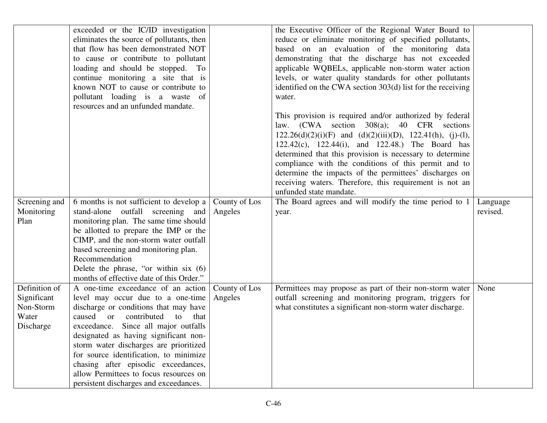|               | exceeded or the IC/ID investigation       |               | the Executive Officer of the Regional Water Board to               |          |
|---------------|-------------------------------------------|---------------|--------------------------------------------------------------------|----------|
|               | eliminates the source of pollutants, then |               | reduce or eliminate monitoring of specified pollutants,            |          |
|               | that flow has been demonstrated NOT       |               | based on an evaluation of the monitoring data                      |          |
|               | to cause or contribute to pollutant       |               | demonstrating that the discharge has not exceeded                  |          |
|               | loading and should be stopped. To         |               | applicable WQBELs, applicable non-storm water action               |          |
|               | continue monitoring a site that is        |               | levels, or water quality standards for other pollutants            |          |
|               | known NOT to cause or contribute to       |               | identified on the CWA section 303(d) list for the receiving        |          |
|               | pollutant loading is a waste of           |               | water.                                                             |          |
|               | resources and an unfunded mandate.        |               |                                                                    |          |
|               |                                           |               | This provision is required and/or authorized by federal            |          |
|               |                                           |               | law. (CWA section 308(a); 40 CFR sections                          |          |
|               |                                           |               | $122.26(d)(2)(i)(F)$ and $(d)(2)(iii)(D)$ , $122.41(h)$ , (j)-(l), |          |
|               |                                           |               | 122.42(c), 122.44(i), and 122.48.) The Board has                   |          |
|               |                                           |               | determined that this provision is necessary to determine           |          |
|               |                                           |               | compliance with the conditions of this permit and to               |          |
|               |                                           |               | determine the impacts of the permittees' discharges on             |          |
|               |                                           |               | receiving waters. Therefore, this requirement is not an            |          |
|               |                                           |               | unfunded state mandate.                                            |          |
| Screening and | 6 months is not sufficient to develop a   | County of Los | The Board agrees and will modify the time period to 1              | Language |
| Monitoring    | stand-alone outfall screening and         | Angeles       | year.                                                              | revised. |
| Plan          | monitoring plan. The same time should     |               |                                                                    |          |
|               | be allotted to prepare the IMP or the     |               |                                                                    |          |
|               | CIMP, and the non-storm water outfall     |               |                                                                    |          |
|               | based screening and monitoring plan.      |               |                                                                    |          |
|               | Recommendation                            |               |                                                                    |          |
|               | Delete the phrase, "or within six $(6)$   |               |                                                                    |          |
|               | months of effective date of this Order."  |               |                                                                    |          |
| Definition of | A one-time exceedance of an action        | County of Los | Permittees may propose as part of their non-storm water            | None     |
| Significant   | level may occur due to a one-time         | Angeles       | outfall screening and monitoring program, triggers for             |          |
| Non-Storm     | discharge or conditions that may have     |               | what constitutes a significant non-storm water discharge.          |          |
| Water         | caused<br>or contributed<br>that<br>to    |               |                                                                    |          |
| Discharge     | exceedance. Since all major outfalls      |               |                                                                    |          |
|               | designated as having significant non-     |               |                                                                    |          |
|               | storm water discharges are prioritized    |               |                                                                    |          |
|               | for source identification, to minimize    |               |                                                                    |          |
|               | chasing after episodic exceedances,       |               |                                                                    |          |
|               | allow Permittees to focus resources on    |               |                                                                    |          |
|               | persistent discharges and exceedances.    |               |                                                                    |          |
|               |                                           |               |                                                                    |          |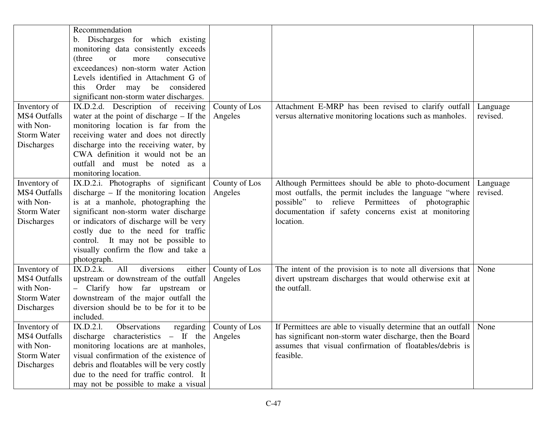|                     | Recommendation                                                              |               |                                                              |                      |
|---------------------|-----------------------------------------------------------------------------|---------------|--------------------------------------------------------------|----------------------|
|                     | b. Discharges for which existing                                            |               |                                                              |                      |
|                     | monitoring data consistently exceeds                                        |               |                                                              |                      |
|                     | (three<br>consecutive<br><b>or</b><br>more                                  |               |                                                              |                      |
|                     | exceedances) non-storm water Action                                         |               |                                                              |                      |
|                     | Levels identified in Attachment G of                                        |               |                                                              |                      |
|                     | this Order may be considered                                                |               |                                                              |                      |
|                     | significant non-storm water discharges.                                     |               |                                                              |                      |
| Inventory of        | IX.D.2.d. Description of receiving                                          | County of Los | Attachment E-MRP has been revised to clarify outfall         |                      |
| <b>MS4 Outfalls</b> |                                                                             |               |                                                              | Language<br>revised. |
| with Non-           | water at the point of discharge $-$ If the                                  | Angeles       | versus alternative monitoring locations such as manholes.    |                      |
|                     | monitoring location is far from the                                         |               |                                                              |                      |
| <b>Storm Water</b>  | receiving water and does not directly                                       |               |                                                              |                      |
| Discharges          | discharge into the receiving water, by<br>CWA definition it would not be an |               |                                                              |                      |
|                     |                                                                             |               |                                                              |                      |
|                     | outfall and must be noted as a                                              |               |                                                              |                      |
|                     | monitoring location.                                                        |               |                                                              |                      |
| Inventory of        | IX.D.2.i. Photographs of significant                                        | County of Los | Although Permittees should be able to photo-document         | Language             |
| <b>MS4 Outfalls</b> | discharge $-$ If the monitoring location                                    | Angeles       | most outfalls, the permit includes the language "where       | revised.             |
| with Non-           | is at a manhole, photographing the                                          |               | possible" to relieve Permittees of photographic              |                      |
| <b>Storm Water</b>  | significant non-storm water discharge                                       |               | documentation if safety concerns exist at monitoring         |                      |
| Discharges          | or indicators of discharge will be very                                     |               | location.                                                    |                      |
|                     | costly due to the need for traffic                                          |               |                                                              |                      |
|                     | control. It may not be possible to                                          |               |                                                              |                      |
|                     | visually confirm the flow and take a                                        |               |                                                              |                      |
|                     | photograph.                                                                 |               |                                                              |                      |
| Inventory of        | diversions<br>either<br>IX.D.2.k.<br>All                                    | County of Los | The intent of the provision is to note all diversions that   | None                 |
| <b>MS4 Outfalls</b> | upstream or downstream of the outfall                                       | Angeles       | divert upstream discharges that would otherwise exit at      |                      |
| with Non-           | - Clarify how far upstream or                                               |               | the outfall.                                                 |                      |
| <b>Storm Water</b>  | downstream of the major outfall the                                         |               |                                                              |                      |
| Discharges          | diversion should be to be for it to be                                      |               |                                                              |                      |
|                     | included.                                                                   |               |                                                              |                      |
| Inventory of        | IX.D.2.1.<br>Observations<br>regarding                                      | County of Los | If Permittees are able to visually determine that an outfall | None                 |
| <b>MS4 Outfalls</b> | discharge characteristics $-$ If the                                        | Angeles       | has significant non-storm water discharge, then the Board    |                      |
| with Non-           | monitoring locations are at manholes,                                       |               | assumes that visual confirmation of floatables/debris is     |                      |
| <b>Storm Water</b>  | visual confirmation of the existence of                                     |               | feasible.                                                    |                      |
| <b>Discharges</b>   | debris and floatables will be very costly                                   |               |                                                              |                      |
|                     | due to the need for traffic control. It                                     |               |                                                              |                      |
|                     | may not be possible to make a visual                                        |               |                                                              |                      |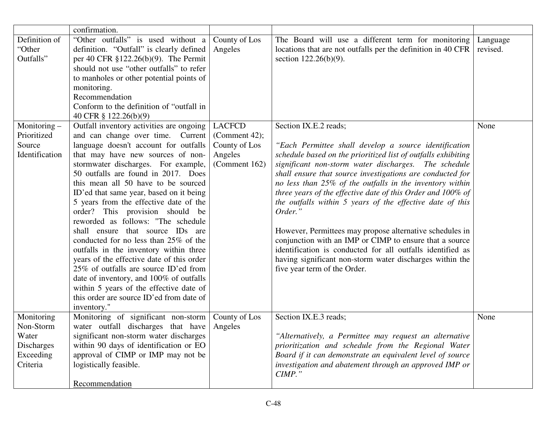|                                                                                | confirmation.                                                                                                                                                                                                                                                                                                                                                                                                                                                                                                                                                                                                                                                                                                                                                                                                |                                                                             |                                                                                                                                                                                                                                                                                                                                                                                                                                                                                                                                                                                                                                                                                                                                                          |                      |
|--------------------------------------------------------------------------------|--------------------------------------------------------------------------------------------------------------------------------------------------------------------------------------------------------------------------------------------------------------------------------------------------------------------------------------------------------------------------------------------------------------------------------------------------------------------------------------------------------------------------------------------------------------------------------------------------------------------------------------------------------------------------------------------------------------------------------------------------------------------------------------------------------------|-----------------------------------------------------------------------------|----------------------------------------------------------------------------------------------------------------------------------------------------------------------------------------------------------------------------------------------------------------------------------------------------------------------------------------------------------------------------------------------------------------------------------------------------------------------------------------------------------------------------------------------------------------------------------------------------------------------------------------------------------------------------------------------------------------------------------------------------------|----------------------|
| Definition of<br>"Other<br>Outfalls"                                           | "Other outfalls" is used without a<br>definition. "Outfall" is clearly defined<br>per 40 CFR $$122.26(b)(9)$ . The Permit<br>should not use "other outfalls" to refer<br>to manholes or other potential points of<br>monitoring.<br>Recommendation<br>Conform to the definition of "outfall in<br>40 CFR § 122.26(b)(9)                                                                                                                                                                                                                                                                                                                                                                                                                                                                                      | County of Los<br>Angeles                                                    | The Board will use a different term for monitoring<br>locations that are not outfalls per the definition in 40 CFR<br>section $122.26(b)(9)$ .                                                                                                                                                                                                                                                                                                                                                                                                                                                                                                                                                                                                           | Language<br>revised. |
| Monitoring –<br>Prioritized<br>Source<br>Identification                        | Outfall inventory activities are ongoing<br>and can change over time. Current<br>language doesn't account for outfalls<br>that may have new sources of non-<br>stormwater discharges. For example,<br>50 outfalls are found in 2017. Does<br>this mean all 50 have to be sourced<br>ID'ed that same year, based on it being<br>5 years from the effective date of the<br>order? This provision should be<br>reworded as follows: "The schedule<br>shall ensure that source IDs are<br>conducted for no less than 25% of the<br>outfalls in the inventory within three<br>years of the effective date of this order<br>25% of outfalls are source ID'ed from<br>date of inventory, and 100% of outfalls<br>within 5 years of the effective date of<br>this order are source ID'ed from date of<br>inventory." | <b>LACFCD</b><br>(Comment 42);<br>County of Los<br>Angeles<br>(Comment 162) | Section IX.E.2 reads;<br>"Each Permittee shall develop a source identification<br>schedule based on the prioritized list of outfalls exhibiting<br>significant non-storm water discharges. The schedule<br>shall ensure that source investigations are conducted for<br>no less than 25% of the outfalls in the inventory within<br>three years of the effective date of this Order and 100% of<br>the outfalls within 5 years of the effective date of this<br>Order."<br>However, Permittees may propose alternative schedules in<br>conjunction with an IMP or CIMP to ensure that a source<br>identification is conducted for all outfalls identified as<br>having significant non-storm water discharges within the<br>five year term of the Order. | None                 |
| Monitoring<br>Non-Storm<br>Water<br><b>Discharges</b><br>Exceeding<br>Criteria | Monitoring of significant non-storm<br>water outfall discharges that have<br>significant non-storm water discharges<br>within 90 days of identification or EO<br>approval of CIMP or IMP may not be<br>logistically feasible.<br>Recommendation                                                                                                                                                                                                                                                                                                                                                                                                                                                                                                                                                              | County of Los<br>Angeles                                                    | Section IX.E.3 reads;<br>"Alternatively, a Permittee may request an alternative<br>prioritization and schedule from the Regional Water<br>Board if it can demonstrate an equivalent level of source<br>investigation and abatement through an approved IMP or<br>$CIMP.$ "                                                                                                                                                                                                                                                                                                                                                                                                                                                                               | None                 |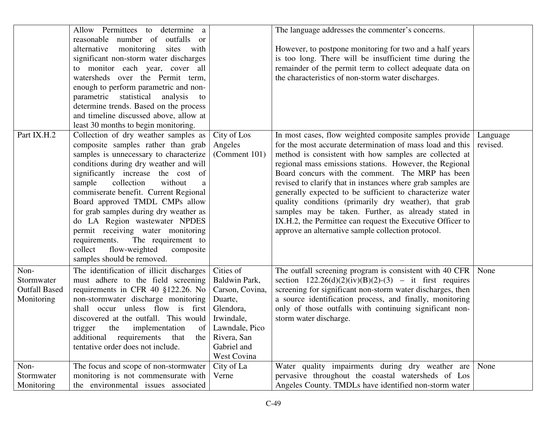|                      | Allow Permittees to determine a           |                 | The language addresses the commenter's concerns.            |          |
|----------------------|-------------------------------------------|-----------------|-------------------------------------------------------------|----------|
|                      | reasonable<br>number of outfalls or       |                 |                                                             |          |
|                      | alternative<br>monitoring<br>sites with   |                 | However, to postpone monitoring for two and a half years    |          |
|                      | significant non-storm water discharges    |                 | is too long. There will be insufficient time during the     |          |
|                      | to monitor each year, cover all           |                 | remainder of the permit term to collect adequate data on    |          |
|                      | watersheds over the Permit term,          |                 | the characteristics of non-storm water discharges.          |          |
|                      | enough to perform parametric and non-     |                 |                                                             |          |
|                      | parametric statistical analysis<br>to     |                 |                                                             |          |
|                      | determine trends. Based on the process    |                 |                                                             |          |
|                      | and timeline discussed above, allow at    |                 |                                                             |          |
|                      | least 30 months to begin monitoring.      |                 |                                                             |          |
| Part IX.H.2          | Collection of dry weather samples as      | City of Los     | In most cases, flow weighted composite samples provide      | Language |
|                      | composite samples rather than grab        | Angeles         | for the most accurate determination of mass load and this   | revised. |
|                      | samples is unnecessary to characterize    | (Comment 101)   | method is consistent with how samples are collected at      |          |
|                      | conditions during dry weather and will    |                 | regional mass emissions stations. However, the Regional     |          |
|                      | significantly increase the cost of        |                 | Board concurs with the comment. The MRP has been            |          |
|                      | sample<br>collection<br>without<br>a      |                 | revised to clarify that in instances where grab samples are |          |
|                      | commiserate benefit. Current Regional     |                 | generally expected to be sufficient to characterize water   |          |
|                      | Board approved TMDL CMPs allow            |                 | quality conditions (primarily dry weather), that grab       |          |
|                      | for grab samples during dry weather as    |                 | samples may be taken. Further, as already stated in         |          |
|                      | do LA Region wastewater NPDES             |                 | IX.H.2, the Permittee can request the Executive Officer to  |          |
|                      | permit receiving water monitoring         |                 | approve an alternative sample collection protocol.          |          |
|                      | The requirement to<br>requirements.       |                 |                                                             |          |
|                      | flow-weighted<br>collect<br>composite     |                 |                                                             |          |
|                      | samples should be removed.                |                 |                                                             |          |
| Non-                 | The identification of illicit discharges  | Cities of       | The outfall screening program is consistent with 40 CFR     | None     |
| Stormwater           | must adhere to the field screening        | Baldwin Park,   | section $122.26(d)(2)(iv)(B)(2)-(3)$ – it first requires    |          |
| <b>Outfall Based</b> | requirements in CFR 40 §122.26. No        | Carson, Covina, | screening for significant non-storm water discharges, then  |          |
| Monitoring           | non-stormwater discharge monitoring       | Duarte,         | a source identification process, and finally, monitoring    |          |
|                      | shall occur unless flow is first          | Glendora,       | only of those outfalls with continuing significant non-     |          |
|                      | discovered at the outfall. This would     | Irwindale,      | storm water discharge.                                      |          |
|                      | implementation<br>trigger<br>the<br>of    | Lawndale, Pico  |                                                             |          |
|                      | additional<br>that<br>requirements<br>the | Rivera, San     |                                                             |          |
|                      | tentative order does not include.         | Gabriel and     |                                                             |          |
|                      |                                           | West Covina     |                                                             |          |
| Non-                 | The focus and scope of non-stormwater     | City of La      | Water quality impairments during dry weather are            | None     |
| Stormwater           | monitoring is not commensurate with       | Verne           | pervasive throughout the coastal watersheds of Los          |          |
| Monitoring           | the environmental issues associated       |                 | Angeles County. TMDLs have identified non-storm water       |          |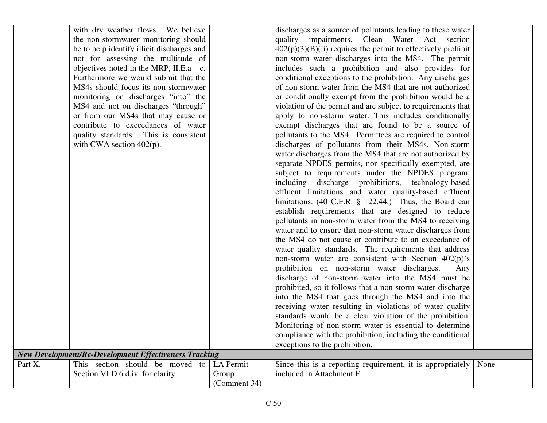|         | with dry weather flows. We believe                           |              | discharges as a source of pollutants leading to these water       |      |
|---------|--------------------------------------------------------------|--------------|-------------------------------------------------------------------|------|
|         | the non-stormwater monitoring should                         |              | quality impairments. Clean Water Act section                      |      |
|         | be to help identify illicit discharges and                   |              | $402(p)(3)(B)(ii)$ requires the permit to effectively prohibit    |      |
|         | not for assessing the multitude of                           |              | non-storm water discharges into the MS4. The permit               |      |
|         | objectives noted in the MRP, II.E.a $- c$ .                  |              | includes such a prohibition and also provides for                 |      |
|         | Furthermore we would submit that the                         |              | conditional exceptions to the prohibition. Any discharges         |      |
|         | MS4s should focus its non-stormwater                         |              | of non-storm water from the MS4 that are not authorized           |      |
|         | monitoring on discharges "into" the                          |              | or conditionally exempt from the prohibition would be a           |      |
|         | MS4 and not on discharges "through"                          |              | violation of the permit and are subject to requirements that      |      |
|         | or from our MS4s that may cause or                           |              | apply to non-storm water. This includes conditionally             |      |
|         | contribute to exceedances of water                           |              | exempt discharges that are found to be a source of                |      |
|         | quality standards. This is consistent                        |              | pollutants to the MS4. Permittees are required to control         |      |
|         | with CWA section $402(p)$ .                                  |              | discharges of pollutants from their MS4s. Non-storm               |      |
|         |                                                              |              | water discharges from the MS4 that are not authorized by          |      |
|         |                                                              |              | separate NPDES permits, nor specifically exempted, are            |      |
|         |                                                              |              | subject to requirements under the NPDES program,                  |      |
|         |                                                              |              | including discharge prohibitions, technology-based                |      |
|         |                                                              |              | effluent limitations and water quality-based effluent             |      |
|         |                                                              |              | limitations. $(40 \text{ C.F.R. } § 122.44.)$ Thus, the Board can |      |
|         |                                                              |              | establish requirements that are designed to reduce                |      |
|         |                                                              |              | pollutants in non-storm water from the MS4 to receiving           |      |
|         |                                                              |              | water and to ensure that non-storm water discharges from          |      |
|         |                                                              |              | the MS4 do not cause or contribute to an exceedance of            |      |
|         |                                                              |              | water quality standards. The requirements that address            |      |
|         |                                                              |              | non-storm water are consistent with Section $402(p)$ 's           |      |
|         |                                                              |              | prohibition on non-storm water discharges.<br>Any                 |      |
|         |                                                              |              | discharge of non-storm water into the MS4 must be                 |      |
|         |                                                              |              | prohibited, so it follows that a non-storm water discharge        |      |
|         |                                                              |              | into the MS4 that goes through the MS4 and into the               |      |
|         |                                                              |              | receiving water resulting in violations of water quality          |      |
|         |                                                              |              | standards would be a clear violation of the prohibition.          |      |
|         |                                                              |              | Monitoring of non-storm water is essential to determine           |      |
|         |                                                              |              | compliance with the prohibition, including the conditional        |      |
|         |                                                              |              | exceptions to the prohibition.                                    |      |
|         | <b>New Development/Re-Development Effectiveness Tracking</b> |              |                                                                   |      |
| Part X. | This section should be moved<br>to                           | LA Permit    | Since this is a reporting requirement, it is appropriately        | None |
|         | Section VI.D.6.d.iv. for clarity.                            | Group        | included in Attachment E.                                         |      |
|         |                                                              | (Comment 34) |                                                                   |      |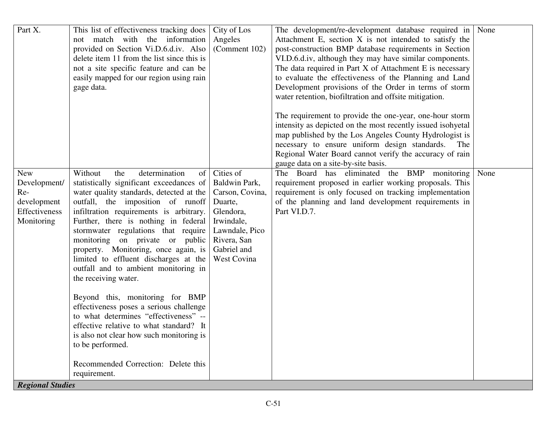| Part X.                 | This list of effectiveness tracking does<br>not match with the information<br>provided on Section Vi.D.6.d.iv. Also<br>delete item 11 from the list since this is | City of Los<br>Angeles<br>(Comment 102) | The development/re-development database required in<br>Attachment E, section X is not intended to satisfy the<br>post-construction BMP database requirements in Section<br>VI.D.6.d.iv, although they may have similar components. | None |
|-------------------------|-------------------------------------------------------------------------------------------------------------------------------------------------------------------|-----------------------------------------|------------------------------------------------------------------------------------------------------------------------------------------------------------------------------------------------------------------------------------|------|
|                         | not a site specific feature and can be<br>easily mapped for our region using rain                                                                                 |                                         | The data required in Part X of Attachment E is necessary<br>to evaluate the effectiveness of the Planning and Land                                                                                                                 |      |
|                         | gage data.                                                                                                                                                        |                                         | Development provisions of the Order in terms of storm<br>water retention, biofiltration and offsite mitigation.                                                                                                                    |      |
|                         |                                                                                                                                                                   |                                         | The requirement to provide the one-year, one-hour storm<br>intensity as depicted on the most recently issued isohyetal<br>map published by the Los Angeles County Hydrologist is                                                   |      |
|                         |                                                                                                                                                                   |                                         | necessary to ensure uniform design standards. The<br>Regional Water Board cannot verify the accuracy of rain<br>gauge data on a site-by-site basis.                                                                                |      |
| <b>New</b>              | Without<br>determination<br>of<br>the                                                                                                                             | Cities of                               | The Board has eliminated the BMP monitoring                                                                                                                                                                                        | None |
| Development/<br>Re-     | statistically significant exceedances of<br>water quality standards, detected at the                                                                              | Baldwin Park,<br>Carson, Covina,        | requirement proposed in earlier working proposals. This<br>requirement is only focused on tracking implementation                                                                                                                  |      |
| development             | outfall, the imposition of runoff                                                                                                                                 | Duarte,                                 | of the planning and land development requirements in                                                                                                                                                                               |      |
| Effectiveness           | infiltration requirements is arbitrary.                                                                                                                           | Glendora,                               | Part VI.D.7.                                                                                                                                                                                                                       |      |
| Monitoring              | Further, there is nothing in federal                                                                                                                              | Irwindale,                              |                                                                                                                                                                                                                                    |      |
|                         | stormwater regulations that require<br>monitoring on private or public                                                                                            | Lawndale, Pico<br>Rivera, San           |                                                                                                                                                                                                                                    |      |
|                         | property. Monitoring, once again, is                                                                                                                              | Gabriel and                             |                                                                                                                                                                                                                                    |      |
|                         | limited to effluent discharges at the                                                                                                                             | West Covina                             |                                                                                                                                                                                                                                    |      |
|                         | outfall and to ambient monitoring in<br>the receiving water.                                                                                                      |                                         |                                                                                                                                                                                                                                    |      |
|                         |                                                                                                                                                                   |                                         |                                                                                                                                                                                                                                    |      |
|                         | Beyond this, monitoring for BMP                                                                                                                                   |                                         |                                                                                                                                                                                                                                    |      |
|                         | effectiveness poses a serious challenge<br>to what determines "effectiveness" --                                                                                  |                                         |                                                                                                                                                                                                                                    |      |
|                         | effective relative to what standard? It                                                                                                                           |                                         |                                                                                                                                                                                                                                    |      |
|                         | is also not clear how such monitoring is                                                                                                                          |                                         |                                                                                                                                                                                                                                    |      |
|                         | to be performed.                                                                                                                                                  |                                         |                                                                                                                                                                                                                                    |      |
|                         | Recommended Correction: Delete this                                                                                                                               |                                         |                                                                                                                                                                                                                                    |      |
|                         | requirement.                                                                                                                                                      |                                         |                                                                                                                                                                                                                                    |      |
| <b>Regional Studies</b> |                                                                                                                                                                   |                                         |                                                                                                                                                                                                                                    |      |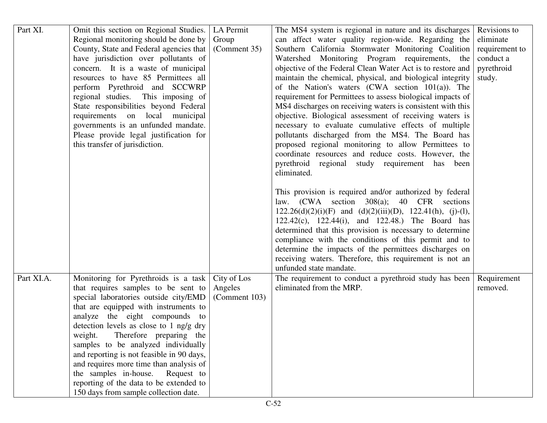| Part XI.   | Omit this section on Regional Studies.    | LA Permit     | The MS4 system is regional in nature and its discharges            | Revisions to   |
|------------|-------------------------------------------|---------------|--------------------------------------------------------------------|----------------|
|            | Regional monitoring should be done by     | Group         | can affect water quality region-wide. Regarding the                | eliminate      |
|            | County, State and Federal agencies that   | (Comment 35)  | Southern California Stormwater Monitoring Coalition                | requirement to |
|            | have jurisdiction over pollutants of      |               | Watershed Monitoring Program requirements, the                     | conduct a      |
|            | concern. It is a waste of municipal       |               | objective of the Federal Clean Water Act is to restore and         | pyrethroid     |
|            | resources to have 85 Permittees all       |               | maintain the chemical, physical, and biological integrity          | study.         |
|            | perform Pyrethroid and SCCWRP             |               | of the Nation's waters $(CWA)$ section $101(a)$ ). The             |                |
|            | regional studies. This imposing of        |               | requirement for Permittees to assess biological impacts of         |                |
|            | State responsibilities beyond Federal     |               | MS4 discharges on receiving waters is consistent with this         |                |
|            | requirements on local municipal           |               | objective. Biological assessment of receiving waters is            |                |
|            | governments is an unfunded mandate.       |               | necessary to evaluate cumulative effects of multiple               |                |
|            | Please provide legal justification for    |               | pollutants discharged from the MS4. The Board has                  |                |
|            | this transfer of jurisdiction.            |               | proposed regional monitoring to allow Permittees to                |                |
|            |                                           |               | coordinate resources and reduce costs. However, the                |                |
|            |                                           |               | pyrethroid regional study requirement has been                     |                |
|            |                                           |               | eliminated.                                                        |                |
|            |                                           |               |                                                                    |                |
|            |                                           |               | This provision is required and/or authorized by federal            |                |
|            |                                           |               | law. (CWA section 308(a); 40 CFR sections                          |                |
|            |                                           |               | $122.26(d)(2)(i)(F)$ and $(d)(2)(iii)(D)$ , $122.41(h)$ , (j)-(l), |                |
|            |                                           |               | 122.42(c), 122.44(i), and 122.48.) The Board has                   |                |
|            |                                           |               | determined that this provision is necessary to determine           |                |
|            |                                           |               | compliance with the conditions of this permit and to               |                |
|            |                                           |               | determine the impacts of the permittees discharges on              |                |
|            |                                           |               | receiving waters. Therefore, this requirement is not an            |                |
|            |                                           |               | unfunded state mandate.                                            |                |
| Part XI.A. | Monitoring for Pyrethroids is a task      | City of Los   | The requirement to conduct a pyrethroid study has been             | Requirement    |
|            | that requires samples to be sent to       | Angeles       | eliminated from the MRP.                                           | removed.       |
|            | special laboratories outside city/EMD     | (Comment 103) |                                                                    |                |
|            | that are equipped with instruments to     |               |                                                                    |                |
|            | analyze the eight compounds to            |               |                                                                    |                |
|            | detection levels as close to 1 ng/g dry   |               |                                                                    |                |
|            | Therefore preparing the<br>weight.        |               |                                                                    |                |
|            | samples to be analyzed individually       |               |                                                                    |                |
|            | and reporting is not feasible in 90 days, |               |                                                                    |                |
|            | and requires more time than analysis of   |               |                                                                    |                |
|            | the samples in-house.<br>Request to       |               |                                                                    |                |
|            | reporting of the data to be extended to   |               |                                                                    |                |
|            | 150 days from sample collection date.     |               |                                                                    |                |
|            |                                           |               |                                                                    |                |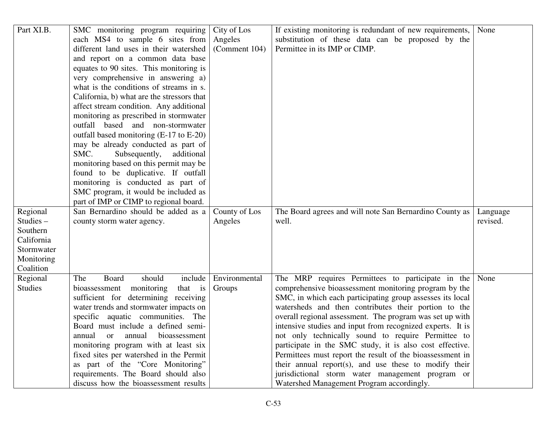| Part XI.B.  | SMC monitoring program requiring           | City of Los   | If existing monitoring is redundant of new requirements,   | None     |
|-------------|--------------------------------------------|---------------|------------------------------------------------------------|----------|
|             | each MS4 to sample 6 sites from            | Angeles       | substitution of these data can be proposed by the          |          |
|             | different land uses in their watershed     | (Comment 104) | Permittee in its IMP or CIMP.                              |          |
|             | and report on a common data base           |               |                                                            |          |
|             | equates to 90 sites. This monitoring is    |               |                                                            |          |
|             | very comprehensive in answering a)         |               |                                                            |          |
|             | what is the conditions of streams in s.    |               |                                                            |          |
|             | California, b) what are the stressors that |               |                                                            |          |
|             | affect stream condition. Any additional    |               |                                                            |          |
|             | monitoring as prescribed in stormwater     |               |                                                            |          |
|             | outfall based and non-stormwater           |               |                                                            |          |
|             | outfall based monitoring (E-17 to E-20)    |               |                                                            |          |
|             | may be already conducted as part of        |               |                                                            |          |
|             | Subsequently,<br>SMC.<br>additional        |               |                                                            |          |
|             | monitoring based on this permit may be     |               |                                                            |          |
|             | found to be duplicative. If outfall        |               |                                                            |          |
|             | monitoring is conducted as part of         |               |                                                            |          |
|             | SMC program, it would be included as       |               |                                                            |          |
|             | part of IMP or CIMP to regional board.     |               |                                                            |          |
| Regional    | San Bernardino should be added as a        | County of Los | The Board agrees and will note San Bernardino County as    | Language |
| Studies $-$ | county storm water agency.                 | Angeles       | well.                                                      | revised. |
| Southern    |                                            |               |                                                            |          |
| California  |                                            |               |                                                            |          |
| Stormwater  |                                            |               |                                                            |          |
| Monitoring  |                                            |               |                                                            |          |
| Coalition   |                                            |               |                                                            |          |
| Regional    | should<br>include<br>Board<br>The          | Environmental | The MRP requires Permittees to participate in the          | None     |
| Studies     | monitoring<br>bioassessment<br>that is     | Groups        | comprehensive bioassessment monitoring program by the      |          |
|             | sufficient for determining receiving       |               | SMC, in which each participating group assesses its local  |          |
|             | water trends and stormwater impacts on     |               | watersheds and then contributes their portion to the       |          |
|             | specific aquatic communities. The          |               | overall regional assessment. The program was set up with   |          |
|             | Board must include a defined semi-         |               | intensive studies and input from recognized experts. It is |          |
|             | annual or annual bioassessment             |               | not only technically sound to require Permittee to         |          |
|             | monitoring program with at least six       |               | participate in the SMC study, it is also cost effective.   |          |
|             | fixed sites per watershed in the Permit    |               | Permittees must report the result of the bioassessment in  |          |
|             | as part of the "Core Monitoring"           |               | their annual report(s), and use these to modify their      |          |
|             | requirements. The Board should also        |               | jurisdictional storm water management program or           |          |
|             |                                            |               | Watershed Management Program accordingly.                  |          |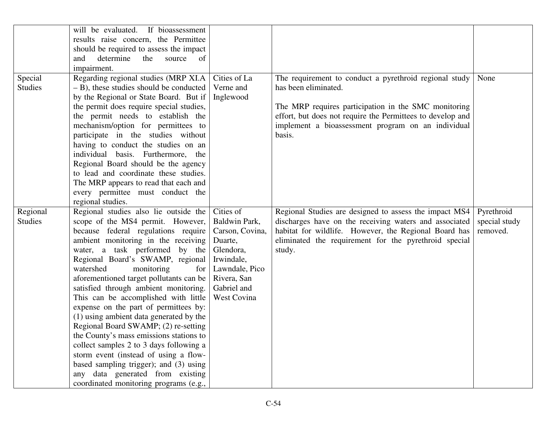|                | will be evaluated. If bioassessment                                        |                 |                                                            |               |
|----------------|----------------------------------------------------------------------------|-----------------|------------------------------------------------------------|---------------|
|                | results raise concern, the Permittee                                       |                 |                                                            |               |
|                | should be required to assess the impact                                    |                 |                                                            |               |
|                | determine<br>the<br>and<br>source<br><sub>of</sub>                         |                 |                                                            |               |
|                | impairment.                                                                |                 |                                                            |               |
| Special        | Regarding regional studies (MRP XI.A                                       | Cities of La    | The requirement to conduct a pyrethroid regional study     | None          |
| <b>Studies</b> | $- B$ ), these studies should be conducted                                 | Verne and       | has been eliminated.                                       |               |
|                | by the Regional or State Board. But if                                     | Inglewood       |                                                            |               |
|                | the permit does require special studies,                                   |                 | The MRP requires participation in the SMC monitoring       |               |
|                | the permit needs to establish the                                          |                 | effort, but does not require the Permittees to develop and |               |
|                | mechanism/option for permittees to                                         |                 | implement a bioassessment program on an individual         |               |
|                | participate in the studies without                                         |                 | basis.                                                     |               |
|                | having to conduct the studies on an                                        |                 |                                                            |               |
|                | individual basis. Furthermore, the                                         |                 |                                                            |               |
|                | Regional Board should be the agency                                        |                 |                                                            |               |
|                | to lead and coordinate these studies.                                      |                 |                                                            |               |
|                | The MRP appears to read that each and                                      |                 |                                                            |               |
|                | every permittee must conduct the                                           |                 |                                                            |               |
|                | regional studies.                                                          |                 |                                                            |               |
| Regional       | Regional studies also lie outside the                                      | Cities of       | Regional Studies are designed to assess the impact MS4     | Pyrethroid    |
| <b>Studies</b> | scope of the MS4 permit. However,                                          | Baldwin Park,   | discharges have on the receiving waters and associated     | special study |
|                | because federal regulations require                                        | Carson, Covina, | habitat for wildlife. However, the Regional Board has      | removed.      |
|                | ambient monitoring in the receiving                                        | Duarte,         | eliminated the requirement for the pyrethroid special      |               |
|                | water, a task performed by the                                             | Glendora,       | study.                                                     |               |
|                | Regional Board's SWAMP, regional                                           | Irwindale,      |                                                            |               |
|                | watershed<br>monitoring<br>for                                             | Lawndale, Pico  |                                                            |               |
|                | aforementioned target pollutants can be                                    | Rivera, San     |                                                            |               |
|                | satisfied through ambient monitoring.                                      | Gabriel and     |                                                            |               |
|                |                                                                            |                 |                                                            |               |
|                | This can be accomplished with little                                       | West Covina     |                                                            |               |
|                | expense on the part of permittees by:                                      |                 |                                                            |               |
|                | (1) using ambient data generated by the                                    |                 |                                                            |               |
|                | Regional Board SWAMP; (2) re-setting                                       |                 |                                                            |               |
|                | the County's mass emissions stations to                                    |                 |                                                            |               |
|                | collect samples 2 to 3 days following a                                    |                 |                                                            |               |
|                | storm event (instead of using a flow-                                      |                 |                                                            |               |
|                | based sampling trigger); and (3) using                                     |                 |                                                            |               |
|                | any data generated from existing<br>coordinated monitoring programs (e.g., |                 |                                                            |               |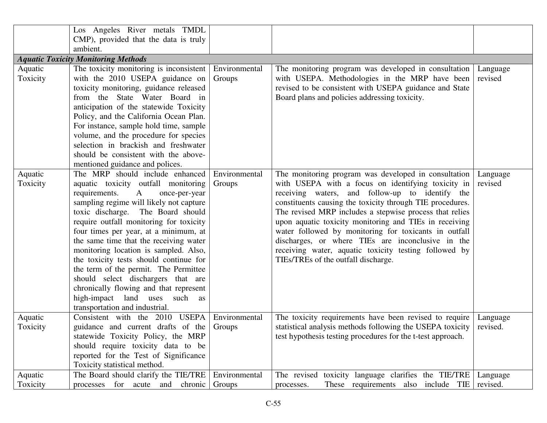|          | Los Angeles River metals TMDL                  |               |                                                             |          |
|----------|------------------------------------------------|---------------|-------------------------------------------------------------|----------|
|          | CMP), provided that the data is truly          |               |                                                             |          |
|          | ambient.                                       |               |                                                             |          |
|          | <b>Aquatic Toxicity Monitoring Methods</b>     |               |                                                             |          |
| Aquatic  | The toxicity monitoring is inconsistent        | Environmental | The monitoring program was developed in consultation        | Language |
| Toxicity | with the 2010 USEPA guidance on                | Groups        | with USEPA. Methodologies in the MRP have been              | revised  |
|          | toxicity monitoring, guidance released         |               | revised to be consistent with USEPA guidance and State      |          |
|          | from the State Water Board in                  |               | Board plans and policies addressing toxicity.               |          |
|          | anticipation of the statewide Toxicity         |               |                                                             |          |
|          | Policy, and the California Ocean Plan.         |               |                                                             |          |
|          | For instance, sample hold time, sample         |               |                                                             |          |
|          | volume, and the procedure for species          |               |                                                             |          |
|          | selection in brackish and freshwater           |               |                                                             |          |
|          | should be consistent with the above-           |               |                                                             |          |
|          | mentioned guidance and polices.                |               |                                                             |          |
| Aquatic  | The MRP should include enhanced                | Environmental | The monitoring program was developed in consultation        | Language |
| Toxicity | aquatic toxicity outfall monitoring            | Groups        | with USEPA with a focus on identifying toxicity in          | revised  |
|          | requirements.<br>$\mathbf{A}$<br>once-per-year |               | receiving waters, and follow-up to identify the             |          |
|          | sampling regime will likely not capture        |               | constituents causing the toxicity through TIE procedures.   |          |
|          | toxic discharge. The Board should              |               | The revised MRP includes a stepwise process that relies     |          |
|          | require outfall monitoring for toxicity        |               | upon aquatic toxicity monitoring and TIEs in receiving      |          |
|          | four times per year, at a minimum, at          |               | water followed by monitoring for toxicants in outfall       |          |
|          | the same time that the receiving water         |               | discharges, or where TIEs are inconclusive in the           |          |
|          | monitoring location is sampled. Also,          |               | receiving water, aquatic toxicity testing followed by       |          |
|          | the toxicity tests should continue for         |               | TIEs/TREs of the outfall discharge.                         |          |
|          | the term of the permit. The Permittee          |               |                                                             |          |
|          | should select dischargers that are             |               |                                                             |          |
|          | chronically flowing and that represent         |               |                                                             |          |
|          | high-impact land uses such as                  |               |                                                             |          |
|          | transportation and industrial.                 |               |                                                             |          |
| Aquatic  | Consistent with the 2010 USEPA                 | Environmental | The toxicity requirements have been revised to require      | Language |
| Toxicity | guidance and current drafts of the             | Groups        | statistical analysis methods following the USEPA toxicity   | revised. |
|          | statewide Toxicity Policy, the MRP             |               | test hypothesis testing procedures for the t-test approach. |          |
|          | should require toxicity data to be             |               |                                                             |          |
|          | reported for the Test of Significance          |               |                                                             |          |
|          | Toxicity statistical method.                   |               |                                                             |          |
| Aquatic  | The Board should clarify the TIE/TRE           | Environmental | toxicity language clarifies the TIE/TRE<br>The revised      | Language |
| Toxicity | processes for acute and<br>chronic             | Groups        | These requirements also include TIE<br>processes.           | revised. |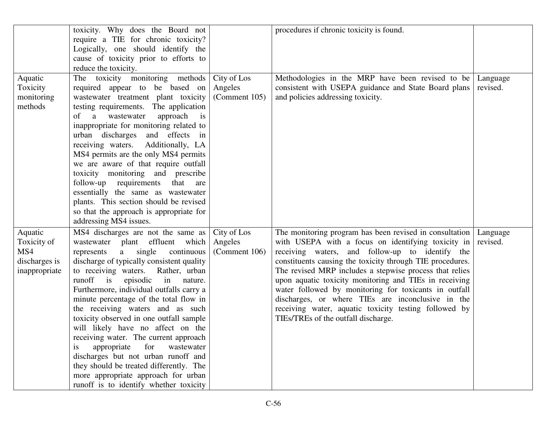|                                                                 | toxicity. Why does the Board not                                                                                                                                                                                                                                                                                                                                                                                                                                                                                                                                                                                                                                                                                                           |                                         | procedures if chronic toxicity is found.                                                                                                                                                                                                                                                                                                                                                                                                                                                                                                                         |                      |
|-----------------------------------------------------------------|--------------------------------------------------------------------------------------------------------------------------------------------------------------------------------------------------------------------------------------------------------------------------------------------------------------------------------------------------------------------------------------------------------------------------------------------------------------------------------------------------------------------------------------------------------------------------------------------------------------------------------------------------------------------------------------------------------------------------------------------|-----------------------------------------|------------------------------------------------------------------------------------------------------------------------------------------------------------------------------------------------------------------------------------------------------------------------------------------------------------------------------------------------------------------------------------------------------------------------------------------------------------------------------------------------------------------------------------------------------------------|----------------------|
|                                                                 | require a TIE for chronic toxicity?<br>Logically, one should identify the                                                                                                                                                                                                                                                                                                                                                                                                                                                                                                                                                                                                                                                                  |                                         |                                                                                                                                                                                                                                                                                                                                                                                                                                                                                                                                                                  |                      |
|                                                                 | cause of toxicity prior to efforts to                                                                                                                                                                                                                                                                                                                                                                                                                                                                                                                                                                                                                                                                                                      |                                         |                                                                                                                                                                                                                                                                                                                                                                                                                                                                                                                                                                  |                      |
|                                                                 | reduce the toxicity.                                                                                                                                                                                                                                                                                                                                                                                                                                                                                                                                                                                                                                                                                                                       |                                         |                                                                                                                                                                                                                                                                                                                                                                                                                                                                                                                                                                  |                      |
| Aquatic<br>Toxicity<br>monitoring<br>methods                    | The toxicity monitoring methods<br>required appear to be based on<br>wastewater treatment plant toxicity<br>testing requirements. The application<br>approach<br>wastewater<br>of<br>a<br>$\overline{1}$<br>inappropriate for monitoring related to<br>urban discharges and effects in<br>receiving waters. Additionally, LA<br>MS4 permits are the only MS4 permits<br>we are aware of that require outfall<br>toxicity monitoring and prescribe<br>follow-up requirements<br>that<br>are<br>essentially the same as wastewater<br>plants. This section should be revised<br>so that the approach is appropriate for                                                                                                                      | City of Los<br>Angeles<br>(Comment 105) | Methodologies in the MRP have been revised to be<br>consistent with USEPA guidance and State Board plans<br>and policies addressing toxicity.                                                                                                                                                                                                                                                                                                                                                                                                                    | Language<br>revised. |
| Aquatic<br>Toxicity of<br>MS4<br>discharges is<br>inappropriate | addressing MS4 issues.<br>MS4 discharges are not the same as<br>wastewater plant effluent which<br>single<br>continuous<br>a<br>represents<br>discharge of typically consistent quality<br>to receiving waters. Rather, urban<br>runoff<br>is<br>episodic<br>in<br>nature.<br>Furthermore, individual outfalls carry a<br>minute percentage of the total flow in<br>the receiving waters and as such<br>toxicity observed in one outfall sample<br>will likely have no affect on the<br>receiving water. The current approach<br>for<br>appropriate<br>wastewater<br>1S<br>discharges but not urban runoff and<br>they should be treated differently. The<br>more appropriate approach for urban<br>runoff is to identify whether toxicity | City of Los<br>Angeles<br>(Comment 106) | The monitoring program has been revised in consultation<br>with USEPA with a focus on identifying toxicity in<br>receiving waters, and follow-up to identify the<br>constituents causing the toxicity through TIE procedures.<br>The revised MRP includes a stepwise process that relies<br>upon aquatic toxicity monitoring and TIEs in receiving<br>water followed by monitoring for toxicants in outfall<br>discharges, or where TIEs are inconclusive in the<br>receiving water, aquatic toxicity testing followed by<br>TIEs/TREs of the outfall discharge. | Language<br>revised. |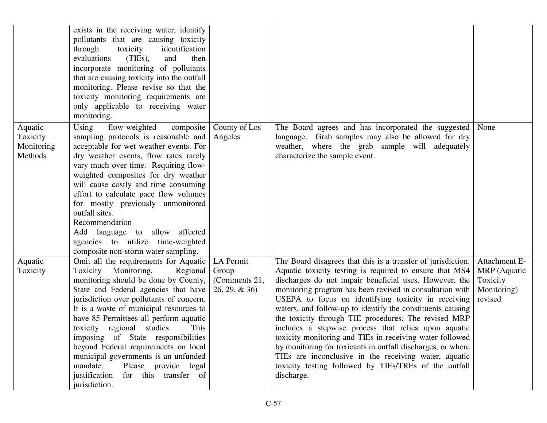|                                              | exists in the receiving water, identify<br>pollutants that are causing toxicity<br>through<br>identification<br>toxicity<br>$(TIES)$ ,<br>evaluations<br>and<br>then<br>incorporate monitoring of pollutants<br>that are causing toxicity into the outfall<br>monitoring. Please revise so that the<br>toxicity monitoring requirements are<br>only applicable to receiving water<br>monitoring.                                                                                                                                                     |                                                        |                                                                                                                                                                                                                                                                                                                                                                                                                                                                                                                                                                                                                                                                                                                                               |                                                                     |
|----------------------------------------------|------------------------------------------------------------------------------------------------------------------------------------------------------------------------------------------------------------------------------------------------------------------------------------------------------------------------------------------------------------------------------------------------------------------------------------------------------------------------------------------------------------------------------------------------------|--------------------------------------------------------|-----------------------------------------------------------------------------------------------------------------------------------------------------------------------------------------------------------------------------------------------------------------------------------------------------------------------------------------------------------------------------------------------------------------------------------------------------------------------------------------------------------------------------------------------------------------------------------------------------------------------------------------------------------------------------------------------------------------------------------------------|---------------------------------------------------------------------|
| Aquatic<br>Toxicity<br>Monitoring<br>Methods | flow-weighted<br>Using<br>composite<br>sampling protocols is reasonable and<br>acceptable for wet weather events. For<br>dry weather events, flow rates rarely<br>vary much over time. Requiring flow-<br>weighted composites for dry weather<br>will cause costly and time consuming<br>effort to calculate pace flow volumes<br>for mostly previously unmonitored<br>outfall sites.<br>Recommendation<br>affected<br>Add language to allow<br>agencies to utilize time-weighted<br>composite non-storm water sampling.                             | County of Los<br>Angeles                               | The Board agrees and has incorporated the suggested<br>language. Grab samples may also be allowed for dry<br>weather, where the grab sample will adequately<br>characterize the sample event.                                                                                                                                                                                                                                                                                                                                                                                                                                                                                                                                                 | None                                                                |
| Aquatic<br>Toxicity                          | Omit all the requirements for Aquatic<br>Toxicity Monitoring.<br>Regional<br>monitoring should be done by County,<br>State and Federal agencies that have<br>jurisdiction over pollutants of concern.<br>It is a waste of municipal resources to<br>have 85 Permittees all perform aquatic<br>toxicity regional studies.<br>This<br>imposing of State responsibilities<br>beyond Federal requirements on local<br>municipal governments is an unfunded<br>mandate.<br>Please provide legal<br>for this transfer of<br>justification<br>jurisdiction. | LA Permit<br>Group<br>(Comments 21,<br>$26, 29, \& 36$ | The Board disagrees that this is a transfer of jurisdiction.<br>Aquatic toxicity testing is required to ensure that MS4<br>discharges do not impair beneficial uses. However, the<br>monitoring program has been revised in consultation with<br>USEPA to focus on identifying toxicity in receiving<br>waters, and follow-up to identify the constituents causing<br>the toxicity through TIE procedures. The revised MRP<br>includes a stepwise process that relies upon aquatic<br>toxicity monitoring and TIEs in receiving water followed<br>by monitoring for toxicants in outfall discharges, or where<br>TIEs are inconclusive in the receiving water, aquatic<br>toxicity testing followed by TIEs/TREs of the outfall<br>discharge. | Attachment E-<br>MRP (Aquatic<br>Toxicity<br>Monitoring)<br>revised |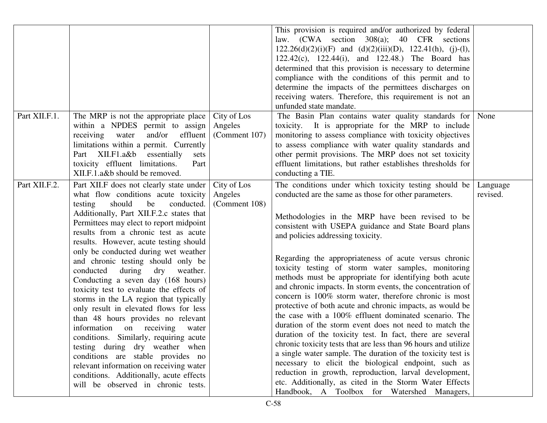|               |                                                                                                                                                                                                                                                                                                                                                                                                                                                                                                                                                                                                                                                                                                                                                                                                                                                                                                                   |                                         | This provision is required and/or authorized by federal<br>law. (CWA section 308(a); 40 CFR sections<br>$122.26(d)(2)(i)(F)$ and $(d)(2)(iii)(D)$ , $122.41(h)$ , (j)-(l),<br>122.42(c), 122.44(i), and 122.48.) The Board has<br>determined that this provision is necessary to determine<br>compliance with the conditions of this permit and to<br>determine the impacts of the permittees discharges on<br>receiving waters. Therefore, this requirement is not an<br>unfunded state mandate.                                                                                                                                                                                                                                                                                                                                                                                                                                                                                                                                                                                                                                                                          |                      |
|---------------|-------------------------------------------------------------------------------------------------------------------------------------------------------------------------------------------------------------------------------------------------------------------------------------------------------------------------------------------------------------------------------------------------------------------------------------------------------------------------------------------------------------------------------------------------------------------------------------------------------------------------------------------------------------------------------------------------------------------------------------------------------------------------------------------------------------------------------------------------------------------------------------------------------------------|-----------------------------------------|----------------------------------------------------------------------------------------------------------------------------------------------------------------------------------------------------------------------------------------------------------------------------------------------------------------------------------------------------------------------------------------------------------------------------------------------------------------------------------------------------------------------------------------------------------------------------------------------------------------------------------------------------------------------------------------------------------------------------------------------------------------------------------------------------------------------------------------------------------------------------------------------------------------------------------------------------------------------------------------------------------------------------------------------------------------------------------------------------------------------------------------------------------------------------|----------------------|
| Part XII.F.1. | The MRP is not the appropriate place<br>within a NPDES permit to assign<br>effluent<br>water and/or<br>receiving<br>limitations within a permit. Currently<br>Part XII.F1.a&b essentially<br>sets<br>toxicity effluent limitations.<br>Part<br>XII.F.1.a&b should be removed.                                                                                                                                                                                                                                                                                                                                                                                                                                                                                                                                                                                                                                     | City of Los<br>Angeles<br>(Comment 107) | The Basin Plan contains water quality standards for<br>toxicity. It is appropriate for the MRP to include<br>monitoring to assess compliance with toxicity objectives<br>to assess compliance with water quality standards and<br>other permit provisions. The MRP does not set toxicity<br>effluent limitations, but rather establishes thresholds for<br>conducting a TIE.                                                                                                                                                                                                                                                                                                                                                                                                                                                                                                                                                                                                                                                                                                                                                                                               | None                 |
| Part XII.F.2. | Part XII.F does not clearly state under<br>what flow conditions acute toxicity<br>testing<br>should<br>conducted.<br>be<br>Additionally, Part XII.F.2.c states that<br>Permittees may elect to report midpoint<br>results from a chronic test as acute<br>results. However, acute testing should<br>only be conducted during wet weather<br>and chronic testing should only be<br>conducted during<br>dry weather.<br>Conducting a seven day (168 hours)<br>toxicity test to evaluate the effects of<br>storms in the LA region that typically<br>only result in elevated flows for less<br>than 48 hours provides no relevant<br>information on receiving<br>water<br>conditions. Similarly, requiring acute<br>testing during dry weather when<br>conditions are stable provides no<br>relevant information on receiving water<br>conditions. Additionally, acute effects<br>will be observed in chronic tests. | City of Los<br>Angeles<br>(Comment 108) | The conditions under which toxicity testing should be<br>conducted are the same as those for other parameters.<br>Methodologies in the MRP have been revised to be<br>consistent with USEPA guidance and State Board plans<br>and policies addressing toxicity.<br>Regarding the appropriateness of acute versus chronic<br>toxicity testing of storm water samples, monitoring<br>methods must be appropriate for identifying both acute<br>and chronic impacts. In storm events, the concentration of<br>concern is 100% storm water, therefore chronic is most<br>protective of both acute and chronic impacts, as would be<br>the case with a 100% effluent dominated scenario. The<br>duration of the storm event does not need to match the<br>duration of the toxicity test. In fact, there are several<br>chronic toxicity tests that are less than 96 hours and utilize<br>a single water sample. The duration of the toxicity test is<br>necessary to elicit the biological endpoint, such as<br>reduction in growth, reproduction, larval development,<br>etc. Additionally, as cited in the Storm Water Effects<br>Handbook, A Toolbox for Watershed Managers, | Language<br>revised. |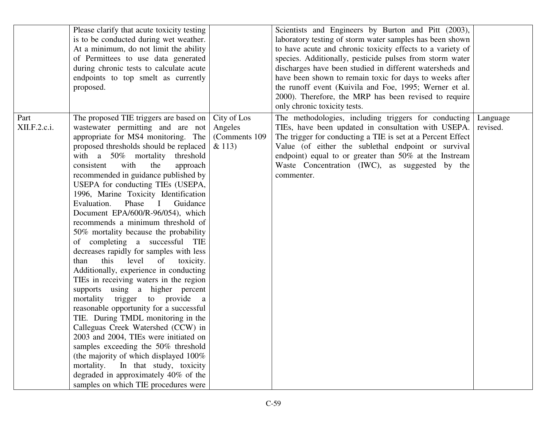|                      | Please clarify that acute toxicity testing<br>is to be conducted during wet weather.<br>At a minimum, do not limit the ability<br>of Permittees to use data generated<br>during chronic tests to calculate acute<br>endpoints to top smelt as currently<br>proposed.                                                                                                                                                                                                                                                                                                                                                                                                                                                                                                                                                                                                                                                                                                                                                                                                                                                                                                                           |                                                    | Scientists and Engineers by Burton and Pitt (2003),<br>laboratory testing of storm water samples has been shown<br>to have acute and chronic toxicity effects to a variety of<br>species. Additionally, pesticide pulses from storm water<br>discharges have been studied in different watersheds and<br>have been shown to remain toxic for days to weeks after<br>the runoff event (Kuivila and Foe, 1995; Werner et al.<br>2000). Therefore, the MRP has been revised to require<br>only chronic toxicity tests. |                      |
|----------------------|------------------------------------------------------------------------------------------------------------------------------------------------------------------------------------------------------------------------------------------------------------------------------------------------------------------------------------------------------------------------------------------------------------------------------------------------------------------------------------------------------------------------------------------------------------------------------------------------------------------------------------------------------------------------------------------------------------------------------------------------------------------------------------------------------------------------------------------------------------------------------------------------------------------------------------------------------------------------------------------------------------------------------------------------------------------------------------------------------------------------------------------------------------------------------------------------|----------------------------------------------------|---------------------------------------------------------------------------------------------------------------------------------------------------------------------------------------------------------------------------------------------------------------------------------------------------------------------------------------------------------------------------------------------------------------------------------------------------------------------------------------------------------------------|----------------------|
| Part<br>XII.F.2.c.i. | The proposed TIE triggers are based on<br>wastewater permitting and are not<br>appropriate for MS4 monitoring. The<br>proposed thresholds should be replaced<br>with a 50% mortality threshold<br>with<br>consistent<br>the<br>approach<br>recommended in guidance published by<br>USEPA for conducting TIEs (USEPA,<br>1996, Marine Toxicity Identification<br>Evaluation.<br>Phase<br>Guidance<br>$\mathbf{I}$<br>Document EPA/600/R-96/054), which<br>recommends a minimum threshold of<br>50% mortality because the probability<br>of completing a successful TIE<br>decreases rapidly for samples with less<br>this<br>of<br>level<br>than<br>toxicity.<br>Additionally, experience in conducting<br>TIEs in receiving waters in the region<br>supports using a higher percent<br>mortality trigger to provide a<br>reasonable opportunity for a successful<br>TIE. During TMDL monitoring in the<br>Calleguas Creek Watershed (CCW) in<br>2003 and 2004, TIEs were initiated on<br>samples exceeding the 50% threshold<br>(the majority of which displayed 100%<br>mortality.<br>In that study, toxicity<br>degraded in approximately 40% of the<br>samples on which TIE procedures were | City of Los<br>Angeles<br>(Comments 109)<br>& 113) | The methodologies, including triggers for conducting<br>TIEs, have been updated in consultation with USEPA.<br>The trigger for conducting a TIE is set at a Percent Effect<br>Value (of either the sublethal endpoint or survival<br>endpoint) equal to or greater than 50% at the Instream<br>Waste Concentration (IWC), as suggested by the<br>commenter.                                                                                                                                                         | Language<br>revised. |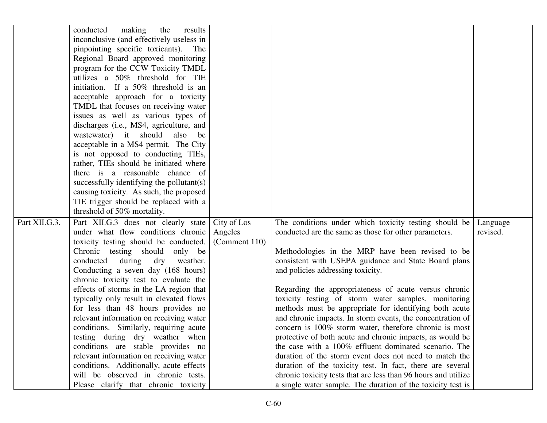|               | making<br>the<br>results<br>conducted<br>inconclusive (and effectively useless in<br>pinpointing specific toxicants). The<br>Regional Board approved monitoring<br>program for the CCW Toxicity TMDL<br>utilizes a 50% threshold for TIE<br>initiation. If a 50% threshold is an<br>acceptable approach for a toxicity                                                                                                                                                                                                                                                                                                                           |                                         |                                                                                                                                                                                                                                                                                                                                                                                                                                                                                                                                                                                                                                                                                                                                                   |                      |
|---------------|--------------------------------------------------------------------------------------------------------------------------------------------------------------------------------------------------------------------------------------------------------------------------------------------------------------------------------------------------------------------------------------------------------------------------------------------------------------------------------------------------------------------------------------------------------------------------------------------------------------------------------------------------|-----------------------------------------|---------------------------------------------------------------------------------------------------------------------------------------------------------------------------------------------------------------------------------------------------------------------------------------------------------------------------------------------------------------------------------------------------------------------------------------------------------------------------------------------------------------------------------------------------------------------------------------------------------------------------------------------------------------------------------------------------------------------------------------------------|----------------------|
|               | TMDL that focuses on receiving water<br>issues as well as various types of<br>discharges (i.e., MS4, agriculture, and<br>wastewater) it should<br>also<br>be<br>acceptable in a MS4 permit. The City<br>is not opposed to conducting TIEs,<br>rather, TIEs should be initiated where<br>there is a reasonable chance of<br>successfully identifying the pollutant(s)<br>causing toxicity. As such, the proposed<br>TIE trigger should be replaced with a                                                                                                                                                                                         |                                         |                                                                                                                                                                                                                                                                                                                                                                                                                                                                                                                                                                                                                                                                                                                                                   |                      |
| Part XII.G.3. | threshold of 50% mortality.<br>Part XII.G.3 does not clearly state<br>under what flow conditions chronic<br>toxicity testing should be conducted.<br>Chronic testing should only be<br>during<br>dry<br>conducted<br>weather.<br>Conducting a seven day (168 hours)<br>chronic toxicity test to evaluate the<br>effects of storms in the LA region that<br>typically only result in elevated flows<br>for less than 48 hours provides no<br>relevant information on receiving water<br>conditions. Similarly, requiring acute<br>testing during dry weather when<br>conditions are stable provides no<br>relevant information on receiving water | City of Los<br>Angeles<br>(Comment 110) | The conditions under which toxicity testing should be<br>conducted are the same as those for other parameters.<br>Methodologies in the MRP have been revised to be<br>consistent with USEPA guidance and State Board plans<br>and policies addressing toxicity.<br>Regarding the appropriateness of acute versus chronic<br>toxicity testing of storm water samples, monitoring<br>methods must be appropriate for identifying both acute<br>and chronic impacts. In storm events, the concentration of<br>concern is 100% storm water, therefore chronic is most<br>protective of both acute and chronic impacts, as would be<br>the case with a 100% effluent dominated scenario. The<br>duration of the storm event does not need to match the | Language<br>revised. |
|               | conditions. Additionally, acute effects<br>will be observed in chronic tests.<br>Please clarify that chronic toxicity                                                                                                                                                                                                                                                                                                                                                                                                                                                                                                                            |                                         | duration of the toxicity test. In fact, there are several<br>chronic toxicity tests that are less than 96 hours and utilize<br>a single water sample. The duration of the toxicity test is                                                                                                                                                                                                                                                                                                                                                                                                                                                                                                                                                        |                      |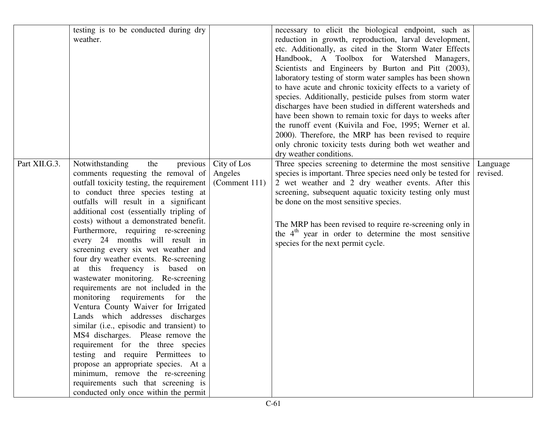|               | testing is to be conducted during dry<br>weather.                                                                                                                                                                                                                                                                                                                                                                                                                                                                                                                                                                                                                                                                                                                                                                                                                                                                                                                                                          |                                         | necessary to elicit the biological endpoint, such as<br>reduction in growth, reproduction, larval development,<br>etc. Additionally, as cited in the Storm Water Effects<br>Handbook, A Toolbox for Watershed Managers,<br>Scientists and Engineers by Burton and Pitt (2003),<br>laboratory testing of storm water samples has been shown<br>to have acute and chronic toxicity effects to a variety of<br>species. Additionally, pesticide pulses from storm water<br>discharges have been studied in different watersheds and<br>have been shown to remain toxic for days to weeks after<br>the runoff event (Kuivila and Foe, 1995; Werner et al.<br>2000). Therefore, the MRP has been revised to require<br>only chronic toxicity tests during both wet weather and<br>dry weather conditions. |                      |
|---------------|------------------------------------------------------------------------------------------------------------------------------------------------------------------------------------------------------------------------------------------------------------------------------------------------------------------------------------------------------------------------------------------------------------------------------------------------------------------------------------------------------------------------------------------------------------------------------------------------------------------------------------------------------------------------------------------------------------------------------------------------------------------------------------------------------------------------------------------------------------------------------------------------------------------------------------------------------------------------------------------------------------|-----------------------------------------|------------------------------------------------------------------------------------------------------------------------------------------------------------------------------------------------------------------------------------------------------------------------------------------------------------------------------------------------------------------------------------------------------------------------------------------------------------------------------------------------------------------------------------------------------------------------------------------------------------------------------------------------------------------------------------------------------------------------------------------------------------------------------------------------------|----------------------|
| Part XII.G.3. | Notwithstanding<br>previous<br>the<br>comments requesting the removal of<br>outfall toxicity testing, the requirement<br>to conduct three species testing at<br>outfalls will result in a significant<br>additional cost (essentially tripling of<br>costs) without a demonstrated benefit.<br>Furthermore, requiring re-screening<br>every 24 months will result in<br>screening every six wet weather and<br>four dry weather events. Re-screening<br>this frequency is based on<br>wastewater monitoring. Re-screening<br>requirements are not included in the<br>monitoring requirements for<br>the<br>Ventura County Waiver for Irrigated<br>Lands which addresses discharges<br>similar (i.e., episodic and transient) to<br>MS4 discharges. Please remove the<br>requirement for the three species<br>testing and require Permittees to<br>propose an appropriate species. At a<br>minimum, remove the re-screening<br>requirements such that screening is<br>conducted only once within the permit | City of Los<br>Angeles<br>(Comment 111) | Three species screening to determine the most sensitive<br>species is important. Three species need only be tested for<br>2 wet weather and 2 dry weather events. After this<br>screening, subsequent aquatic toxicity testing only must<br>be done on the most sensitive species.<br>The MRP has been revised to require re-screening only in<br>the $4th$ year in order to determine the most sensitive<br>species for the next permit cycle.                                                                                                                                                                                                                                                                                                                                                      | Language<br>revised. |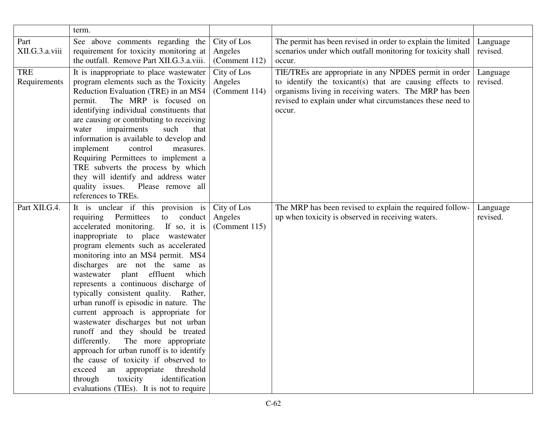|                            | term.                                                                                                                                                                                                                                                                                                                                                                                                                                                                                                                                                                                                                                                                                                                                                                                                          |                                         |                                                                                                                                                                                                                                                   |                      |
|----------------------------|----------------------------------------------------------------------------------------------------------------------------------------------------------------------------------------------------------------------------------------------------------------------------------------------------------------------------------------------------------------------------------------------------------------------------------------------------------------------------------------------------------------------------------------------------------------------------------------------------------------------------------------------------------------------------------------------------------------------------------------------------------------------------------------------------------------|-----------------------------------------|---------------------------------------------------------------------------------------------------------------------------------------------------------------------------------------------------------------------------------------------------|----------------------|
| Part<br>XII.G.3.a.viii     | See above comments regarding the<br>requirement for toxicity monitoring at<br>the outfall. Remove Part XII.G.3.a.viii.                                                                                                                                                                                                                                                                                                                                                                                                                                                                                                                                                                                                                                                                                         | City of Los<br>Angeles<br>(Comment 112) | The permit has been revised in order to explain the limited<br>scenarios under which outfall monitoring for toxicity shall<br>occur.                                                                                                              | Language<br>revised. |
| <b>TRE</b><br>Requirements | It is inappropriate to place was tewater<br>program elements such as the Toxicity<br>Reduction Evaluation (TRE) in an MS4<br>The MRP is focused on<br>permit.<br>identifying individual constituents that<br>are causing or contributing to receiving<br>impairments<br>water<br>such<br>that<br>information is available to develop and<br>implement<br>control<br>measures.<br>Requiring Permittees to implement a<br>TRE subverts the process by which<br>they will identify and address water<br>quality issues.<br>Please remove all<br>references to TREs.                                                                                                                                                                                                                                               | City of Los<br>Angeles<br>(Comment 114) | TIE/TREs are appropriate in any NPDES permit in order<br>to identify the toxicant(s) that are causing effects to<br>organisms living in receiving waters. The MRP has been<br>revised to explain under what circumstances these need to<br>occur. | Language<br>revised. |
| Part XII.G.4.              | It is unclear if this provision is<br>requiring Permittees<br>conduct<br>to<br>accelerated monitoring. If so, it is<br>inappropriate to place wastewater<br>program elements such as accelerated<br>monitoring into an MS4 permit. MS4<br>discharges are not the same as<br>wastewater plant effluent which<br>represents a continuous discharge of<br>typically consistent quality. Rather,<br>urban runoff is episodic in nature. The<br>current approach is appropriate for<br>wastewater discharges but not urban<br>runoff and they should be treated<br>differently. The more appropriate<br>approach for urban runoff is to identify<br>the cause of toxicity if observed to<br>an appropriate threshold<br>exceed<br>through<br>toxicity<br>identification<br>evaluations (TIEs). It is not to require | City of Los<br>Angeles<br>(Comment 115) | The MRP has been revised to explain the required follow-<br>up when toxicity is observed in receiving waters.                                                                                                                                     | Language<br>revised. |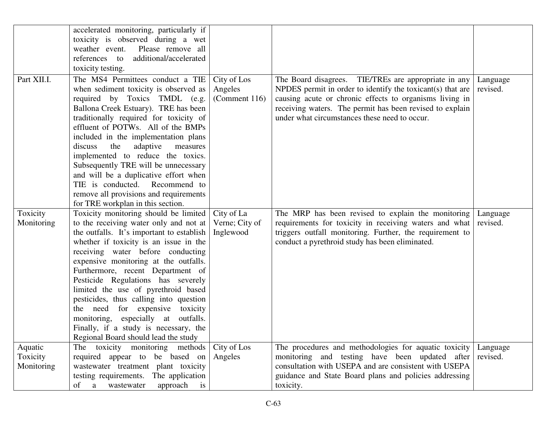|                                   | accelerated monitoring, particularly if<br>toxicity is observed during a wet<br>weather event.<br>Please remove all<br>references to<br>additional/accelerated                                                                                                                                                                                                                                                                                                                                                                                                                                                   |                                           |                                                                                                                                                                                                                                                                                            |                      |
|-----------------------------------|------------------------------------------------------------------------------------------------------------------------------------------------------------------------------------------------------------------------------------------------------------------------------------------------------------------------------------------------------------------------------------------------------------------------------------------------------------------------------------------------------------------------------------------------------------------------------------------------------------------|-------------------------------------------|--------------------------------------------------------------------------------------------------------------------------------------------------------------------------------------------------------------------------------------------------------------------------------------------|----------------------|
| Part XII.I.                       | toxicity testing.<br>The MS4 Permittees conduct a TIE<br>when sediment toxicity is observed as<br>required by Toxics TMDL (e.g.<br>Ballona Creek Estuary). TRE has been<br>traditionally required for toxicity of<br>effluent of POTWs. All of the BMPs<br>included in the implementation plans<br>discuss<br>the<br>adaptive<br>measures<br>implemented to reduce the toxics.<br>Subsequently TRE will be unnecessary<br>and will be a duplicative effort when<br>TIE is conducted. Recommend to<br>remove all provisions and requirements                                                                      | City of Los<br>Angeles<br>(Comment 116)   | The Board disagrees. TIE/TREs are appropriate in any<br>NPDES permit in order to identify the toxicant(s) that are<br>causing acute or chronic effects to organisms living in<br>receiving waters. The permit has been revised to explain<br>under what circumstances these need to occur. | Language<br>revised. |
| Toxicity<br>Monitoring            | for TRE workplan in this section.<br>Toxicity monitoring should be limited<br>to the receiving water only and not at<br>the outfalls. It's important to establish<br>whether if toxicity is an issue in the<br>receiving water before conducting<br>expensive monitoring at the outfalls.<br>Furthermore, recent Department of<br>Pesticide Regulations has severely<br>limited the use of pyrethroid based<br>pesticides, thus calling into question<br>the need for expensive toxicity<br>monitoring, especially at outfalls.<br>Finally, if a study is necessary, the<br>Regional Board should lead the study | City of La<br>Verne; City of<br>Inglewood | The MRP has been revised to explain the monitoring<br>requirements for toxicity in receiving waters and what<br>triggers outfall monitoring. Further, the requirement to<br>conduct a pyrethroid study has been eliminated.                                                                | Language<br>revised. |
| Aquatic<br>Toxicity<br>Monitoring | toxicity monitoring methods<br>The<br>required appear to be based on<br>wastewater treatment plant toxicity<br>testing requirements. The application<br>approach<br>of<br>is<br>a<br>wastewater                                                                                                                                                                                                                                                                                                                                                                                                                  | City of Los<br>Angeles                    | The procedures and methodologies for aquatic toxicity<br>monitoring and testing have been updated after<br>consultation with USEPA and are consistent with USEPA<br>guidance and State Board plans and policies addressing<br>toxicity.                                                    | Language<br>revised. |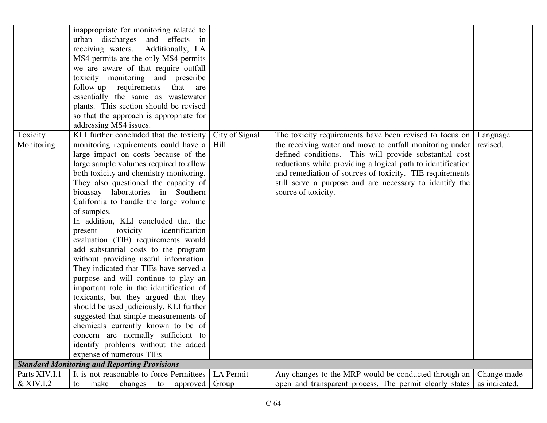|               | inappropriate for monitoring related to             |                |                                                             |               |
|---------------|-----------------------------------------------------|----------------|-------------------------------------------------------------|---------------|
|               | urban discharges and effects in                     |                |                                                             |               |
|               | receiving waters. Additionally, LA                  |                |                                                             |               |
|               | MS4 permits are the only MS4 permits                |                |                                                             |               |
|               | we are aware of that require outfall                |                |                                                             |               |
|               | toxicity monitoring and prescribe                   |                |                                                             |               |
|               | follow-up requirements<br>that<br>are               |                |                                                             |               |
|               | essentially the same as wastewater                  |                |                                                             |               |
|               | plants. This section should be revised              |                |                                                             |               |
|               | so that the approach is appropriate for             |                |                                                             |               |
|               | addressing MS4 issues.                              |                |                                                             |               |
| Toxicity      | KLI further concluded that the toxicity             | City of Signal | The toxicity requirements have been revised to focus on     | Language      |
| Monitoring    | monitoring requirements could have a                | Hill           | the receiving water and move to outfall monitoring under    | revised.      |
|               | large impact on costs because of the                |                | defined conditions. This will provide substantial cost      |               |
|               | large sample volumes required to allow              |                | reductions while providing a logical path to identification |               |
|               | both toxicity and chemistry monitoring.             |                | and remediation of sources of toxicity. TIE requirements    |               |
|               | They also questioned the capacity of                |                | still serve a purpose and are necessary to identify the     |               |
|               | bioassay laboratories in Southern                   |                | source of toxicity.                                         |               |
|               | California to handle the large volume               |                |                                                             |               |
|               | of samples.                                         |                |                                                             |               |
|               | In addition, KLI concluded that the                 |                |                                                             |               |
|               | toxicity<br>identification<br>present               |                |                                                             |               |
|               | evaluation (TIE) requirements would                 |                |                                                             |               |
|               | add substantial costs to the program                |                |                                                             |               |
|               | without providing useful information.               |                |                                                             |               |
|               | They indicated that TIEs have served a              |                |                                                             |               |
|               | purpose and will continue to play an                |                |                                                             |               |
|               | important role in the identification of             |                |                                                             |               |
|               | toxicants, but they argued that they                |                |                                                             |               |
|               | should be used judiciously. KLI further             |                |                                                             |               |
|               | suggested that simple measurements of               |                |                                                             |               |
|               | chemicals currently known to be of                  |                |                                                             |               |
|               | concern are normally sufficient to                  |                |                                                             |               |
|               | identify problems without the added                 |                |                                                             |               |
|               | expense of numerous TIEs                            |                |                                                             |               |
|               | <b>Standard Monitoring and Reporting Provisions</b> |                |                                                             |               |
| Parts XIV.I.1 | It is not reasonable to force Permittees            | LA Permit      | Any changes to the MRP would be conducted through an        | Change made   |
| & XIV.I.2     | changes<br>make<br>to<br>approved<br>to             | Group          | open and transparent process. The permit clearly states     | as indicated. |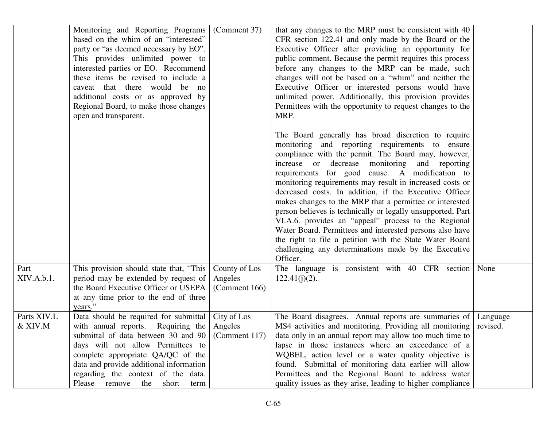|                        | Monitoring and Reporting Programs<br>based on the whim of an "interested"<br>party or "as deemed necessary by EO".<br>This provides unlimited power to<br>interested parties or EO. Recommend<br>these items be revised to include a<br>caveat that there would be no<br>additional costs or as approved by<br>Regional Board, to make those changes<br>open and transparent. | (Comment 37)                              | that any changes to the MRP must be consistent with 40<br>CFR section 122.41 and only made by the Board or the<br>Executive Officer after providing an opportunity for<br>public comment. Because the permit requires this process<br>before any changes to the MRP can be made, such<br>changes will not be based on a "whim" and neither the<br>Executive Officer or interested persons would have<br>unlimited power. Additionally, this provision provides<br>Permittees with the opportunity to request changes to the<br>MRP.                                                                                                                                                                                                                                 |                      |
|------------------------|-------------------------------------------------------------------------------------------------------------------------------------------------------------------------------------------------------------------------------------------------------------------------------------------------------------------------------------------------------------------------------|-------------------------------------------|---------------------------------------------------------------------------------------------------------------------------------------------------------------------------------------------------------------------------------------------------------------------------------------------------------------------------------------------------------------------------------------------------------------------------------------------------------------------------------------------------------------------------------------------------------------------------------------------------------------------------------------------------------------------------------------------------------------------------------------------------------------------|----------------------|
|                        |                                                                                                                                                                                                                                                                                                                                                                               |                                           | The Board generally has broad discretion to require<br>monitoring and reporting requirements to ensure<br>compliance with the permit. The Board may, however,<br>increase or decrease monitoring and reporting<br>requirements for good cause. A modification to<br>monitoring requirements may result in increased costs or<br>decreased costs. In addition, if the Executive Officer<br>makes changes to the MRP that a permittee or interested<br>person believes is technically or legally unsupported, Part<br>VI.A.6. provides an "appeal" process to the Regional<br>Water Board. Permittees and interested persons also have<br>the right to file a petition with the State Water Board<br>challenging any determinations made by the Executive<br>Officer. |                      |
| Part<br>XIV.A.b.1.     | This provision should state that, "This<br>period may be extended by request of<br>the Board Executive Officer or USEPA<br>at any time prior to the end of three<br>years."                                                                                                                                                                                                   | County of Los<br>Angeles<br>(Comment 166) | The language is consistent with 40 CFR section<br>$122.41(j)(2)$ .                                                                                                                                                                                                                                                                                                                                                                                                                                                                                                                                                                                                                                                                                                  | None                 |
| Parts XIV.L<br>& XIV.M | Data should be required for submittal<br>with annual reports. Requiring the<br>submittal of data between 30 and 90 (Comment 117)<br>days will not allow Permittees to<br>complete appropriate QA/QC of the<br>data and provide additional information<br>regarding the context of the data.<br>Please remove the<br>short<br>term                                             | City of Los<br>Angeles                    | The Board disagrees. Annual reports are summaries of<br>MS4 activities and monitoring. Providing all monitoring<br>data only in an annual report may allow too much time to<br>lapse in those instances where an exceedance of a<br>WQBEL, action level or a water quality objective is<br>found. Submittal of monitoring data earlier will allow<br>Permittees and the Regional Board to address water<br>quality issues as they arise, leading to higher compliance                                                                                                                                                                                                                                                                                               | Language<br>revised. |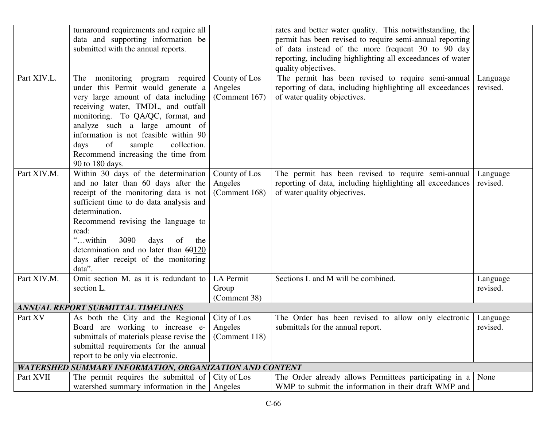|             | turnaround requirements and require all<br>data and supporting information be<br>submitted with the annual reports.                                                                                                                                                                                                                                                |                                           | rates and better water quality. This notwithstanding, the<br>permit has been revised to require semi-annual reporting<br>of data instead of the more frequent 30 to 90 day<br>reporting, including highlighting all exceedances of water<br>quality objectives. |                      |
|-------------|--------------------------------------------------------------------------------------------------------------------------------------------------------------------------------------------------------------------------------------------------------------------------------------------------------------------------------------------------------------------|-------------------------------------------|-----------------------------------------------------------------------------------------------------------------------------------------------------------------------------------------------------------------------------------------------------------------|----------------------|
| Part XIV.L. | The monitoring program required<br>under this Permit would generate a<br>very large amount of data including<br>receiving water, TMDL, and outfall<br>monitoring. To QA/QC, format, and<br>analyze such a large amount of<br>information is not feasible within 90<br>of<br>collection.<br>sample<br>days<br>Recommend increasing the time from<br>90 to 180 days. | County of Los<br>Angeles<br>(Comment 167) | The permit has been revised to require semi-annual<br>reporting of data, including highlighting all exceedances<br>of water quality objectives.                                                                                                                 | Language<br>revised. |
| Part XIV.M. | Within 30 days of the determination<br>and no later than 60 days after the<br>receipt of the monitoring data is not<br>sufficient time to do data analysis and<br>determination.<br>Recommend revising the language to<br>read:<br>"within<br>3090<br>days<br>the<br>of<br>determination and no later than 60120<br>days after receipt of the monitoring<br>data". | County of Los<br>Angeles<br>(Comment 168) | The permit has been revised to require semi-annual<br>reporting of data, including highlighting all exceedances<br>of water quality objectives.                                                                                                                 | Language<br>revised. |
| Part XIV.M. | Omit section M. as it is redundant to<br>section L.                                                                                                                                                                                                                                                                                                                | <b>LA Permit</b><br>Group<br>(Comment 38) | Sections L and M will be combined.                                                                                                                                                                                                                              | Language<br>revised. |
|             | <b>ANNUAL REPORT SUBMITTAL TIMELINES</b>                                                                                                                                                                                                                                                                                                                           |                                           |                                                                                                                                                                                                                                                                 |                      |
| Part XV     | As both the City and the Regional<br>Board are working to increase e-<br>submittals of materials please revise the<br>submittal requirements for the annual<br>report to be only via electronic.                                                                                                                                                                   | City of Los<br>Angeles<br>(Comment 118)   | The Order has been revised to allow only electronic<br>submittals for the annual report.                                                                                                                                                                        | Language<br>revised. |
|             | WATERSHED SUMMARY INFORMATION, ORGANIZATION AND CONTENT                                                                                                                                                                                                                                                                                                            |                                           |                                                                                                                                                                                                                                                                 |                      |
| Part XVII   | The permit requires the submittal of<br>watershed summary information in the                                                                                                                                                                                                                                                                                       | City of Los<br>Angeles                    | The Order already allows Permittees participating in a<br>WMP to submit the information in their draft WMP and                                                                                                                                                  | None                 |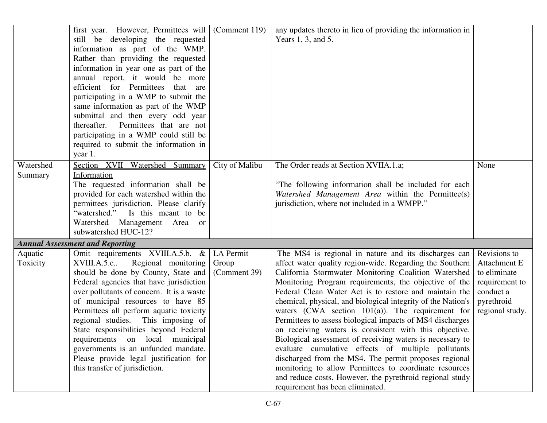|           | first year. However, Permittees will      | (Comment 119)  | any updates thereto in lieu of providing the information in  |                 |
|-----------|-------------------------------------------|----------------|--------------------------------------------------------------|-----------------|
|           | still be developing the requested         |                | Years 1, 3, and 5.                                           |                 |
|           | information as part of the WMP.           |                |                                                              |                 |
|           | Rather than providing the requested       |                |                                                              |                 |
|           | information in year one as part of the    |                |                                                              |                 |
|           | annual report, it would be more           |                |                                                              |                 |
|           | efficient for Permittees that are         |                |                                                              |                 |
|           | participating in a WMP to submit the      |                |                                                              |                 |
|           | same information as part of the WMP       |                |                                                              |                 |
|           | submittal and then every odd year         |                |                                                              |                 |
|           | thereafter. Permittees that are not       |                |                                                              |                 |
|           | participating in a WMP could still be     |                |                                                              |                 |
|           | required to submit the information in     |                |                                                              |                 |
|           | year 1.                                   |                |                                                              |                 |
| Watershed | Section XVII Watershed Summary            | City of Malibu | The Order reads at Section XVIIA.1.a;                        | None            |
| Summary   | Information                               |                |                                                              |                 |
|           | The requested information shall be        |                | "The following information shall be included for each        |                 |
|           | provided for each watershed within the    |                | Watershed Management Area within the Permittee(s)            |                 |
|           | permittees jurisdiction. Please clarify   |                | jurisdiction, where not included in a WMPP."                 |                 |
|           | "watershed." Is this meant to be          |                |                                                              |                 |
|           | Watershed Management Area or              |                |                                                              |                 |
|           | subwatershed HUC-12?                      |                |                                                              |                 |
|           | <b>Annual Assessment and Reporting</b>    |                |                                                              |                 |
| Aquatic   | Omit requirements XVIII.A.5.b. &          | LA Permit      | The MS4 is regional in nature and its discharges can         | Revisions to    |
| Toxicity  | Regional monitoring<br>XVIII.A.5.c        | Group          | affect water quality region-wide. Regarding the Southern     | Attachment E    |
|           | should be done by County, State and       | (Comment 39)   | California Stormwater Monitoring Coalition Watershed         | to eliminate    |
|           | Federal agencies that have jurisdiction   |                | Monitoring Program requirements, the objective of the        | requirement to  |
|           | over pollutants of concern. It is a waste |                | Federal Clean Water Act is to restore and maintain the       | conduct a       |
|           | of municipal resources to have 85         |                | chemical, physical, and biological integrity of the Nation's | pyrethroid      |
|           | Permittees all perform aquatic toxicity   |                | waters (CWA section $101(a)$ ). The requirement for          | regional study. |
|           | regional studies. This imposing of        |                | Permittees to assess biological impacts of MS4 discharges    |                 |
|           | State responsibilities beyond Federal     |                | on receiving waters is consistent with this objective.       |                 |
|           | requirements on local municipal           |                | Biological assessment of receiving waters is necessary to    |                 |
|           | governments is an unfunded mandate.       |                | evaluate cumulative effects of multiple pollutants           |                 |
|           | Please provide legal justification for    |                | discharged from the MS4. The permit proposes regional        |                 |
|           | this transfer of jurisdiction.            |                | monitoring to allow Permittees to coordinate resources       |                 |
|           |                                           |                | and reduce costs. However, the pyrethroid regional study     |                 |
|           |                                           |                | requirement has been eliminated.                             |                 |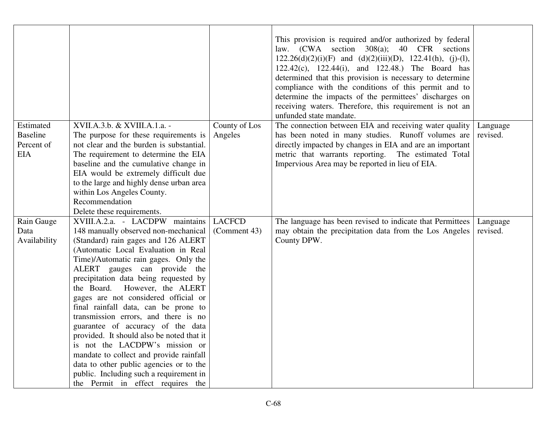|                                                          |                                                                                                                                                                                                                                                                                                                                                                                                                                                                                                                                                                                                                                                                                                                           |                               | This provision is required and/or authorized by federal<br>law. (CWA section 308(a); 40 CFR sections<br>$122.26(d)(2)(i)(F)$ and $(d)(2)(iii)(D)$ , $122.41(h)$ , (j)-(l),<br>122.42(c), 122.44(i), and 122.48.) The Board has<br>determined that this provision is necessary to determine<br>compliance with the conditions of this permit and to<br>determine the impacts of the permittees' discharges on<br>receiving waters. Therefore, this requirement is not an<br>unfunded state mandate. |                      |
|----------------------------------------------------------|---------------------------------------------------------------------------------------------------------------------------------------------------------------------------------------------------------------------------------------------------------------------------------------------------------------------------------------------------------------------------------------------------------------------------------------------------------------------------------------------------------------------------------------------------------------------------------------------------------------------------------------------------------------------------------------------------------------------------|-------------------------------|----------------------------------------------------------------------------------------------------------------------------------------------------------------------------------------------------------------------------------------------------------------------------------------------------------------------------------------------------------------------------------------------------------------------------------------------------------------------------------------------------|----------------------|
| Estimated<br><b>Baseline</b><br>Percent of<br><b>EIA</b> | XVII.A.3.b. & XVIII.A.1.a. -<br>The purpose for these requirements is<br>not clear and the burden is substantial.<br>The requirement to determine the EIA<br>baseline and the cumulative change in<br>EIA would be extremely difficult due<br>to the large and highly dense urban area<br>within Los Angeles County.<br>Recommendation<br>Delete these requirements.                                                                                                                                                                                                                                                                                                                                                      | County of Los<br>Angeles      | The connection between EIA and receiving water quality<br>has been noted in many studies. Runoff volumes are<br>directly impacted by changes in EIA and are an important<br>metric that warrants reporting. The estimated Total<br>Impervious Area may be reported in lieu of EIA.                                                                                                                                                                                                                 | Language<br>revised. |
| Rain Gauge<br>Data<br>Availability                       | XVIII.A.2.a. - LACDPW maintains<br>148 manually observed non-mechanical<br>(Standard) rain gages and 126 ALERT<br>(Automatic Local Evaluation in Real<br>Time)/Automatic rain gages. Only the<br>ALERT gauges can provide the<br>precipitation data being requested by<br>the Board. However, the ALERT<br>gages are not considered official or<br>final rainfall data, can be prone to<br>transmission errors, and there is no<br>guarantee of accuracy of the data<br>provided. It should also be noted that it<br>is not the LACDPW's mission or<br>mandate to collect and provide rainfall<br>data to other public agencies or to the<br>public. Including such a requirement in<br>the Permit in effect requires the | <b>LACFCD</b><br>(Comment 43) | The language has been revised to indicate that Permittees<br>may obtain the precipitation data from the Los Angeles<br>County DPW.                                                                                                                                                                                                                                                                                                                                                                 | Language<br>revised. |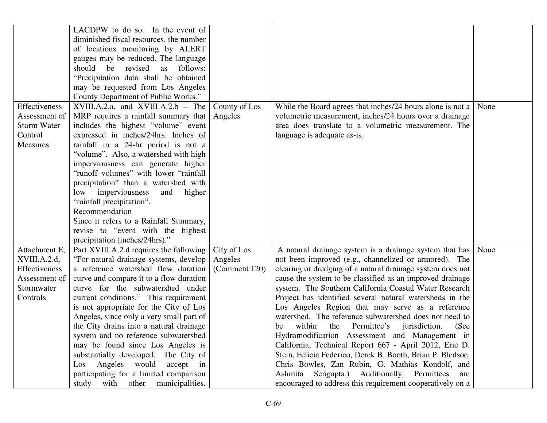|                    | LACDPW to do so. In the event of          |               |                                                            |      |
|--------------------|-------------------------------------------|---------------|------------------------------------------------------------|------|
|                    | diminished fiscal resources, the number   |               |                                                            |      |
|                    | of locations monitoring by ALERT          |               |                                                            |      |
|                    | gauges may be reduced. The language       |               |                                                            |      |
|                    | should<br>revised<br>be<br>follows:<br>as |               |                                                            |      |
|                    | "Precipitation data shall be obtained     |               |                                                            |      |
|                    | may be requested from Los Angeles         |               |                                                            |      |
|                    | County Department of Public Works."       |               |                                                            |      |
| Effectiveness      | $XVIII.A.2.a.$ and $XVIII.A.2.b$ - The    | County of Los | While the Board agrees that inches/24 hours alone is not a | None |
| Assessment of      | MRP requires a rainfall summary that      | Angeles       | volumetric measurement, inches/24 hours over a drainage    |      |
| <b>Storm Water</b> | includes the highest "volume" event       |               | area does translate to a volumetric measurement. The       |      |
| Control            | expressed in inches/24hrs. Inches of      |               | language is adequate as-is.                                |      |
| Measures           | rainfall in a 24-hr period is not a       |               |                                                            |      |
|                    | "volume". Also, a watershed with high     |               |                                                            |      |
|                    | imperviousness can generate higher        |               |                                                            |      |
|                    | "runoff volumes" with lower "rainfall     |               |                                                            |      |
|                    | precipitation" than a watershed with      |               |                                                            |      |
|                    | low imperviousness<br>and<br>higher       |               |                                                            |      |
|                    | "rainfall precipitation".                 |               |                                                            |      |
|                    | Recommendation                            |               |                                                            |      |
|                    | Since it refers to a Rainfall Summary,    |               |                                                            |      |
|                    | revise to "event with the highest         |               |                                                            |      |
|                    | precipitation (inches/24hrs)."            |               |                                                            |      |
| Attachment E,      | Part XVIII.A.2.d requires the following   | City of Los   | A natural drainage system is a drainage system that has    | None |
| XVIII.A.2.d,       | "For natural drainage systems, develop    | Angeles       | not been improved (e.g., channelized or armored). The      |      |
| Effectiveness      | a reference watershed flow duration       | (Comment 120) | clearing or dredging of a natural drainage system does not |      |
| Assessment of      | curve and compare it to a flow duration   |               | cause the system to be classified as an improved drainage  |      |
| Stormwater         | curve for the subwatershed under          |               | system. The Southern California Coastal Water Research     |      |
| Controls           | current conditions." This requirement     |               | Project has identified several natural watersheds in the   |      |
|                    | is not appropriate for the City of Los    |               | Los Angeles Region that may serve as a reference           |      |
|                    | Angeles, since only a very small part of  |               | watershed. The reference subwatershed does not need to     |      |
|                    | the City drains into a natural drainage   |               | within<br>the Permittee's jurisdiction.<br>(See<br>be      |      |
|                    | system and no reference subwatershed      |               | Hydromodification Assessment and Management in             |      |
|                    | may be found since Los Angeles is         |               | California, Technical Report 667 - April 2012, Eric D.     |      |
|                    | substantially developed. The City of      |               | Stein, Felicia Federico, Derek B. Booth, Brian P. Bledsoe, |      |
|                    | Los Angeles would<br>accept in            |               | Chris Bowles, Zan Rubin, G. Mathias Kondolf, and           |      |
|                    | participating for a limited comparison    |               | Ashmita Sengupta.) Additionally, Permittees<br>are         |      |
|                    | study with other municipalities.          |               | encouraged to address this requirement cooperatively on a  |      |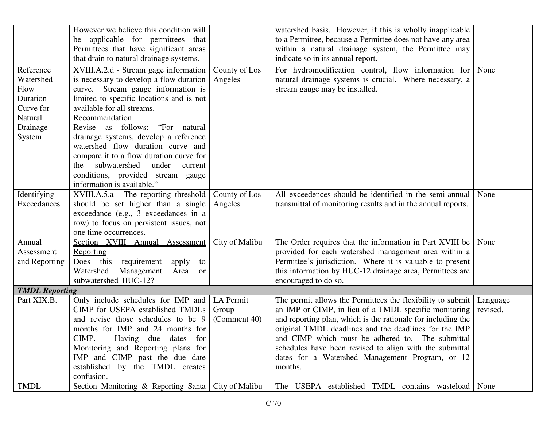|                                                                                          | However we believe this condition will<br>be applicable for permittees that<br>Permittees that have significant areas                                                                                                                                                                                                                                                                                                                                                                            |                                    | watershed basis. However, if this is wholly inapplicable<br>to a Permittee, because a Permittee does not have any area<br>within a natural drainage system, the Permittee may                                                                                                                                                                                                                                             |                      |
|------------------------------------------------------------------------------------------|--------------------------------------------------------------------------------------------------------------------------------------------------------------------------------------------------------------------------------------------------------------------------------------------------------------------------------------------------------------------------------------------------------------------------------------------------------------------------------------------------|------------------------------------|---------------------------------------------------------------------------------------------------------------------------------------------------------------------------------------------------------------------------------------------------------------------------------------------------------------------------------------------------------------------------------------------------------------------------|----------------------|
|                                                                                          | that drain to natural drainage systems.                                                                                                                                                                                                                                                                                                                                                                                                                                                          |                                    | indicate so in its annual report.                                                                                                                                                                                                                                                                                                                                                                                         |                      |
| Reference<br>Watershed<br>Flow<br>Duration<br>Curve for<br>Natural<br>Drainage<br>System | XVIII.A.2.d - Stream gage information<br>is necessary to develop a flow duration<br>curve. Stream gauge information is<br>limited to specific locations and is not<br>available for all streams.<br>Recommendation<br>Revise as follows:<br>"For natural"<br>drainage systems, develop a reference<br>watershed flow duration curve and<br>compare it to a flow duration curve for<br>subwatershed<br>under<br>the<br>current<br>conditions, provided stream gauge<br>information is available." | County of Los<br>Angeles           | For hydromodification control, flow information for<br>natural drainage systems is crucial. Where necessary, a<br>stream gauge may be installed.                                                                                                                                                                                                                                                                          | None                 |
| Identifying<br>Exceedances                                                               | XVIII.A.5.a - The reporting threshold<br>should be set higher than a single<br>exceedance (e.g., 3 exceedances in a<br>row) to focus on persistent issues, not<br>one time occurrences.                                                                                                                                                                                                                                                                                                          | County of Los<br>Angeles           | All exceedences should be identified in the semi-annual<br>transmittal of monitoring results and in the annual reports.                                                                                                                                                                                                                                                                                                   | None                 |
| Annual<br>Assessment<br>and Reporting                                                    | Section XVIII Annual Assessment<br>Reporting<br>requirement<br>Does this<br>apply<br>to<br>Watershed<br>Management<br>Area<br><b>or</b><br>subwatershed HUC-12?                                                                                                                                                                                                                                                                                                                                  | City of Malibu                     | The Order requires that the information in Part XVIII be<br>provided for each watershed management area within a<br>Permittee's jurisdiction. Where it is valuable to present<br>this information by HUC-12 drainage area, Permittees are<br>encouraged to do so.                                                                                                                                                         | None                 |
| <b>TMDL Reporting</b>                                                                    |                                                                                                                                                                                                                                                                                                                                                                                                                                                                                                  |                                    |                                                                                                                                                                                                                                                                                                                                                                                                                           |                      |
| Part XIX.B.                                                                              | Only include schedules for IMP and<br>CIMP for USEPA established TMDLs<br>and revise those schedules to be 9<br>months for IMP and 24 months for<br>CIMP.<br>Having due dates for<br>Monitoring and Reporting plans for<br>IMP and CIMP past the due date<br>established by the TMDL creates<br>confusion.                                                                                                                                                                                       | LA Permit<br>Group<br>(Comment 40) | The permit allows the Permittees the flexibility to submit<br>an IMP or CIMP, in lieu of a TMDL specific monitoring<br>and reporting plan, which is the rationale for including the<br>original TMDL deadlines and the deadlines for the IMP<br>and CIMP which must be adhered to. The submittal<br>schedules have been revised to align with the submittal<br>dates for a Watershed Management Program, or 12<br>months. | Language<br>revised. |
| <b>TMDL</b>                                                                              | Section Monitoring & Reporting Santa   City of Malibu                                                                                                                                                                                                                                                                                                                                                                                                                                            |                                    | The USEPA established TMDL contains wasteload None                                                                                                                                                                                                                                                                                                                                                                        |                      |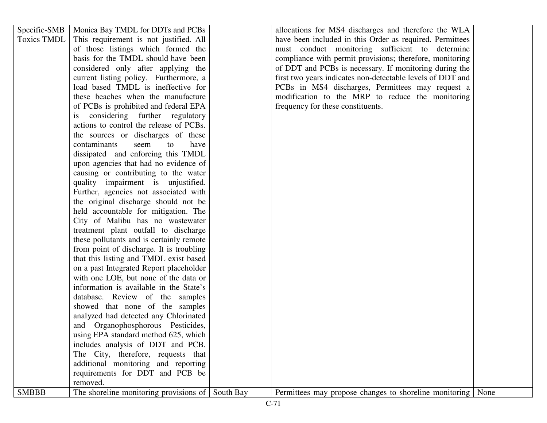|              | of those listings which formed the<br>basis for the TMDL should have been | must conduct monitoring sufficient to determine<br>compliance with permit provisions; therefore, monitoring |
|--------------|---------------------------------------------------------------------------|-------------------------------------------------------------------------------------------------------------|
|              | considered only after applying the                                        | of DDT and PCBs is necessary. If monitoring during the                                                      |
|              | current listing policy. Furthermore, a                                    | first two years indicates non-detectable levels of DDT and                                                  |
|              | load based TMDL is ineffective for                                        | PCBs in MS4 discharges, Permittees may request a                                                            |
|              | these beaches when the manufacture                                        | modification to the MRP to reduce the monitoring                                                            |
|              | of PCBs is prohibited and federal EPA                                     | frequency for these constituents.                                                                           |
|              | is considering further regulatory                                         |                                                                                                             |
|              | actions to control the release of PCBs.                                   |                                                                                                             |
|              | the sources or discharges of these                                        |                                                                                                             |
|              | contaminants<br>seem<br>to<br>have                                        |                                                                                                             |
|              | dissipated and enforcing this TMDL                                        |                                                                                                             |
|              | upon agencies that had no evidence of                                     |                                                                                                             |
|              | causing or contributing to the water                                      |                                                                                                             |
|              | quality impairment is unjustified.                                        |                                                                                                             |
|              | Further, agencies not associated with                                     |                                                                                                             |
|              | the original discharge should not be                                      |                                                                                                             |
|              | held accountable for mitigation. The                                      |                                                                                                             |
|              | City of Malibu has no wastewater                                          |                                                                                                             |
|              | treatment plant outfall to discharge                                      |                                                                                                             |
|              | these pollutants and is certainly remote                                  |                                                                                                             |
|              | from point of discharge. It is troubling                                  |                                                                                                             |
|              | that this listing and TMDL exist based                                    |                                                                                                             |
|              | on a past Integrated Report placeholder                                   |                                                                                                             |
|              | with one LOE, but none of the data or                                     |                                                                                                             |
|              | information is available in the State's                                   |                                                                                                             |
|              | database. Review of the samples                                           |                                                                                                             |
|              | showed that none of the samples                                           |                                                                                                             |
|              | analyzed had detected any Chlorinated                                     |                                                                                                             |
|              | and Organophosphorous Pesticides,                                         |                                                                                                             |
|              | using EPA standard method 625, which                                      |                                                                                                             |
|              | includes analysis of DDT and PCB.                                         |                                                                                                             |
|              | The City, therefore, requests that                                        |                                                                                                             |
|              | additional monitoring and reporting                                       |                                                                                                             |
|              | requirements for DDT and PCB be                                           |                                                                                                             |
|              | removed.                                                                  |                                                                                                             |
| <b>SMBBB</b> | The shoreline monitoring provisions of South Bay                          | Permittees may propose changes to shoreline monitoring   None                                               |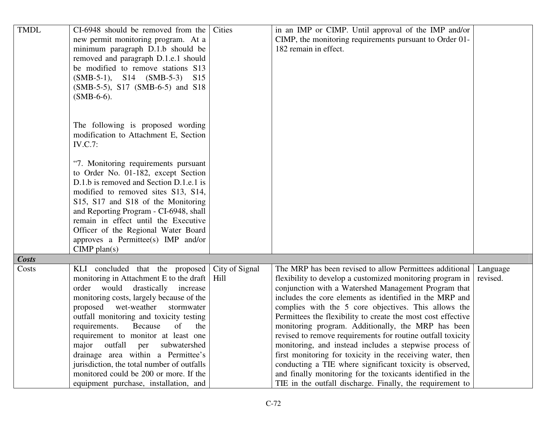| <b>TMDL</b>  | CI-6948 should be removed from the                                         | Cities         | in an IMP or CIMP. Until approval of the IMP and/or                                                                  |          |
|--------------|----------------------------------------------------------------------------|----------------|----------------------------------------------------------------------------------------------------------------------|----------|
|              | new permit monitoring program. At a                                        |                | CIMP, the monitoring requirements pursuant to Order 01-                                                              |          |
|              | minimum paragraph D.1.b should be<br>removed and paragraph D.1.e.1 should  |                | 182 remain in effect.                                                                                                |          |
|              | be modified to remove stations S13                                         |                |                                                                                                                      |          |
|              | $(SMB-5-1)$ , S14 $(SMB-5-3)$<br>S <sub>15</sub>                           |                |                                                                                                                      |          |
|              | (SMB-5-5), S17 (SMB-6-5) and S18                                           |                |                                                                                                                      |          |
|              | $(SMB-6-6)$ .                                                              |                |                                                                                                                      |          |
|              |                                                                            |                |                                                                                                                      |          |
|              | The following is proposed wording                                          |                |                                                                                                                      |          |
|              | modification to Attachment E, Section                                      |                |                                                                                                                      |          |
|              | <b>IV.C.7:</b>                                                             |                |                                                                                                                      |          |
|              | "7. Monitoring requirements pursuant                                       |                |                                                                                                                      |          |
|              | to Order No. 01-182, except Section                                        |                |                                                                                                                      |          |
|              | D.1.b is removed and Section D.1.e.1 is                                    |                |                                                                                                                      |          |
|              | modified to removed sites S13, S14,                                        |                |                                                                                                                      |          |
|              | S15, S17 and S18 of the Monitoring                                         |                |                                                                                                                      |          |
|              | and Reporting Program - CI-6948, shall                                     |                |                                                                                                                      |          |
|              | remain in effect until the Executive                                       |                |                                                                                                                      |          |
|              | Officer of the Regional Water Board                                        |                |                                                                                                                      |          |
|              | approves a Permittee(s) IMP and/or<br>$CIMP$ plan(s)                       |                |                                                                                                                      |          |
| <b>Costs</b> |                                                                            |                |                                                                                                                      |          |
| Costs        | KLI concluded that the proposed                                            | City of Signal | The MRP has been revised to allow Permittees additional                                                              | Language |
|              | monitoring in Attachment E to the draft                                    | Hill           | flexibility to develop a customized monitoring program in                                                            | revised. |
|              | order would<br>drastically<br>increase                                     |                | conjunction with a Watershed Management Program that                                                                 |          |
|              | monitoring costs, largely because of the                                   |                | includes the core elements as identified in the MRP and                                                              |          |
|              | proposed wet-weather stormwater<br>outfall monitoring and toxicity testing |                | complies with the 5 core objectives. This allows the<br>Permittees the flexibility to create the most cost effective |          |
|              | requirements.<br>Because<br>of<br>the                                      |                | monitoring program. Additionally, the MRP has been                                                                   |          |
|              | requirement to monitor at least one                                        |                | revised to remove requirements for routine outfall toxicity                                                          |          |
|              | outfall<br>subwatershed<br>major<br>per                                    |                | monitoring, and instead includes a stepwise process of                                                               |          |
|              | drainage area within a Permittee's                                         |                | first monitoring for toxicity in the receiving water, then                                                           |          |
|              | jurisdiction, the total number of outfalls                                 |                | conducting a TIE where significant toxicity is observed,                                                             |          |
|              | monitored could be 200 or more. If the                                     |                | and finally monitoring for the toxicants identified in the                                                           |          |
|              | equipment purchase, installation, and                                      |                | TIE in the outfall discharge. Finally, the requirement to                                                            |          |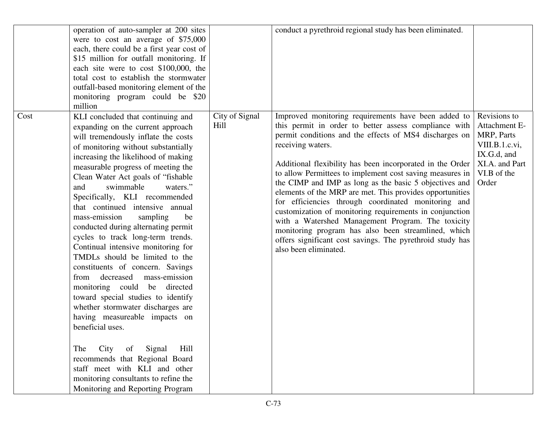|      | operation of auto-sampler at 200 sites<br>were to cost an average of \$75,000<br>each, there could be a first year cost of<br>\$15 million for outfall monitoring. If<br>each site were to cost \$100,000, the<br>total cost to establish the stormwater<br>outfall-based monitoring element of the<br>monitoring program could be \$20<br>million                                                                                                                                                                                                                                                                                                                                                                                                                                                                                                                                                                                                                                            |                        | conduct a pyrethroid regional study has been eliminated.                                                                                                                                                                                                                                                                                                                                                                                                                                                                                                                                                                                                                                                                                                       |                                                                                                                        |
|------|-----------------------------------------------------------------------------------------------------------------------------------------------------------------------------------------------------------------------------------------------------------------------------------------------------------------------------------------------------------------------------------------------------------------------------------------------------------------------------------------------------------------------------------------------------------------------------------------------------------------------------------------------------------------------------------------------------------------------------------------------------------------------------------------------------------------------------------------------------------------------------------------------------------------------------------------------------------------------------------------------|------------------------|----------------------------------------------------------------------------------------------------------------------------------------------------------------------------------------------------------------------------------------------------------------------------------------------------------------------------------------------------------------------------------------------------------------------------------------------------------------------------------------------------------------------------------------------------------------------------------------------------------------------------------------------------------------------------------------------------------------------------------------------------------------|------------------------------------------------------------------------------------------------------------------------|
| Cost | KLI concluded that continuing and<br>expanding on the current approach<br>will tremendously inflate the costs<br>of monitoring without substantially<br>increasing the likelihood of making<br>measurable progress of meeting the<br>Clean Water Act goals of "fishable"<br>swimmable<br>waters."<br>and<br>Specifically, KLI recommended<br>that continued intensive annual<br>mass-emission<br>sampling<br>be<br>conducted during alternating permit<br>cycles to track long-term trends.<br>Continual intensive monitoring for<br>TMDLs should be limited to the<br>constituents of concern. Savings<br>mass-emission<br>from decreased<br>monitoring could be directed<br>toward special studies to identify<br>whether stormwater discharges are<br>having measureable impacts on<br>beneficial uses.<br>of Signal<br>Hill<br>City<br>The<br>recommends that Regional Board<br>staff meet with KLI and other<br>monitoring consultants to refine the<br>Monitoring and Reporting Program | City of Signal<br>Hill | Improved monitoring requirements have been added to<br>this permit in order to better assess compliance with<br>permit conditions and the effects of MS4 discharges on<br>receiving waters.<br>Additional flexibility has been incorporated in the Order<br>to allow Permittees to implement cost saving measures in<br>the CIMP and IMP as long as the basic 5 objectives and<br>elements of the MRP are met. This provides opportunities<br>for efficiencies through coordinated monitoring and<br>customization of monitoring requirements in conjunction<br>with a Watershed Management Program. The toxicity<br>monitoring program has also been streamlined, which<br>offers significant cost savings. The pyrethroid study has<br>also been eliminated. | Revisions to<br>Attachment E-<br>MRP, Parts<br>VIII.B.1.c.vi,<br>IX.G.d, and<br>XI.A. and Part<br>VI.B of the<br>Order |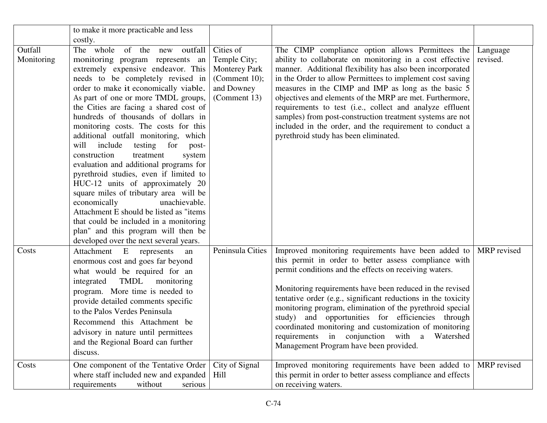|                       | to make it more practicable and less                                                                                                                                                                                                                                                                                                                                                                                                                                                                                                                                                                                                                                                                                                                                                                                                                     |                                                                                                  |                                                                                                                                                                                                                                                                                                                                                                                                                                                                                                                                                                                        |                      |
|-----------------------|----------------------------------------------------------------------------------------------------------------------------------------------------------------------------------------------------------------------------------------------------------------------------------------------------------------------------------------------------------------------------------------------------------------------------------------------------------------------------------------------------------------------------------------------------------------------------------------------------------------------------------------------------------------------------------------------------------------------------------------------------------------------------------------------------------------------------------------------------------|--------------------------------------------------------------------------------------------------|----------------------------------------------------------------------------------------------------------------------------------------------------------------------------------------------------------------------------------------------------------------------------------------------------------------------------------------------------------------------------------------------------------------------------------------------------------------------------------------------------------------------------------------------------------------------------------------|----------------------|
|                       | costly.                                                                                                                                                                                                                                                                                                                                                                                                                                                                                                                                                                                                                                                                                                                                                                                                                                                  |                                                                                                  |                                                                                                                                                                                                                                                                                                                                                                                                                                                                                                                                                                                        |                      |
| Outfall<br>Monitoring | The whole of the new outfall<br>monitoring program represents an<br>extremely expensive endeavor. This<br>needs to be completely revised in<br>order to make it economically viable.<br>As part of one or more TMDL groups,<br>the Cities are facing a shared cost of<br>hundreds of thousands of dollars in<br>monitoring costs. The costs for this<br>additional outfall monitoring, which<br>include<br>will<br>testing for<br>post-<br>construction<br>treatment<br>system<br>evaluation and additional programs for<br>pyrethroid studies, even if limited to<br>HUC-12 units of approximately 20<br>square miles of tributary area will be<br>economically<br>unachievable.<br>Attachment E should be listed as "items"<br>that could be included in a monitoring<br>plan" and this program will then be<br>developed over the next several years. | Cities of<br>Temple City;<br><b>Monterey Park</b><br>(Comment 10);<br>and Downey<br>(Comment 13) | The CIMP compliance option allows Permittees the<br>ability to collaborate on monitoring in a cost effective<br>manner. Additional flexibility has also been incorporated<br>in the Order to allow Permittees to implement cost saving<br>measures in the CIMP and IMP as long as the basic 5<br>objectives and elements of the MRP are met. Furthermore,<br>requirements to test (i.e., collect and analyze effluent<br>samples) from post-construction treatment systems are not<br>included in the order, and the requirement to conduct a<br>pyrethroid study has been eliminated. | Language<br>revised. |
| Costs                 | Attachment E represents<br>an<br>enormous cost and goes far beyond<br>what would be required for an<br>TMDL<br>monitoring<br>integrated<br>program. More time is needed to<br>provide detailed comments specific<br>to the Palos Verdes Peninsula<br>Recommend this Attachment be<br>advisory in nature until permittees<br>and the Regional Board can further<br>discuss.                                                                                                                                                                                                                                                                                                                                                                                                                                                                               | Peninsula Cities                                                                                 | Improved monitoring requirements have been added to<br>this permit in order to better assess compliance with<br>permit conditions and the effects on receiving waters.<br>Monitoring requirements have been reduced in the revised<br>tentative order (e.g., significant reductions in the toxicity<br>monitoring program, elimination of the pyrethroid special<br>study) and opportunities for efficiencies through<br>coordinated monitoring and customization of monitoring<br>requirements in conjunction with<br>Watershed<br>a<br>Management Program have been provided.        | MRP revised          |
| Costs                 | One component of the Tentative Order<br>where staff included new and expanded<br>without<br>requirements<br>serious                                                                                                                                                                                                                                                                                                                                                                                                                                                                                                                                                                                                                                                                                                                                      | City of Signal<br>Hill                                                                           | Improved monitoring requirements have been added to<br>this permit in order to better assess compliance and effects<br>on receiving waters.                                                                                                                                                                                                                                                                                                                                                                                                                                            | MRP revised          |